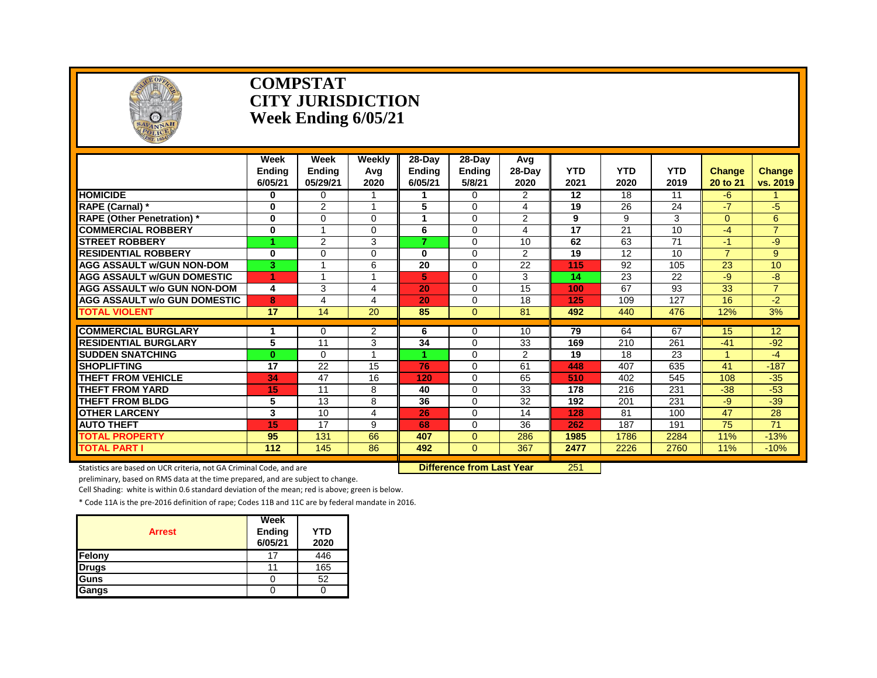

#### **COMPSTAT CITY JURISDICTION Week Ending 6/05/21**

|                                                 | Week<br><b>Endina</b><br>6/05/21 | Week<br><b>Ending</b><br>05/29/21 | Weekly<br>Avg<br>2020 | 28-Day<br><b>Endina</b><br>6/05/21 | 28-Day<br><b>Ending</b><br>5/8/21 | Avg<br>28-Day<br>2020 | <b>YTD</b><br>2021 | <b>YTD</b><br>2020 | <b>YTD</b><br>2019 | <b>Change</b><br>20 to 21 | Change<br>vs. 2019 |
|-------------------------------------------------|----------------------------------|-----------------------------------|-----------------------|------------------------------------|-----------------------------------|-----------------------|--------------------|--------------------|--------------------|---------------------------|--------------------|
| <b>HOMICIDE</b>                                 | 0                                | 0                                 |                       | 1                                  | $\Omega$                          | $\overline{2}$        | 12                 | 18                 | 11                 | -6                        |                    |
| <b>RAPE (Carnal)</b> *                          | 0                                | 2                                 |                       | 5                                  | $\Omega$                          | 4                     | 19                 | 26                 | 24                 | $-7$                      | -5                 |
| <b>RAPE (Other Penetration)</b> *               | $\bf{0}$                         | $\Omega$                          | $\Omega$              |                                    | $\Omega$                          | 2                     | 9                  | 9                  | 3                  | $\Omega$                  | 6                  |
| <b>COMMERCIAL ROBBERY</b>                       | 0                                |                                   | $\Omega$              | 6                                  | $\Omega$                          | 4                     | 17                 | 21                 | 10                 | $-4$                      | $\overline{7}$     |
| <b>STREET ROBBERY</b>                           | 4                                | $\overline{2}$                    | 3                     | 7                                  | $\Omega$                          | 10                    | 62                 | 63                 | 71                 | $-1$                      | -9                 |
| <b>RESIDENTIAL ROBBERY</b>                      | 0                                | $\Omega$                          | 0                     | 0                                  | $\Omega$                          | $\overline{2}$        | 19                 | 12                 | 10                 | $\overline{7}$            | $9^{\circ}$        |
| <b>AGG ASSAULT w/GUN NON-DOM</b>                | 3                                |                                   | 6                     | 20                                 | $\Omega$                          | 22                    | 115                | 92                 | 105                | 23                        | 10                 |
| <b>AGG ASSAULT W/GUN DOMESTIC</b>               |                                  |                                   |                       | 5.                                 | $\Omega$                          | 3                     | 14                 | 23                 | 22                 | -9                        | -8                 |
| <b>AGG ASSAULT w/o GUN NON-DOM</b>              | 4                                | 3                                 | 4                     | 20                                 | $\Omega$                          | 15                    | 100                | 67                 | 93                 | 33                        | $\overline{7}$     |
| <b>AGG ASSAULT w/o GUN DOMESTIC</b>             | 8                                | 4                                 | 4                     | 20                                 | $\Omega$                          | 18                    | 125                | 109                | 127                | 16                        | $-2$               |
| <b>TOTAL VIOLENT</b>                            | 17                               | 14                                | $\overline{20}$       | 85                                 | $\Omega$                          | $\overline{81}$       | 492                | 440                | 476                | 12%                       | 3%                 |
| <b>COMMERCIAL BURGLARY</b>                      |                                  |                                   |                       | 6                                  |                                   | 10                    | 79                 | 64                 | 67                 |                           | 12                 |
| <b>RESIDENTIAL BURGLARY</b>                     | 1<br>5                           | $\Omega$                          | $\overline{2}$        | 34                                 | $\Omega$                          |                       |                    | 210                | 261                | 15                        | $-92$              |
|                                                 |                                  | 11                                | 3                     |                                    | $\Omega$                          | 33                    | 169                |                    |                    | $-41$                     |                    |
| <b>SUDDEN SNATCHING</b>                         | $\bf{0}$                         | $\Omega$<br>$\overline{22}$       |                       |                                    | $\Omega$                          | 2                     | 19                 | 18                 | 23                 |                           | $-4$               |
| <b>SHOPLIFTING</b><br><b>THEFT FROM VEHICLE</b> | 17                               |                                   | 15                    | 76<br>120                          | $\Omega$                          | 61                    | 448                | 407                | 635                | 41                        | $-187$             |
| <b>THEFT FROM YARD</b>                          | 34                               | 47                                | 16                    |                                    | $\Omega$                          | 65                    | 510                | 402                | 545                | 108                       | $-35$              |
|                                                 | 15                               | 11                                | 8                     | 40                                 | $\Omega$                          | 33                    | 178                | 216                | 231                | $-38$                     | $-53$              |
| <b>THEFT FROM BLDG</b>                          | 5                                | 13                                | 8                     | 36                                 | $\Omega$                          | 32                    | 192                | 201                | 231                | -9                        | $-39$              |
| <b>OTHER LARCENY</b>                            | 3                                | 10                                | 4                     | 26                                 | $\Omega$                          | 14                    | 128                | 81                 | 100                | 47                        | 28                 |
| <b>AUTO THEFT</b>                               | 15                               | 17                                | 9                     | 68                                 | $\Omega$                          | 36                    | 262                | 187                | 191                | 75                        | 71                 |
| <b>TOTAL PROPERTY</b>                           | 95                               | 131                               | 66                    | 407                                | $\Omega$                          | 286                   | 1985               | 1786               | 2284               | 11%                       | $-13%$             |
| <b>TOTAL PART I</b>                             | 112                              | 145                               | 86                    | 492                                | $\Omega$                          | 367                   | 2477               | 2226               | 2760               | 11%                       | $-10%$             |

Statistics are based on UCR criteria, not GA Criminal Code, and are **Difference from Last Year** 251

preliminary, based on RMS data at the time prepared, and are subject to change.

Cell Shading: white is within 0.6 standard deviation of the mean; red is above; green is below.

| <b>Arrest</b> | Week<br>Ending<br>6/05/21 | YTD<br>2020 |
|---------------|---------------------------|-------------|
| Felony        | 17                        | 446         |
| <b>Drugs</b>  | 11                        | 165         |
| Guns          |                           | 52          |
| Gangs         |                           |             |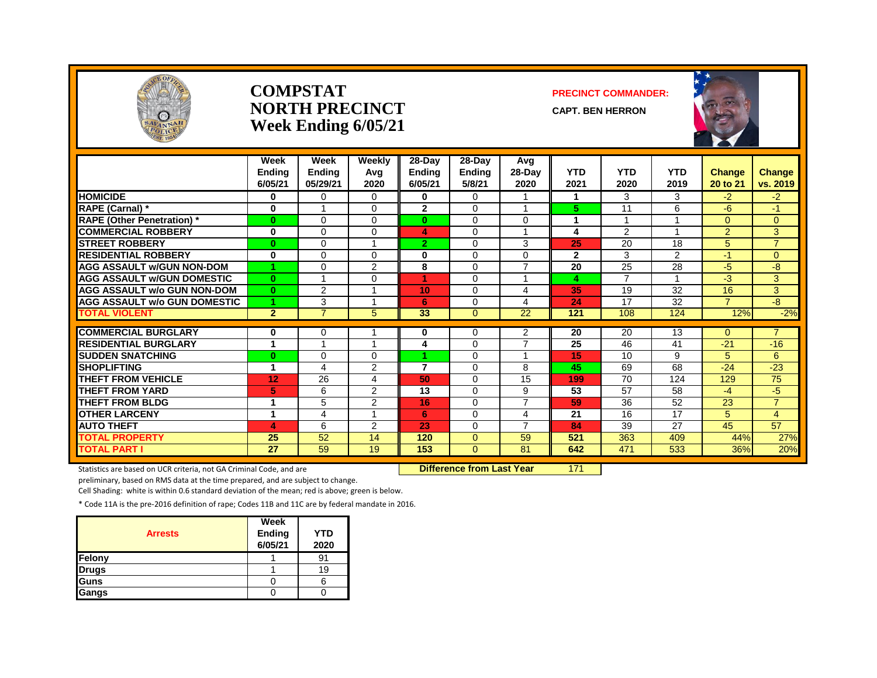

#### **COMPSTAT PRECINCT COMMANDER: NORTH PRECINCT** CAPT. BEN HERRON **Week Ending 6/05/21**





|                                     | Week<br><b>Ending</b><br>6/05/21 | Week<br><b>Ending</b><br>05/29/21 | Weekly<br>Avg<br>2020 | 28-Day<br><b>Ending</b><br>6/05/21 | 28-Day<br><b>Ending</b><br>5/8/21 | Avg<br>$28-Day$<br>2020 | <b>YTD</b><br>2021 | <b>YTD</b><br>2020 | <b>YTD</b><br>2019 | Change<br>20 to 21 | <b>Change</b><br>vs. 2019 |
|-------------------------------------|----------------------------------|-----------------------------------|-----------------------|------------------------------------|-----------------------------------|-------------------------|--------------------|--------------------|--------------------|--------------------|---------------------------|
| <b>HOMICIDE</b>                     | 0                                | 0                                 | $\Omega$              | 0                                  | 0                                 |                         | 1                  | 3                  | 3                  | $-2$               | $-2$                      |
| RAPE (Carnal) *                     | 0                                | $\overline{A}$                    | $\Omega$              | $\overline{2}$                     | $\Omega$                          | $\overline{ }$          | 5.                 | 11                 | 6                  | -6                 | $-1$                      |
| <b>RAPE (Other Penetration)</b> *   | $\bf{0}$                         | 0                                 | $\Omega$              | $\mathbf{0}$                       | $\Omega$                          | $\Omega$                |                    | 1                  |                    | $\Omega$           | $\Omega$                  |
| <b>COMMERCIAL ROBBERY</b>           | $\bf{0}$                         | 0                                 | $\Omega$              | 4                                  | $\Omega$                          |                         | 4                  | $\overline{2}$     |                    | $\overline{2}$     | 3                         |
| <b>STREET ROBBERY</b>               | $\bf{0}$                         | 0                                 |                       | $\overline{2}$                     | $\Omega$                          | 3                       | 25                 | 20                 | 18                 | 5                  | $\overline{7}$            |
| <b>RESIDENTIAL ROBBERY</b>          | $\bf{0}$                         | $\Omega$                          | $\Omega$              | $\bf{0}$                           | $\Omega$                          | $\Omega$                | $\mathbf{2}$       | 3                  | $\overline{2}$     | $-1$               | $\Omega$                  |
| <b>AGG ASSAULT w/GUN NON-DOM</b>    |                                  | 0                                 | $\overline{2}$        | 8                                  | $\Omega$                          | $\overline{7}$          | 20                 | 25                 | 28                 | $-5$               | -8                        |
| <b>AGG ASSAULT w/GUN DOMESTIC</b>   | $\mathbf{0}$                     | 1                                 | $\Omega$              | 1                                  | $\Omega$                          | $\overline{ }$          | 4                  | $\overline{7}$     |                    | $-3$               | 3                         |
| <b>AGG ASSAULT w/o GUN NON-DOM</b>  | $\bf{0}$                         | $\overline{2}$                    |                       | 10 <sub>1</sub>                    | $\Omega$                          | 4                       | 35                 | 19                 | 32                 | 16                 | 3                         |
| <b>AGG ASSAULT w/o GUN DOMESTIC</b> |                                  | 3                                 |                       | 6                                  | 0                                 | 4                       | 24                 | 17                 | 32                 | $\overline{7}$     | $-\frac{1}{\sqrt{2}}$     |
| <b>TOTAL VIOLENT</b>                | $\overline{2}$                   | $\overline{7}$                    | 5                     | 33                                 | $\Omega$                          | 22                      | 121                | 108                | 124                | 12%                | $-2%$                     |
| <b>COMMERCIAL BURGLARY</b>          | 0                                | 0                                 |                       | 0                                  | 0                                 | 2                       | 20                 | 20                 | 13                 | $\mathbf{0}$       | $\overline{7}$            |
| <b>RESIDENTIAL BURGLARY</b>         | 1                                | 4                                 |                       | 4                                  | $\Omega$                          | $\overline{7}$          | 25                 | 46                 | 41                 | $-21$              | $-16$                     |
| <b>SUDDEN SNATCHING</b>             | $\bf{0}$                         | 0                                 | $\Omega$              | 4                                  | $\Omega$                          |                         | 15                 | 10                 | 9                  | 5                  | 6                         |
| <b>SHOPLIFTING</b>                  | 1                                | 4                                 | $\overline{2}$        | $\overline{7}$                     | $\Omega$                          | 8                       | 45                 | 69                 | 68                 | $-24$              | $-23$                     |
| THEFT FROM VEHICLE                  | 12                               | 26                                | 4                     | 50                                 | $\Omega$                          | 15                      | 199                | 70                 | 124                | 129                | 75                        |
| <b>THEFT FROM YARD</b>              | 5                                | 6                                 | 2                     | 13                                 | $\Omega$                          | 9                       | 53                 | 57                 | 58                 | -4                 | $-5$                      |
| <b>THEFT FROM BLDG</b>              | 1                                | 5                                 | $\overline{2}$        | 16                                 | $\Omega$                          | $\overline{7}$          | 59                 | 36                 | 52                 | $\overline{23}$    | $\overline{7}$            |
| <b>OTHER LARCENY</b>                | 1                                | 4                                 |                       | 6                                  | $\Omega$                          | 4                       | 21                 | 16                 | 17                 | 5                  | $\overline{4}$            |
| <b>AUTO THEFT</b>                   | 4                                | 6                                 | 2                     | 23                                 | $\Omega$                          | $\overline{7}$          | 84                 | 39                 | 27                 | 45                 | 57                        |
| <b>TOTAL PROPERTY</b>               | 25                               | 52                                | 14                    | 120                                | $\Omega$                          | 59                      | 521                | 363                | 409                | 44%                | 27%                       |
| <b>TOTAL PART I</b>                 | 27                               | 59                                | 19                    | 153                                | $\Omega$                          | 81                      | 642                | 471                | 533                |                    |                           |
|                                     |                                  |                                   |                       |                                    |                                   |                         |                    |                    |                    | 36%                | 20%                       |

Statistics are based on UCR criteria, not GA Criminal Code, and are **Difference from Last Year** 171

preliminary, based on RMS data at the time prepared, and are subject to change.

Cell Shading: white is within 0.6 standard deviation of the mean; red is above; green is below.

| <b>Arrests</b> | Week<br>Ending<br>6/05/21 | <b>YTD</b><br>2020 |
|----------------|---------------------------|--------------------|
| Felony         |                           | 91                 |
| <b>Drugs</b>   |                           | 19                 |
| Guns           |                           |                    |
| Gangs          |                           |                    |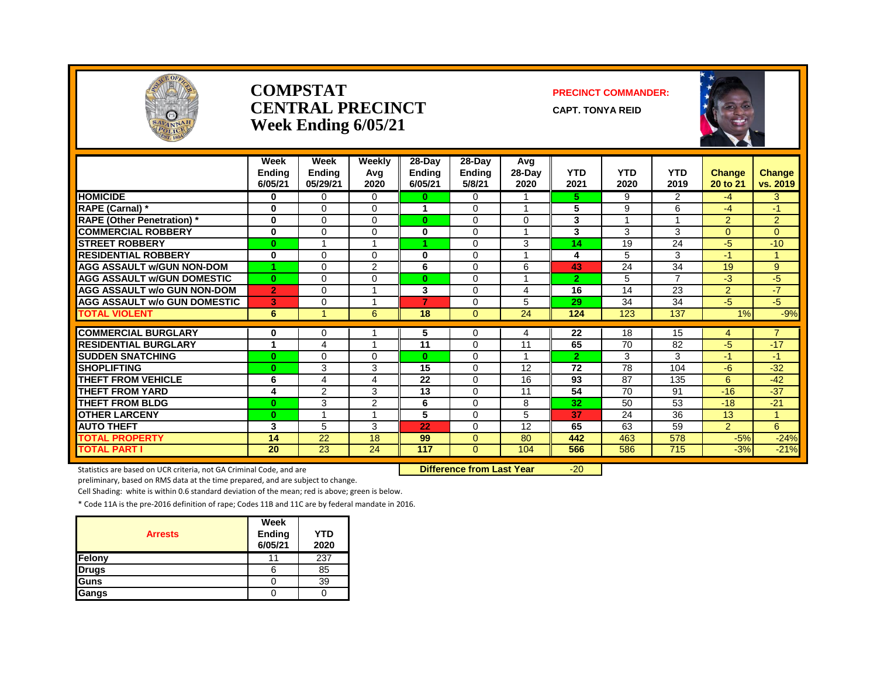

#### **COMPSTAT PRECINCT COMMANDER: CENTRAL PRECINCT** CAPT. TONYA REID **Week Ending 6/05/21**



|                                     | Week<br><b>Ending</b><br>6/05/21 | <b>Week</b><br><b>Ending</b><br>05/29/21 | Weekly<br>Avg<br>2020 | $28-Day$<br><b>Ending</b><br>6/05/21 | 28-Day<br><b>Ending</b><br>5/8/21 | Avg<br>$28-Dav$<br>2020 | <b>YTD</b><br>2021 | <b>YTD</b><br>2020 | <b>YTD</b><br>2019 | <b>Change</b><br>20 to 21 | <b>Change</b><br>vs. 2019 |
|-------------------------------------|----------------------------------|------------------------------------------|-----------------------|--------------------------------------|-----------------------------------|-------------------------|--------------------|--------------------|--------------------|---------------------------|---------------------------|
| <b>HOMICIDE</b>                     | 0                                | $\Omega$                                 | 0                     | $\bf{0}$                             | $\Omega$                          |                         | 5.                 | 9                  | $\overline{2}$     | $-4$                      | 3                         |
| <b>RAPE (Carnal) *</b>              | $\bf{0}$                         | $\Omega$                                 | $\Omega$              | 1                                    | $\Omega$                          | $\overline{A}$          | 5                  | 9                  | 6                  | -4                        | $-1$                      |
| <b>RAPE (Other Penetration)</b> *   | $\bf{0}$                         | $\Omega$                                 | 0                     | $\mathbf{0}$                         | $\Omega$                          | $\Omega$                | 3                  | 4                  |                    | 2                         | 2                         |
| <b>COMMERCIAL ROBBERY</b>           | 0                                | $\Omega$                                 | 0                     | 0                                    | $\Omega$                          |                         | 3                  | 3                  | 3                  | $\overline{0}$            | $\mathbf{0}$              |
| <b>STREET ROBBERY</b>               | $\bf{0}$                         |                                          |                       |                                      | $\Omega$                          | 3                       | 14                 | 19                 | 24                 | $-5$                      | $-10$                     |
| <b>RESIDENTIAL ROBBERY</b>          | $\bf{0}$                         | $\Omega$                                 | 0                     | $\bf{0}$                             | $\Omega$                          |                         | 4                  | 5                  | 3                  | $-1$                      | 1                         |
| <b>AGG ASSAULT w/GUN NON-DOM</b>    |                                  | $\Omega$                                 | $\overline{2}$        | 6                                    | $\Omega$                          | 6                       | 43                 | 24                 | 34                 | 19                        | $\boldsymbol{9}$          |
| <b>AGG ASSAULT w/GUN DOMESTIC</b>   | $\bf{0}$                         | $\Omega$                                 | 0                     | $\bf{0}$                             | $\Omega$                          | 4                       | $\overline{2}$     | 5                  | $\overline{ }$     | -3                        | $-5$                      |
| <b>AGG ASSAULT w/o GUN NON-DOM</b>  | $\overline{2}$                   | $\Omega$                                 |                       | 3                                    | $\Omega$                          | 4                       | 16                 | 14                 | 23                 | 2                         | $-7$                      |
| <b>AGG ASSAULT w/o GUN DOMESTIC</b> | 3                                | $\Omega$                                 |                       | 7                                    | $\Omega$                          | 5                       | 29                 | 34                 | 34                 | -5                        | $-5$                      |
| <b>TOTAL VIOLENT</b>                | 6                                |                                          | 6                     | 18                                   | $\Omega$                          | 24                      | 124                | 123                | 137                | 1%                        | $-9%$                     |
| <b>COMMERCIAL BURGLARY</b>          | 0                                | 0                                        |                       | 5                                    | 0                                 |                         | 22                 | 18                 | 15                 |                           | $\overline{7}$            |
| <b>RESIDENTIAL BURGLARY</b>         | -1                               | 4                                        |                       | 11                                   | $\Omega$                          | 4<br>11                 | 65                 | 70                 | 82                 | 4<br>-5                   | $-17$                     |
| <b>SUDDEN SNATCHING</b>             | $\bf{0}$                         | $\Omega$                                 | 0                     | $\bf{0}$                             | $\Omega$                          |                         | $\overline{2}$     | 3                  | 3                  | $-1$                      | $-1$                      |
| <b>SHOPLIFTING</b>                  | $\bf{0}$                         | 3                                        | 3                     | 15                                   | $\Omega$                          | 12                      | 72                 | 78                 | 104                | $-6$                      | $-32$                     |
| <b>THEFT FROM VEHICLE</b>           | 6                                | 4                                        | 4                     | 22                                   | $\Omega$                          | 16                      | 93                 | 87                 | 135                | 6                         | $-42$                     |
| <b>THEFT FROM YARD</b>              | 4                                | 2                                        | 3                     | 13                                   | $\Omega$                          | 11                      | $\overline{54}$    | 70                 | 91                 | $-16$                     | $-37$                     |
| <b>THEFT FROM BLDG</b>              | $\mathbf{0}$                     | 3                                        | $\overline{2}$        | 6                                    | $\Omega$                          | 8                       | 32                 | 50                 | 53                 | $-18$                     | $-21$                     |
| <b>OTHER LARCENY</b>                | $\bf{0}$                         | $\overline{\mathbf{A}}$                  |                       | 5                                    | $\Omega$                          | 5                       | 37                 | 24                 | 36                 | 13                        | $\blacktriangleleft$      |
| <b>AUTO THEFT</b>                   | 3                                | 5                                        | 3                     | 22                                   | $\Omega$                          | 12                      | 65                 | 63                 | 59                 | 2                         | 6                         |
| <b>TOTAL PROPERTY</b>               | 14                               | 22                                       | 18                    | 99                                   | $\Omega$                          | 80                      | 442                | 463                | 578                | $-5%$                     | $-24%$                    |
| <b>TOTAL PART I</b>                 | 20                               | 23                                       | 24                    | 117                                  | $\Omega$                          | 104                     | 566                | 586                | 715                | $-3%$                     | $-21%$                    |

Statistics are based on UCR criteria, not GA Criminal Code, and are **Difference from Last Year** -20

preliminary, based on RMS data at the time prepared, and are subject to change.

Cell Shading: white is within 0.6 standard deviation of the mean; red is above; green is below.

| <b>Arrests</b> | Week<br>Ending<br>6/05/21 | <b>YTD</b><br>2020 |
|----------------|---------------------------|--------------------|
| Felony         | 11                        | 237                |
| <b>Drugs</b>   | 6                         | 85                 |
| Guns           |                           | 39                 |
| Gangs          |                           |                    |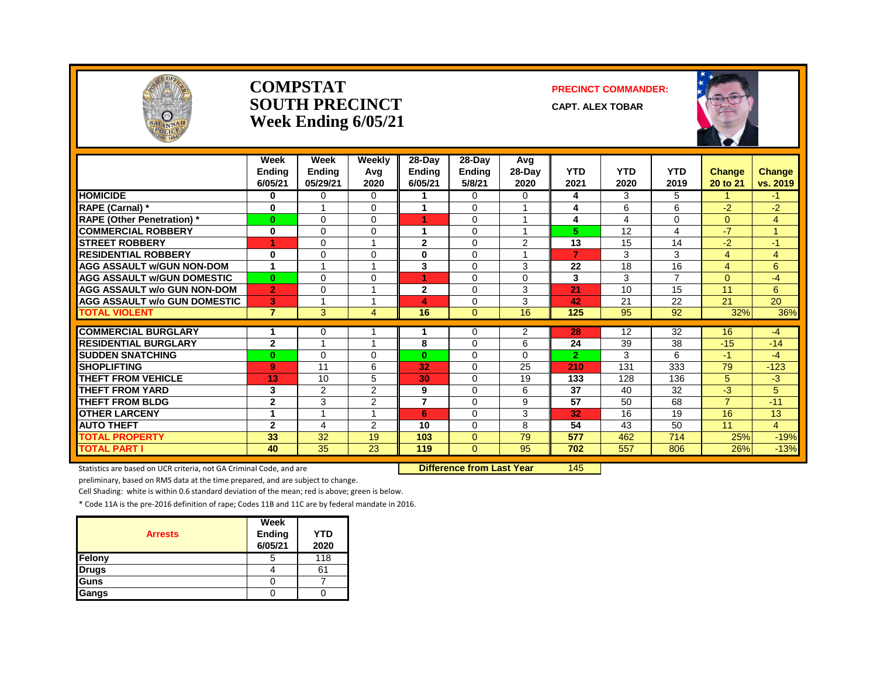

#### **COMPSTAT PRECINCT COMMANDER: SOUTH PRECINCT CAPT. ALEX TOBAR Week Ending 6/05/21**



|                                     | Week<br><b>Ending</b><br>6/05/21 | Week<br><b>Ending</b><br>05/29/21 | Weekly<br>Avg<br>2020   | 28-Day<br><b>Ending</b><br>6/05/21 | 28-Day<br><b>Ending</b><br>5/8/21 | Avg<br>$28$ -Day<br>2020 | <b>YTD</b><br>2021 | <b>YTD</b><br>2020 | <b>YTD</b><br>2019 | Change<br>20 to 21 | <b>Change</b><br>vs. 2019 |
|-------------------------------------|----------------------------------|-----------------------------------|-------------------------|------------------------------------|-----------------------------------|--------------------------|--------------------|--------------------|--------------------|--------------------|---------------------------|
| <b>HOMICIDE</b>                     | 0                                | $\Omega$                          | $\Omega$                |                                    | $\Omega$                          | $\Omega$                 | 4                  | 3                  | 5                  |                    | $-1$                      |
| RAPE (Carnal) *                     | 0                                |                                   | $\Omega$                | 4                                  | $\Omega$                          |                          | 4                  | 6                  | 6                  | $-2$               | $-2$                      |
| <b>RAPE (Other Penetration)*</b>    | $\bf{0}$                         | $\Omega$                          | 0                       | 4.                                 | $\Omega$                          | $\overline{A}$           | 4                  | 4                  | $\Omega$           | $\Omega$           | 4                         |
| <b>COMMERCIAL ROBBERY</b>           | 0                                | $\Omega$                          | $\Omega$                |                                    | $\Omega$                          |                          | 5                  | 12                 | 4                  | $-7$               |                           |
| <b>STREET ROBBERY</b>               |                                  | $\Omega$                          |                         | $\mathbf{2}$                       | $\Omega$                          | 2                        | 13                 | 15                 | 14                 | $-2$               | $-1$                      |
| <b>RESIDENTIAL ROBBERY</b>          | 0                                | $\Omega$                          | $\Omega$                | 0                                  | $\Omega$                          |                          | 7                  | 3                  | 3                  | 4                  | 4                         |
| <b>AGG ASSAULT w/GUN NON-DOM</b>    | 1                                |                                   |                         | 3                                  | $\Omega$                          | 3                        | 22                 | 18                 | 16                 | 4                  | 6                         |
| <b>AGG ASSAULT w/GUN DOMESTIC</b>   | $\bf{0}$                         | $\Omega$                          | $\Omega$                | 4.                                 | $\Omega$                          | $\Omega$                 | 3                  | 3                  | $\overline{7}$     | $\Omega$           | $-4$                      |
| <b>AGG ASSAULT w/o GUN NON-DOM</b>  | $\overline{2}$                   | $\Omega$                          |                         | $\mathbf{2}$                       | $\Omega$                          | 3                        | 21                 | 10                 | 15                 | 11                 | 6                         |
| <b>AGG ASSAULT w/o GUN DOMESTIC</b> | 3                                |                                   |                         | 4                                  | $\Omega$                          | 3                        | 42                 | 21                 | 22                 | 21                 | 20                        |
| <b>TOTAL VIOLENT</b>                | $\overline{7}$                   | 3                                 | 4                       | 16                                 | $\Omega$                          | 16                       | 125                | 95                 | 92                 | 32%                | 36%                       |
|                                     |                                  |                                   |                         |                                    |                                   |                          |                    |                    |                    |                    |                           |
| <b>COMMERCIAL BURGLARY</b>          | 1                                | 0                                 |                         |                                    | 0                                 | 2                        | 28                 | 12                 | $\overline{32}$    | 16                 | $-4$                      |
| <b>RESIDENTIAL BURGLARY</b>         | $\mathbf{2}$                     | $\overline{A}$                    | $\overline{\mathbf{A}}$ | 8                                  | $\Omega$                          | 6                        | 24                 | 39                 | 38                 | $-15$              | $-14$                     |
| <b>SUDDEN SNATCHING</b>             | $\bf{0}$                         | $\Omega$                          | $\Omega$                | $\mathbf{0}$                       | $\Omega$                          | 0                        | $\overline{2}$     | 3                  | 6                  | $-1$               | $-4$                      |
| <b>SHOPLIFTING</b>                  | 9                                | 11                                | 6                       | 32                                 | $\mathbf 0$                       | 25                       | 210                | 131                | 333                | 79                 | $-123$                    |
| THEFT FROM VEHICLE                  | 13                               | 10                                | 5                       | 30                                 | $\Omega$                          | 19                       | 133                | 128                | 136                | 5                  | $-3$                      |
| <b>THEFT FROM YARD</b>              | 3                                | 2                                 | 2                       | 9                                  | $\mathbf 0$                       | 6                        | 37                 | 40                 | 32                 | $-3$               | 5                         |
| <b>THEFT FROM BLDG</b>              | $\overline{2}$                   | 3                                 | 2                       | $\overline{7}$                     | $\Omega$                          | 9                        | $\overline{57}$    | 50                 | 68                 | $\overline{7}$     | $-11$                     |
| <b>OTHER LARCENY</b>                | 1                                |                                   |                         | 6                                  | $\Omega$                          | 3                        | 32                 | 16                 | 19                 | 16                 | 13                        |
| <b>AUTO THEFT</b>                   | $\mathbf{2}$                     | 4                                 | 2                       | 10                                 | $\Omega$                          | 8                        | 54                 | 43                 | 50                 | 11                 | 4                         |
| <b>TOTAL PROPERTY</b>               | 33                               | 32                                | 19                      | 103                                | $\Omega$                          | 79                       | 577                | 462                | 714                | 25%                | $-19%$                    |
| <b>TOTAL PART I</b>                 | 40                               | 35                                | 23                      | 119                                | $\Omega$                          | 95                       | 702                | 557                | 806                | 26%                | $-13%$                    |

Statistics are based on UCR criteria, not GA Criminal Code, and are **Difference from Last Year** 145

preliminary, based on RMS data at the time prepared, and are subject to change.

Cell Shading: white is within 0.6 standard deviation of the mean; red is above; green is below.

| <b>Arrests</b> | Week<br>Ending<br>6/05/21 | YTD<br>2020 |
|----------------|---------------------------|-------------|
| Felony         |                           | 118         |
| <b>Drugs</b>   |                           | 61          |
| Guns           |                           |             |
| Gangs          |                           |             |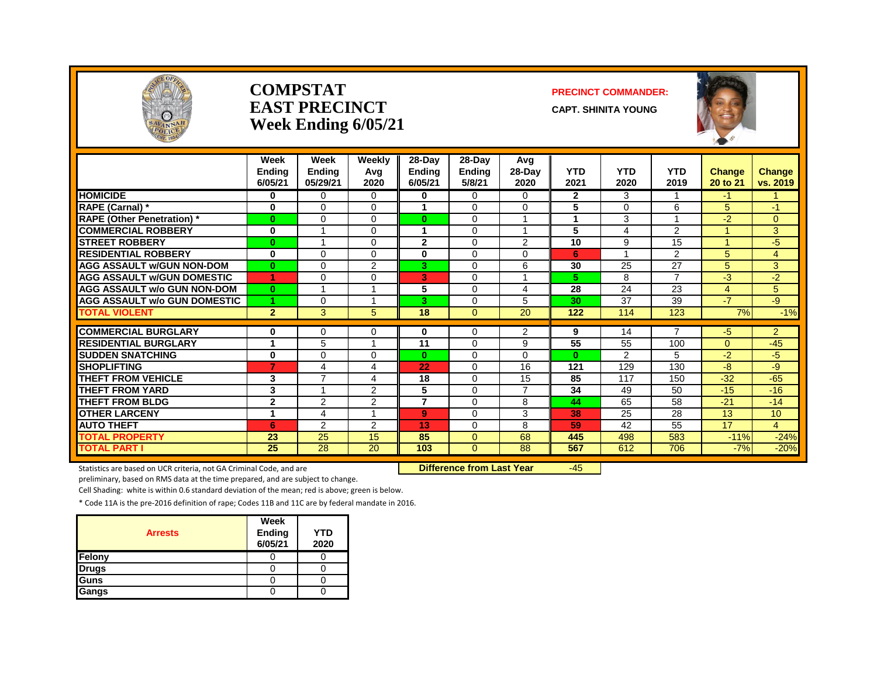

#### **COMPSTAT PRECINCT COMMANDER: EAST PRECINCT CAPT. SHINITA YOUNG Week Ending 6/05/21**



|                                                           | Week<br><b>Endina</b><br>6/05/21 | Week<br><b>Ending</b><br>05/29/21 | Weekly<br>Avg<br>2020 | 28-Day<br>Ending<br>6/05/21 | 28-Day<br><b>Ending</b><br>5/8/21 | Avg<br>$28-Day$<br>2020 | <b>YTD</b><br>2021 | <b>YTD</b><br>2020 | <b>YTD</b><br>2019      | Change<br>20 to 21 | <b>Change</b><br>vs. 2019 |
|-----------------------------------------------------------|----------------------------------|-----------------------------------|-----------------------|-----------------------------|-----------------------------------|-------------------------|--------------------|--------------------|-------------------------|--------------------|---------------------------|
| <b>HOMICIDE</b>                                           | 0                                | $\Omega$                          | $\Omega$              | 0                           | 0                                 | $\Omega$                | $\mathbf{2}$       | 3                  | 1                       | -1                 |                           |
| RAPE (Carnal) *                                           | $\bf{0}$                         | $\Omega$                          | $\Omega$              |                             | $\Omega$                          | $\Omega$                | 5                  | $\Omega$           | 6                       | 5                  | $-1$                      |
| <b>RAPE (Other Penetration)</b> *                         | $\bf{0}$                         | $\Omega$                          | $\Omega$              | 0                           | 0                                 | 1                       | 1                  | 3                  | $\overline{\mathbf{A}}$ | $-2$               | 0                         |
| <b>COMMERCIAL ROBBERY</b>                                 | $\bf{0}$                         |                                   | $\Omega$              |                             | $\Omega$                          | -1                      | 5                  | 4                  | $\overline{2}$          |                    | 3                         |
| <b>STREET ROBBERY</b>                                     | $\bf{0}$                         |                                   | $\Omega$              | $\overline{2}$              | $\Omega$                          | 2                       | 10                 | 9                  | 15                      |                    | $-5$                      |
| <b>RESIDENTIAL ROBBERY</b>                                | $\mathbf 0$                      | $\Omega$                          | $\Omega$              | 0                           | $\Omega$                          | $\Omega$                | 6                  |                    | $\overline{2}$          | 5                  | 4                         |
| <b>AGG ASSAULT w/GUN NON-DOM</b>                          | $\bf{0}$                         | $\Omega$                          | 2                     | 3.                          | $\Omega$                          | 6                       | 30                 | 25                 | 27                      | 5                  | 3 <sup>1</sup>            |
| <b>AGG ASSAULT w/GUN DOMESTIC</b>                         | 4                                | $\Omega$                          | $\Omega$              | 3                           | $\Omega$                          | $\overline{A}$          | 5                  | 8                  | $\overline{7}$          | $-3$               | $-2$                      |
| <b>AGG ASSAULT w/o GUN NON-DOM</b>                        | $\mathbf{0}$                     |                                   |                       | 5                           | $\Omega$                          | 4                       | 28                 | 24                 | 23                      | 4                  | 5                         |
| <b>AGG ASSAULT w/o GUN DOMESTIC</b>                       | 1                                | $\Omega$                          |                       | 3                           | $\Omega$                          | 5                       | 30                 | 37                 | 39                      | $-7$               | -9                        |
| <b>TOTAL VIOLENT</b>                                      | $\overline{2}$                   | 3                                 | 5                     | 18                          | $\mathbf{0}$                      | 20                      | 122                | 114                | 123                     | 7%                 | $-1%$                     |
|                                                           |                                  |                                   |                       |                             |                                   |                         |                    |                    | ⇁                       |                    |                           |
| <b>COMMERCIAL BURGLARY</b><br><b>RESIDENTIAL BURGLARY</b> | 0                                | $\Omega$                          | 0                     | 0                           | 0                                 | $\overline{2}$          | 9                  | 14                 |                         | -5                 | $\overline{2}$            |
|                                                           |                                  | 5                                 |                       | 11                          | 0                                 | 9                       | 55                 | 55                 | 100                     | $\Omega$           | $-45$                     |
| <b>SUDDEN SNATCHING</b>                                   | 0                                | $\Omega$                          | 0                     | $\mathbf{0}$                | $\Omega$                          | $\Omega$                | $\bf{0}$           | 2                  | 5                       | $-2$               | $-5$                      |
| <b>SHOPLIFTING</b>                                        | $\overline{7}$                   | $\overline{4}$<br>$\overline{7}$  | 4                     | 22                          | $\Omega$                          | 16                      | 121                | 129                | 130                     | -8                 | -9                        |
| <b>THEFT FROM VEHICLE</b>                                 | 3                                | -1                                | 4                     | 18                          | 0                                 | 15                      | 85                 | 117                | 150                     | $-32$              | $-65$                     |
| <b>THEFT FROM YARD</b>                                    | 3                                |                                   | 2                     | 5                           | $\Omega$                          | $\overline{7}$          | 34                 | 49                 | 50                      | $-15$              | $-16$                     |
| <b>THEFT FROM BLDG</b>                                    | $\overline{2}$                   | 2                                 | 2                     | 7                           | $\Omega$                          | 8                       | 44                 | 65                 | 58                      | $-21$              | $-14$                     |
| <b>OTHER LARCENY</b>                                      | 1                                | 4                                 |                       | 9                           | $\Omega$                          | 3                       | 38                 | 25                 | 28                      | 13                 | 10                        |
| <b>AUTO THEFT</b>                                         | 6                                | $\overline{2}$                    | $\overline{2}$        | 13                          | $\Omega$                          | 8                       | 59                 | 42                 | 55                      | 17                 | 4                         |
| <b>TOTAL PROPERTY</b>                                     | 23                               | 25                                | 15                    | 85                          | $\mathbf{0}$                      | 68                      | 445                | 498                | 583                     | $-11%$             | $-24%$                    |
| <b>TOTAL PART I</b>                                       | 25                               | 28                                | 20                    | 103                         | $\Omega$                          | 88                      | 567                | 612                | 706                     | $-7%$              | $-20%$                    |

Statistics are based on UCR criteria, not GA Criminal Code, and are **Difference from Last Year** -45

preliminary, based on RMS data at the time prepared, and are subject to change.

Cell Shading: white is within 0.6 standard deviation of the mean; red is above; green is below.

| <b>Arrests</b> | Week<br>Ending<br>6/05/21 | <b>YTD</b><br>2020 |
|----------------|---------------------------|--------------------|
| Felony         |                           |                    |
| <b>Drugs</b>   |                           |                    |
| Guns           |                           |                    |
| Gangs          |                           |                    |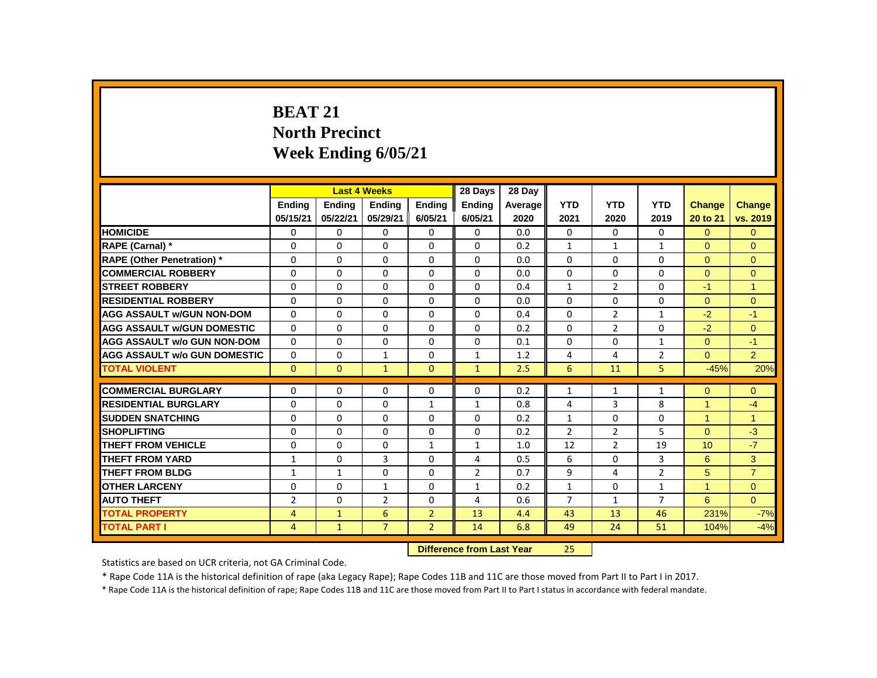# **BEAT 21 North Precinct Week Ending 6/05/21**

|                                     |                |                           | <b>Last 4 Weeks</b> |                | 28 Days        | 28 Day  |                |                |                |                |                |
|-------------------------------------|----------------|---------------------------|---------------------|----------------|----------------|---------|----------------|----------------|----------------|----------------|----------------|
|                                     | <b>Endina</b>  | <b>Endina</b>             | <b>Endina</b>       | <b>Endina</b>  | <b>Endina</b>  | Average | <b>YTD</b>     | <b>YTD</b>     | <b>YTD</b>     | Change         | <b>Change</b>  |
|                                     | 05/15/21       | 05/22/21                  | 05/29/21            | 6/05/21        | 6/05/21        | 2020    | 2021           | 2020           | 2019           | 20 to 21       | vs. 2019       |
| <b>HOMICIDE</b>                     | 0              | 0                         | 0                   | $\mathbf 0$    | $\mathbf{0}$   | 0.0     | $\mathbf{0}$   | $\Omega$       | $\mathbf{0}$   | $\overline{0}$ | $\overline{0}$ |
| RAPE (Carnal) *                     | 0              | $\Omega$                  | $\Omega$            | $\Omega$       | $\Omega$       | 0.2     | $\mathbf{1}$   | $\mathbf{1}$   | $\mathbf{1}$   | $\Omega$       | $\Omega$       |
| <b>RAPE (Other Penetration) *</b>   | 0              | 0                         | 0                   | $\mathbf{0}$   | $\Omega$       | 0.0     | $\Omega$       | $\mathbf{0}$   | 0              | $\Omega$       | $\mathbf{0}$   |
| <b>COMMERCIAL ROBBERY</b>           | $\Omega$       | $\mathbf{0}$              | $\Omega$            | $\mathbf{0}$   | $\mathbf{0}$   | 0.0     | $\Omega$       | $\Omega$       | $\Omega$       | $\Omega$       | $\mathbf{0}$   |
| <b>STREET ROBBERY</b>               | 0              | $\Omega$                  | $\Omega$            | $\Omega$       | $\Omega$       | 0.4     | $\mathbf{1}$   | $\overline{2}$ | $\Omega$       | $-1$           | $\mathbf{1}$   |
| <b>RESIDENTIAL ROBBERY</b>          | 0              | 0                         | 0                   | $\mathbf{0}$   | 0              | 0.0     | 0              | 0              | 0              | $\Omega$       | $\mathbf{0}$   |
| <b>AGG ASSAULT w/GUN NON-DOM</b>    | 0              | $\Omega$                  | $\Omega$            | $\Omega$       | $\Omega$       | 0.4     | $\Omega$       | $\overline{2}$ | $\mathbf{1}$   | $-2$           | $-1$           |
| <b>AGG ASSAULT w/GUN DOMESTIC</b>   | $\Omega$       | $\Omega$                  | $\Omega$            | $\mathbf{0}$   | $\Omega$       | 0.2     | $\Omega$       | $\overline{2}$ | $\Omega$       | $-2$           | $\overline{0}$ |
| <b>AGG ASSAULT w/o GUN NON-DOM</b>  | $\Omega$       | 0                         | 0                   | $\mathbf{0}$   | 0              | 0.1     | 0              | 0              | $\mathbf{1}$   | $\Omega$       | $-1$           |
| <b>AGG ASSAULT w/o GUN DOMESTIC</b> | 0              | $\mathbf{0}$              | 1                   | $\mathbf{0}$   | 1              | 1.2     | 4              | 4              | $\overline{2}$ | $\Omega$       | $\overline{2}$ |
| <b>TOTAL VIOLENT</b>                | $\Omega$       | $\mathbf{0}$              | $\mathbf{1}$        | $\mathbf{0}$   | $\mathbf{1}$   | 2.5     | 6              | 11             | 5              | $-45%$         | 20%            |
| <b>COMMERCIAL BURGLARY</b>          | 0              | $\Omega$                  | $\Omega$            | 0              | $\Omega$       | 0.2     | $\mathbf{1}$   | $\mathbf{1}$   | $\mathbf{1}$   | $\Omega$       | $\Omega$       |
| <b>RESIDENTIAL BURGLARY</b>         | 0              | $\Omega$                  | $\Omega$            | $\mathbf{1}$   | $\mathbf{1}$   | 0.8     | 4              | 3              | 8              | 1              | $-4$           |
| <b>SUDDEN SNATCHING</b>             | 0              | $\Omega$                  | $\Omega$            | 0              | $\Omega$       | 0.2     | $\mathbf{1}$   | $\Omega$       | $\Omega$       | $\mathbf{1}$   | $\mathbf{1}$   |
| <b>SHOPLIFTING</b>                  | $\Omega$       | $\Omega$                  | $\Omega$            | $\Omega$       | $\Omega$       | 0.2     | $\overline{2}$ | $\overline{2}$ | 5              | $\Omega$       | $-3$           |
| <b>THEFT FROM VEHICLE</b>           | 0              | $\Omega$                  | $\Omega$            | $\mathbf{1}$   | $\mathbf{1}$   | 1.0     | 12             | $\overline{2}$ | 19             | 10             | $-7$           |
| <b>THEFT FROM YARD</b>              | 1              | $\mathbf{0}$              | 3                   | $\mathbf{0}$   | 4              | 0.5     | 6              | 0              | 3              | 6              | 3              |
| <b>THEFT FROM BLDG</b>              | $\mathbf{1}$   | $\mathbf{1}$              | $\Omega$            | $\mathbf{0}$   | $\overline{2}$ | 0.7     | 9              | 4              | $\overline{2}$ | 5              | $\overline{7}$ |
| <b>OTHER LARCENY</b>                | 0              | $\mathbf 0$               | $\mathbf{1}$        | $\mathbf 0$    | $\mathbf{1}$   | 0.2     | $\mathbf{1}$   | 0              | $\mathbf{1}$   | $\mathbf{1}$   | $\mathbf{0}$   |
| <b>AUTO THEFT</b>                   | $\overline{2}$ | $\mathbf{0}$              | $\overline{2}$      | $\mathbf{0}$   | $\overline{4}$ | 0.6     | $\overline{7}$ | $\mathbf{1}$   | $\overline{7}$ | 6              | $\Omega$       |
| <b>TOTAL PROPERTY</b>               | 4              | $\mathbf{1}$              | 6                   | $\overline{2}$ | 13             | 4.4     | 43             | 13             | 46             | 231%           | $-7%$          |
| <b>TOTAL PART I</b>                 | 4              | $\mathbf{1}$              | $\overline{7}$      | $\overline{2}$ | 14             | 6.8     | 49             | 24             | 51             | 104%           | $-4%$          |
|                                     |                | Difference from Last Voor |                     | つに             |                |         |                |                |                |                |                |

**DIFFERENCE FROM LAST YEAR** 

Statistics are based on UCR criteria, not GA Criminal Code.

\* Rape Code 11A is the historical definition of rape (aka Legacy Rape); Rape Codes 11B and 11C are those moved from Part II to Part I in 2017.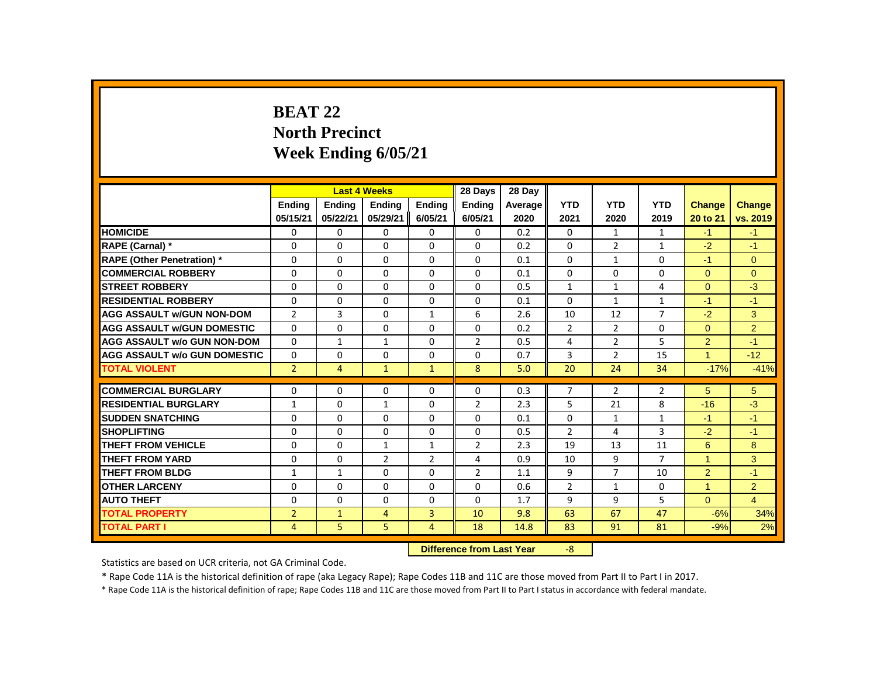# **BEAT 22 North Precinct Week Ending 6/05/21**

|                                     |                |                | <b>Last 4 Weeks</b> |                | 28 Days        | 28 Day  |                |                |                |                |                |
|-------------------------------------|----------------|----------------|---------------------|----------------|----------------|---------|----------------|----------------|----------------|----------------|----------------|
|                                     | <b>Ending</b>  | <b>Ending</b>  | <b>Ending</b>       | Ending         | Ending         | Average | <b>YTD</b>     | <b>YTD</b>     | <b>YTD</b>     | <b>Change</b>  | <b>Change</b>  |
|                                     | 05/15/21       | 05/22/21       | 05/29/21            | 6/05/21        | 6/05/21        | 2020    | 2021           | 2020           | 2019           | 20 to 21       | vs. 2019       |
| <b>HOMICIDE</b>                     | 0              | 0              | 0                   | 0              | 0              | 0.2     | 0              | $\mathbf{1}$   | $\mathbf{1}$   | $-1$           | $-1$           |
| RAPE (Carnal) *                     | 0              | $\Omega$       | $\Omega$            | $\Omega$       | 0              | 0.2     | $\Omega$       | $\overline{2}$ | $\mathbf{1}$   | $-2$           | $-1$           |
| <b>RAPE (Other Penetration)</b> *   | 0              | 0              | 0                   | 0              | 0              | 0.1     | 0              | $\mathbf{1}$   | 0              | $-1$           | $\mathbf{0}$   |
| <b>COMMERCIAL ROBBERY</b>           | $\Omega$       | $\Omega$       | $\Omega$            | $\Omega$       | $\Omega$       | 0.1     | $\Omega$       | $\Omega$       | $\Omega$       | $\Omega$       | $\Omega$       |
| <b>STREET ROBBERY</b>               | $\Omega$       | $\Omega$       | $\Omega$            | $\Omega$       | 0              | 0.5     | $\mathbf{1}$   | $\mathbf{1}$   | 4              | $\Omega$       | $-3$           |
| <b>RESIDENTIAL ROBBERY</b>          | 0              | 0              | 0                   | 0              | 0              | 0.1     | $\Omega$       | $\mathbf{1}$   | $\mathbf{1}$   | $-1$           | $-1$           |
| <b>AGG ASSAULT w/GUN NON-DOM</b>    | $\overline{2}$ | 3              | $\Omega$            | $\mathbf{1}$   | 6              | 2.6     | 10             | 12             | $\overline{7}$ | $-2$           | 3              |
| <b>AGG ASSAULT w/GUN DOMESTIC</b>   | $\Omega$       | $\Omega$       | $\Omega$            | $\Omega$       | $\Omega$       | 0.2     | $\overline{2}$ | $\overline{2}$ | $\Omega$       | $\Omega$       | $\overline{2}$ |
| <b>AGG ASSAULT w/o GUN NON-DOM</b>  | $\Omega$       | $\mathbf{1}$   | $\mathbf{1}$        | $\Omega$       | $\overline{2}$ | 0.5     | 4              | $\overline{2}$ | 5              | $\overline{2}$ | $-1$           |
| <b>AGG ASSAULT w/o GUN DOMESTIC</b> | $\Omega$       | 0              | 0                   | 0              | 0              | 0.7     | 3              | $\overline{2}$ | 15             | $\mathbf{1}$   | $-12$          |
| <b>TOTAL VIOLENT</b>                | $\overline{2}$ | $\overline{4}$ | $\mathbf{1}$        | $\mathbf{1}$   | 8              | 5.0     | 20             | 24             | 34             | $-17%$         | $-41%$         |
| <b>COMMERCIAL BURGLARY</b>          | 0              | 0              | 0                   | 0              | 0              | 0.3     | $\overline{7}$ | $\overline{2}$ | $\overline{2}$ | 5              | 5              |
| <b>RESIDENTIAL BURGLARY</b>         | $\mathbf{1}$   | $\Omega$       | $\mathbf{1}$        | $\Omega$       | $\overline{2}$ | 2.3     | 5              | 21             | 8              | $-16$          | $-3$           |
| <b>SUDDEN SNATCHING</b>             | $\Omega$       | $\Omega$       | $\Omega$            | $\Omega$       | 0              | 0.1     | $\Omega$       | $\mathbf{1}$   | $\mathbf{1}$   | $-1$           | $-1$           |
| <b>SHOPLIFTING</b>                  | $\Omega$       | $\Omega$       | $\Omega$            | $\Omega$       | $\Omega$       | 0.5     | $\overline{2}$ | 4              | 3              | $-2$           | $-1$           |
| THEFT FROM VEHICLE                  | 0              | 0              | $\mathbf{1}$        | $\mathbf{1}$   | $\overline{2}$ | 2.3     | 19             | 13             | 11             | 6              | 8              |
| THEFT FROM YARD                     | $\Omega$       | $\Omega$       | $\overline{2}$      | $\overline{2}$ | 4              | 0.9     | 10             | 9              | $\overline{7}$ | $\mathbf{1}$   | 3              |
| <b>THEFT FROM BLDG</b>              | $\mathbf{1}$   | $\mathbf{1}$   | $\Omega$            | $\Omega$       | $\overline{2}$ | 1.1     | 9              | $\overline{7}$ | 10             | $\overline{2}$ | $-1$           |
| <b>OTHER LARCENY</b>                | 0              | $\Omega$       | $\Omega$            | $\Omega$       | $\Omega$       | 0.6     | $\overline{2}$ | $\mathbf{1}$   | 0              | $\mathbf{1}$   | $\overline{2}$ |
| <b>AUTO THEFT</b>                   | $\Omega$       | 0              | $\Omega$            | $\Omega$       | $\Omega$       | 1.7     | 9              | 9              | 5              | $\overline{0}$ | $\overline{4}$ |
| <b>TOTAL PROPERTY</b>               | $\overline{2}$ | $\mathbf{1}$   | $\overline{4}$      | 3              | 10             | 9.8     | 63             | 67             | 47             | $-6%$          | 34%            |
| <b>TOTAL PART I</b>                 | $\overline{4}$ | 5              | 5                   | $\overline{4}$ | 18             | 14.8    | 83             | 91             | 81             | $-9%$          | 2%             |
|                                     |                |                |                     |                |                |         | $-8$           |                |                |                |                |

**Difference from Last Year** -8

Statistics are based on UCR criteria, not GA Criminal Code.

\* Rape Code 11A is the historical definition of rape (aka Legacy Rape); Rape Codes 11B and 11C are those moved from Part II to Part I in 2017.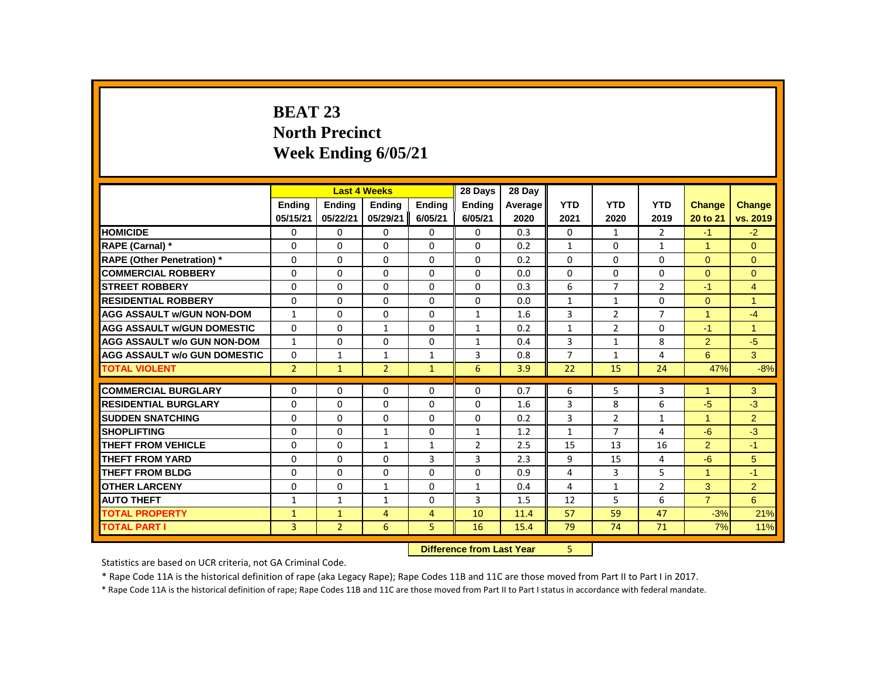# **BEAT 23 North Precinct Week Ending 6/05/21**

|                                     |                |                | <b>Last 4 Weeks</b> |                | 28 Days                   | 28 Day  |                |                |                |                      |                |
|-------------------------------------|----------------|----------------|---------------------|----------------|---------------------------|---------|----------------|----------------|----------------|----------------------|----------------|
|                                     | <b>Ending</b>  | <b>Ending</b>  | <b>Ending</b>       | <b>Ending</b>  | <b>Ending</b>             | Average | <b>YTD</b>     | <b>YTD</b>     | <b>YTD</b>     | <b>Change</b>        | Change         |
|                                     | 05/15/21       | 05/22/21       | 05/29/21            | 6/05/21        | 6/05/21                   | 2020    | 2021           | 2020           | 2019           | 20 to 21             | vs. 2019       |
| <b>HOMICIDE</b>                     | 0              | 0              | 0                   | 0              | $\mathbf{0}$              | 0.3     | 0              | $\mathbf{1}$   | $\overline{2}$ | $-1$                 | $-2$           |
| RAPE (Carnal) *                     | 0              | $\Omega$       | $\Omega$            | $\Omega$       | 0                         | 0.2     | $\mathbf{1}$   | $\Omega$       | $\mathbf{1}$   | $\blacktriangleleft$ | $\Omega$       |
| <b>RAPE (Other Penetration)</b> *   | $\Omega$       | $\Omega$       | $\Omega$            | $\Omega$       | 0                         | 0.2     | $\Omega$       | $\Omega$       | $\Omega$       | $\Omega$             | $\mathbf{0}$   |
| <b>COMMERCIAL ROBBERY</b>           | $\Omega$       | $\Omega$       | $\Omega$            | $\Omega$       | 0                         | 0.0     | $\Omega$       | $\Omega$       | $\Omega$       | $\Omega$             | $\Omega$       |
| <b>STREET ROBBERY</b>               | 0              | 0              | 0                   | 0              | 0                         | 0.3     | 6              | $\overline{7}$ | $\overline{2}$ | $-1$                 | $\overline{4}$ |
| <b>RESIDENTIAL ROBBERY</b>          | $\Omega$       | $\Omega$       | $\Omega$            | $\Omega$       | 0                         | 0.0     | $\mathbf{1}$   | $\mathbf{1}$   | $\Omega$       | $\Omega$             | $\overline{1}$ |
| <b>AGG ASSAULT w/GUN NON-DOM</b>    | $\mathbf{1}$   | $\Omega$       | $\Omega$            | $\Omega$       | $\mathbf{1}$              | 1.6     | 3              | $\overline{2}$ | $\overline{7}$ | $\blacktriangleleft$ | $-4$           |
| <b>AGG ASSAULT w/GUN DOMESTIC</b>   | $\Omega$       | $\Omega$       | $\mathbf{1}$        | $\Omega$       | $\mathbf{1}$              | 0.2     | $\mathbf{1}$   | $\overline{2}$ | $\Omega$       | $-1$                 | $\mathbf{1}$   |
| <b>AGG ASSAULT w/o GUN NON-DOM</b>  | $\mathbf{1}$   | $\Omega$       | $\Omega$            | $\Omega$       | $\mathbf{1}$              | 0.4     | 3              | $\mathbf{1}$   | 8              | $\overline{2}$       | $-5$           |
| <b>AGG ASSAULT w/o GUN DOMESTIC</b> | 0              | 1              | 1                   | $\mathbf{1}$   | 3                         | 0.8     | $\overline{7}$ | $\mathbf{1}$   | 4              | 6                    | 3              |
| <b>TOTAL VIOLENT</b>                | $\overline{2}$ | $\mathbf{1}$   | $\overline{2}$      | $\mathbf{1}$   | 6                         | 3.9     | 22             | 15             | 24             | 47%                  | $-8%$          |
| <b>COMMERCIAL BURGLARY</b>          | 0              | 0              | 0                   | 0              | 0                         | 0.7     | 6              | 5              | 3              | $\blacktriangleleft$ | 3              |
| <b>RESIDENTIAL BURGLARY</b>         | $\Omega$       | $\Omega$       | $\Omega$            | $\Omega$       | 0                         | 1.6     | 3              | 8              | 6              | $-5$                 | $-3$           |
| <b>SUDDEN SNATCHING</b>             | $\Omega$       | $\Omega$       | $\Omega$            | $\Omega$       | $\Omega$                  | 0.2     | 3              | $\overline{2}$ | $\mathbf{1}$   | $\blacktriangleleft$ | $\overline{2}$ |
| <b>SHOPLIFTING</b>                  | $\Omega$       | $\Omega$       | $\mathbf{1}$        | $\Omega$       | $\mathbf{1}$              | 1.2     | $\mathbf{1}$   | $\overline{7}$ | 4              | $-6$                 | $-3$           |
| <b>THEFT FROM VEHICLE</b>           | $\Omega$       | $\Omega$       | $\mathbf{1}$        | $\mathbf{1}$   | $\overline{2}$            | 2.5     | 15             | 13             | 16             | $\overline{2}$       | $-1$           |
| <b>THEFT FROM YARD</b>              | 0              | 0              | 0                   | 3              | 3                         | 2.3     | 9              | 15             | 4              | $-6$                 | 5              |
| <b>THEFT FROM BLDG</b>              | $\Omega$       | $\Omega$       | $\Omega$            | $\Omega$       | 0                         | 0.9     | 4              | 3              | 5              | $\blacktriangleleft$ | $-1$           |
| <b>OTHER LARCENY</b>                | $\Omega$       | $\Omega$       | 1                   | $\Omega$       | 1                         | 0.4     | 4              | $\mathbf{1}$   | $\overline{2}$ | 3                    | $\overline{2}$ |
| <b>AUTO THEFT</b>                   | $\mathbf{1}$   | $\mathbf{1}$   | $\mathbf{1}$        | $\Omega$       | 3                         | 1.5     | 12             | 5              | 6              | $\overline{7}$       | 6              |
| <b>TOTAL PROPERTY</b>               | 1              | 1              | $\overline{4}$      | $\overline{4}$ | 10                        | 11.4    | 57             | 59             | 47             | $-3%$                | 21%            |
| <b>TOTAL PART I</b>                 | $\overline{3}$ | $\overline{2}$ | 6                   | 5              | 16                        | 15.4    | 79             | 74             | 71             | 7%                   | 11%            |
|                                     |                |                |                     |                | Difference from Last Year |         | 5.             |                |                |                      |                |

**Difference from Last Year** 5

Statistics are based on UCR criteria, not GA Criminal Code.

\* Rape Code 11A is the historical definition of rape (aka Legacy Rape); Rape Codes 11B and 11C are those moved from Part II to Part I in 2017.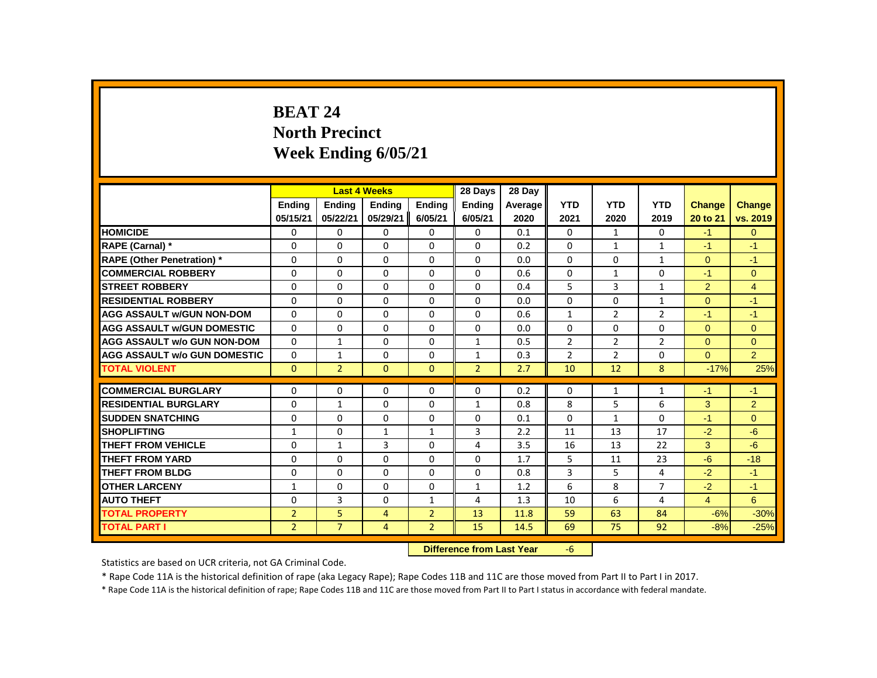# **BEAT 24 North Precinct Week Ending 6/05/21**

|                                     |                |                | <b>Last 4 Weeks</b> |                                         | 28 Days        | 28 Day  |                |                |                |                |                |
|-------------------------------------|----------------|----------------|---------------------|-----------------------------------------|----------------|---------|----------------|----------------|----------------|----------------|----------------|
|                                     | <b>Endina</b>  | <b>Ending</b>  | <b>Ending</b>       | <b>Ending</b>                           | <b>Ending</b>  | Average | <b>YTD</b>     | <b>YTD</b>     | <b>YTD</b>     | <b>Change</b>  | Change         |
|                                     | 05/15/21       | 05/22/21       | 05/29/21            | 6/05/21                                 | 6/05/21        | 2020    | 2021           | 2020           | 2019           | 20 to 21       | vs. 2019       |
| <b>HOMICIDE</b>                     | 0              | 0              | 0                   | 0                                       | 0              | 0.1     | 0              | $\mathbf{1}$   | $\mathbf{0}$   | $-1$           | $\mathbf{0}$   |
| RAPE (Carnal) *                     | 0              | $\Omega$       | $\Omega$            | $\Omega$                                | 0              | 0.2     | $\Omega$       | $\mathbf{1}$   | $\mathbf{1}$   | $-1$           | $-1$           |
| <b>RAPE (Other Penetration)</b> *   | 0              | 0              | 0                   | 0                                       | 0              | 0.0     | $\Omega$       | $\mathbf{0}$   | $\mathbf{1}$   | $\Omega$       | $-1$           |
| <b>COMMERCIAL ROBBERY</b>           | $\Omega$       | $\Omega$       | $\Omega$            | $\Omega$                                | $\Omega$       | 0.6     | $\Omega$       | $\mathbf{1}$   | $\Omega$       | $-1$           | $\Omega$       |
| <b>STREET ROBBERY</b>               | $\Omega$       | $\Omega$       | $\Omega$            | $\Omega$                                | $\Omega$       | 0.4     | 5              | 3              | $\mathbf{1}$   | $\overline{2}$ | $\overline{4}$ |
| <b>RESIDENTIAL ROBBERY</b>          | $\Omega$       | $\Omega$       | $\Omega$            | $\Omega$                                | 0              | 0.0     | $\Omega$       | $\Omega$       | $\mathbf{1}$   | $\Omega$       | $-1$           |
| <b>AGG ASSAULT w/GUN NON-DOM</b>    | $\Omega$       | $\Omega$       | $\Omega$            | $\Omega$                                | 0              | 0.6     | $\mathbf{1}$   | $\overline{2}$ | $\overline{2}$ | $-1$           | $-1$           |
| <b>AGG ASSAULT w/GUN DOMESTIC</b>   | $\Omega$       | 0              | 0                   | 0                                       | 0              | 0.0     | 0              | $\mathbf 0$    | 0              | $\overline{0}$ | $\mathbf{0}$   |
| <b>AGG ASSAULT w/o GUN NON-DOM</b>  | $\Omega$       | $\mathbf{1}$   | $\Omega$            | $\Omega$                                | $\mathbf{1}$   | 0.5     | $\overline{2}$ | $\overline{2}$ | $\overline{2}$ | $\Omega$       | $\Omega$       |
| <b>AGG ASSAULT w/o GUN DOMESTIC</b> | 0              | 1              | 0                   | 0                                       | 1              | 0.3     | 2              | $\overline{2}$ | 0              | $\Omega$       | $\overline{2}$ |
| <b>TOTAL VIOLENT</b>                | $\mathbf{0}$   | $\overline{2}$ | $\mathbf{0}$        | $\mathbf{0}$                            | $\overline{2}$ | 2.7     | 10             | 12             | 8              | $-17%$         | 25%            |
| <b>COMMERCIAL BURGLARY</b>          | $\Omega$       | $\Omega$       | $\Omega$            | $\Omega$                                | 0              | 0.2     | $\Omega$       | $\mathbf{1}$   | $\mathbf{1}$   | $-1$           | $-1$           |
| <b>RESIDENTIAL BURGLARY</b>         | $\Omega$       | 1              | $\Omega$            | $\Omega$                                | $\mathbf{1}$   | 0.8     | 8              | 5              | 6              | 3              | $\overline{2}$ |
| <b>SUDDEN SNATCHING</b>             | 0              | 0              | $\Omega$            | 0                                       | 0              | 0.1     | $\Omega$       | $\mathbf{1}$   | $\Omega$       | $-1$           | $\Omega$       |
| <b>SHOPLIFTING</b>                  | $\mathbf{1}$   | $\Omega$       | 1                   | $\mathbf{1}$                            | 3              | 2.2     | 11             | 13             | 17             | $-2$           | $-6$           |
| THEFT FROM VEHICLE                  | $\Omega$       | $\mathbf{1}$   | 3                   | $\Omega$                                | 4              | 3.5     | 16             | 13             | 22             | 3              | $-6$           |
| THEFT FROM YARD                     | 0              | 0              | $\Omega$            | 0                                       | 0              | 1.7     | 5              | 11             | 23             | $-6$           | $-18$          |
| <b>THEFT FROM BLDG</b>              | 0              | 0              | $\Omega$            | 0                                       | 0              | 0.8     | 3              | 5              | 4              | $-2$           | $-1$           |
| <b>OTHER LARCENY</b>                | $\mathbf{1}$   | $\Omega$       | $\Omega$            | $\Omega$                                | $\mathbf{1}$   | 1.2     | 6              | 8              | $\overline{7}$ | $-2$           | $-1$           |
| <b>AUTO THEFT</b>                   | $\Omega$       | $\overline{3}$ | $\Omega$            | $\mathbf{1}$                            | 4              | 1.3     | 10             | 6              | 4              | $\overline{4}$ | 6              |
| <b>TOTAL PROPERTY</b>               | $\overline{2}$ | 5              | $\overline{4}$      | $\overline{2}$                          | 13             | 11.8    | 59             | 63             | 84             | $-6%$          | $-30%$         |
| <b>TOTAL PART I</b>                 | $\overline{2}$ | $\overline{7}$ | $\overline{4}$      | $\overline{2}$                          | 15             | 14.5    | 69             | 75             | 92             | $-8%$          | $-25%$         |
|                                     |                |                |                     | Difference from Loot Vear<br>$\epsilon$ |                |         |                |                |                |                |                |

 **Difference from Last Year** -6

Statistics are based on UCR criteria, not GA Criminal Code.

\* Rape Code 11A is the historical definition of rape (aka Legacy Rape); Rape Codes 11B and 11C are those moved from Part II to Part I in 2017.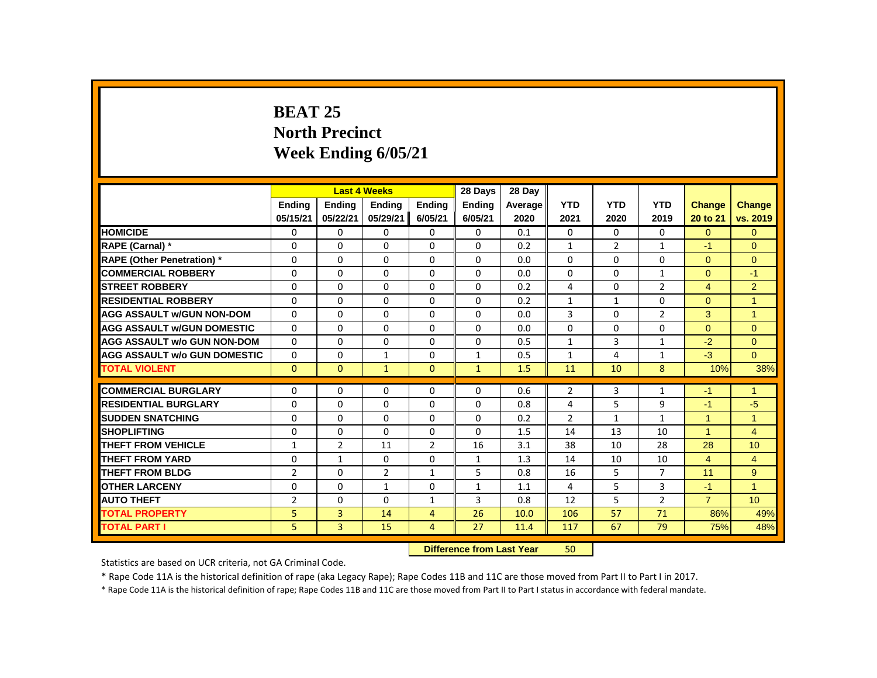# **BEAT 25 North Precinct Week Ending 6/05/21**

|                                     |                |                | <b>Last 4 Weeks</b>              |                | 28 Days       | 28 Dav  |              |                |                |                      |                |
|-------------------------------------|----------------|----------------|----------------------------------|----------------|---------------|---------|--------------|----------------|----------------|----------------------|----------------|
|                                     | <b>Ending</b>  | <b>Ending</b>  | <b>Ending</b>                    | <b>Ending</b>  | <b>Ending</b> | Average | <b>YTD</b>   | <b>YTD</b>     | <b>YTD</b>     | <b>Change</b>        | <b>Change</b>  |
|                                     | 05/15/21       | 05/22/21       | 05/29/21                         | 6/05/21        | 6/05/21       | 2020    | 2021         | 2020           | 2019           | 20 to 21             | vs. 2019       |
| <b>HOMICIDE</b>                     | 0              | $\Omega$       | 0                                | $\Omega$       | 0             | 0.1     | 0            | $\mathbf{0}$   | 0              | $\Omega$             | $\mathbf{0}$   |
| RAPE (Carnal) *                     | $\Omega$       | $\Omega$       | $\Omega$                         | $\Omega$       | $\Omega$      | 0.2     | $\mathbf{1}$ | $\overline{2}$ | $\mathbf{1}$   | $-1$                 | $\Omega$       |
| <b>RAPE (Other Penetration)</b> *   | $\Omega$       | $\Omega$       | $\Omega$                         | $\Omega$       | $\Omega$      | 0.0     | $\Omega$     | $\Omega$       | $\Omega$       | $\Omega$             | $\mathbf{0}$   |
| <b>COMMERCIAL ROBBERY</b>           | $\Omega$       | $\Omega$       | $\Omega$                         | $\Omega$       | $\Omega$      | 0.0     | $\Omega$     | $\Omega$       | $\mathbf{1}$   | $\Omega$             | $-1$           |
| <b>STREET ROBBERY</b>               | 0              | 0              | $\Omega$                         | $\Omega$       | $\mathbf{0}$  | 0.2     | 4            | $\Omega$       | $\overline{2}$ | $\overline{4}$       | 2              |
| <b>RESIDENTIAL ROBBERY</b>          | $\Omega$       | $\Omega$       | $\Omega$                         | $\Omega$       | $\Omega$      | 0.2     | $\mathbf{1}$ | $\mathbf{1}$   | $\Omega$       | $\Omega$             | $\overline{1}$ |
| <b>AGG ASSAULT W/GUN NON-DOM</b>    | $\Omega$       | $\Omega$       | $\Omega$                         | $\Omega$       | $\Omega$      | 0.0     | 3            | $\Omega$       | $\overline{2}$ | 3                    | $\overline{1}$ |
| <b>AGG ASSAULT W/GUN DOMESTIC</b>   | $\Omega$       | $\Omega$       | $\Omega$                         | $\Omega$       | $\Omega$      | 0.0     | $\Omega$     | $\Omega$       | 0              | $\Omega$             | $\mathbf{0}$   |
| <b>AGG ASSAULT w/o GUN NON-DOM</b>  | $\Omega$       | $\Omega$       | $\Omega$                         | $\Omega$       | $\Omega$      | 0.5     | $\mathbf{1}$ | 3              | $\mathbf{1}$   | $-2$                 | $\Omega$       |
| <b>AGG ASSAULT W/o GUN DOMESTIC</b> | 0              | 0              | $\mathbf{1}$                     | 0              | $\mathbf{1}$  | 0.5     | $\mathbf{1}$ | 4              | $\mathbf{1}$   | $-3$                 | $\overline{0}$ |
| <b>TOTAL VIOLENT</b>                | $\mathbf{0}$   | $\mathbf{0}$   | $\mathbf{1}$                     | $\mathbf{0}$   | $\mathbf{1}$  | 1.5     | 11           | 10             | 8              | 10%                  | 38%            |
| <b>COMMERCIAL BURGLARY</b>          |                |                | 0                                | $\Omega$       | $\mathbf{0}$  | 0.6     | 2            | 3              |                |                      | $\overline{1}$ |
| <b>RESIDENTIAL BURGLARY</b>         | 0              | 0<br>$\Omega$  | $\Omega$                         | $\Omega$       | $\Omega$      |         | 4            | 5              | 1              | $-1$<br>$-1$         |                |
|                                     | $\Omega$       |                |                                  |                |               | 0.8     |              |                | 9              |                      | $-5$           |
| <b>SUDDEN SNATCHING</b>             | 0              | 0              | 0                                | 0              | 0             | 0.2     | 2            | $\mathbf{1}$   | $\mathbf{1}$   | $\blacktriangleleft$ | $\overline{1}$ |
| <b>SHOPLIFTING</b>                  | $\Omega$       | $\Omega$       | $\Omega$                         | $\Omega$       | $\Omega$      | 1.5     | 14           | 13             | 10             | $\overline{1}$       | $\overline{4}$ |
| <b>THEFT FROM VEHICLE</b>           | $\mathbf{1}$   | $\overline{2}$ | 11                               | $\overline{2}$ | 16            | 3.1     | 38           | 10             | 28             | 28                   | 10             |
| <b>THEFT FROM YARD</b>              | $\Omega$       | $\mathbf{1}$   | $\Omega$                         | $\Omega$       | 1             | 1.3     | 14           | 10             | 10             | $\overline{4}$       | $\overline{4}$ |
| <b>THEFT FROM BLDG</b>              | $\overline{2}$ | $\Omega$       | $\overline{2}$                   | 1              | 5             | 0.8     | 16           | 5              | $\overline{7}$ | 11                   | 9              |
| <b>OTHER LARCENY</b>                | $\Omega$       | $\Omega$       | $\mathbf{1}$                     | $\Omega$       | $\mathbf{1}$  | 1.1     | 4            | 5              | $\overline{3}$ | $-1$                 | $\overline{1}$ |
| <b>AUTO THEFT</b>                   | $\overline{2}$ | $\Omega$       | $\Omega$                         | $\mathbf{1}$   | 3             | 0.8     | 12           | 5              | $\overline{2}$ | $\overline{7}$       | 10             |
| <b>TOTAL PROPERTY</b>               | 5              | $\overline{3}$ | 14                               | $\overline{4}$ | 26            | 10.0    | 106          | 57             | 71             | 86%                  | 49%            |
| <b>TOTAL PART I</b>                 | 5              | $\overline{3}$ | 15                               | $\overline{4}$ | 27            | 11.4    | 117          | 67             | 79             | 75%                  | 48%            |
|                                     |                |                | <b>Difference from Last Year</b> |                | 50            |         |              |                |                |                      |                |

Statistics are based on UCR criteria, not GA Criminal Code.

\* Rape Code 11A is the historical definition of rape (aka Legacy Rape); Rape Codes 11B and 11C are those moved from Part II to Part I in 2017.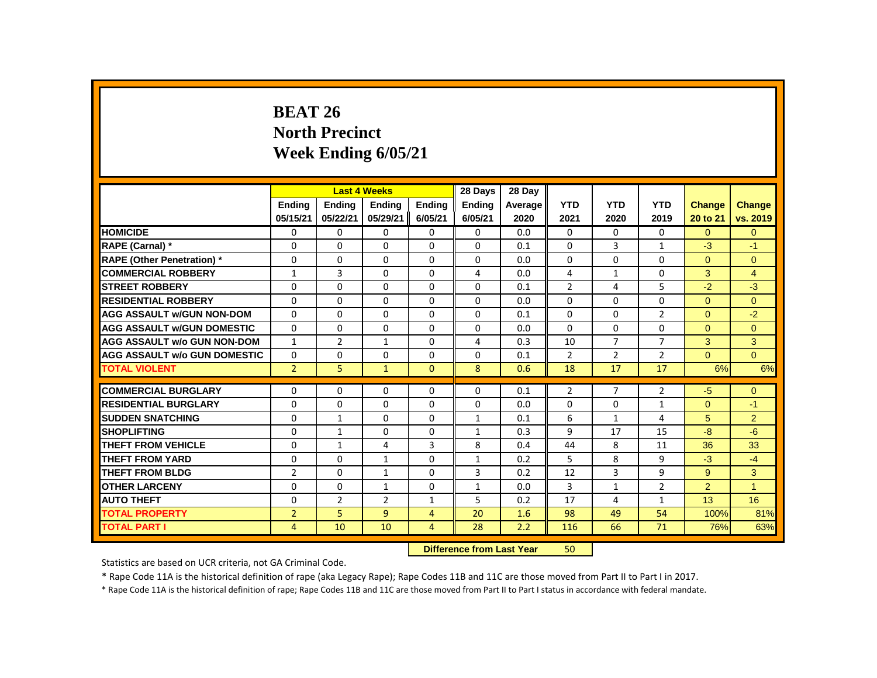# **BEAT 26 North Precinct Week Ending 6/05/21**

|                                     |                |                | <b>Last 4 Weeks</b> |                                  | 28 Days       | 28 Day  |                |                |                |                |                |
|-------------------------------------|----------------|----------------|---------------------|----------------------------------|---------------|---------|----------------|----------------|----------------|----------------|----------------|
|                                     | <b>Endina</b>  | <b>Ending</b>  | <b>Ending</b>       | <b>Endina</b>                    | <b>Endina</b> | Average | <b>YTD</b>     | <b>YTD</b>     | <b>YTD</b>     | <b>Change</b>  | <b>Change</b>  |
|                                     | 05/15/21       | 05/22/21       | 05/29/21            | 6/05/21                          | 6/05/21       | 2020    | 2021           | 2020           | 2019           | 20 to 21       | vs. 2019       |
| <b>HOMICIDE</b>                     | 0              | 0              | 0                   | 0                                | 0             | 0.0     | 0              | 0              | 0              | $\Omega$       | $\mathbf{0}$   |
| RAPE (Carnal) *                     | 0              | $\Omega$       | $\Omega$            | $\Omega$                         | 0             | 0.1     | $\Omega$       | 3              | $\mathbf{1}$   | $-3$           | $-1$           |
| <b>RAPE (Other Penetration)</b> *   | 0              | 0              | $\Omega$            | $\Omega$                         | 0             | 0.0     | $\Omega$       | $\Omega$       | 0              | $\Omega$       | $\mathbf{0}$   |
| <b>COMMERCIAL ROBBERY</b>           | $\mathbf{1}$   | 3              | $\Omega$            | $\Omega$                         | 4             | 0.0     | 4              | $\mathbf{1}$   | $\Omega$       | 3              | $\overline{4}$ |
| <b>STREET ROBBERY</b>               | 0              | $\Omega$       | $\Omega$            | $\Omega$                         | 0             | 0.1     | 2              | 4              | 5              | $-2$           | $-3$           |
| <b>RESIDENTIAL ROBBERY</b>          | $\Omega$       | $\Omega$       | $\Omega$            | $\Omega$                         | 0             | 0.0     | $\Omega$       | $\Omega$       | $\Omega$       | $\Omega$       | $\Omega$       |
| <b>AGG ASSAULT w/GUN NON-DOM</b>    | $\Omega$       | $\Omega$       | $\Omega$            | $\Omega$                         | 0             | 0.1     | $\Omega$       | $\Omega$       | $\overline{2}$ | $\Omega$       | $-2$           |
| <b>AGG ASSAULT w/GUN DOMESTIC</b>   | $\Omega$       | $\Omega$       | $\Omega$            | $\Omega$                         | $\Omega$      | 0.0     | $\Omega$       | $\Omega$       | $\Omega$       | $\Omega$       | $\mathbf{0}$   |
| <b>AGG ASSAULT w/o GUN NON-DOM</b>  | $\mathbf{1}$   | $\overline{2}$ | $\mathbf{1}$        | $\Omega$                         | 4             | 0.3     | 10             | $\overline{7}$ | $\overline{7}$ | 3              | 3              |
| <b>AGG ASSAULT w/o GUN DOMESTIC</b> | $\Omega$       | 0              | $\Omega$            | $\Omega$                         | 0             | 0.1     | 2              | $\overline{2}$ | $\overline{2}$ | $\Omega$       | $\Omega$       |
| <b>TOTAL VIOLENT</b>                | $\overline{2}$ | 5              | $\mathbf{1}$        | $\mathbf{0}$                     | 8             | 0.6     | 18             | 17             | 17             | 6%             | 6%             |
| <b>COMMERCIAL BURGLARY</b>          | $\Omega$       | $\Omega$       | $\Omega$            | $\Omega$                         | $\Omega$      | 0.1     | $\overline{2}$ | $\overline{7}$ | $\overline{2}$ | -5             | $\Omega$       |
| <b>RESIDENTIAL BURGLARY</b>         | 0              | $\Omega$       | 0                   | 0                                | 0             | 0.0     | 0              | 0              | $\mathbf{1}$   | $\mathbf{0}$   | $-1$           |
| <b>SUDDEN SNATCHING</b>             | $\Omega$       | $\mathbf{1}$   | $\Omega$            | $\Omega$                         | 1             | 0.1     | 6              | $\mathbf{1}$   | 4              | 5              | $\overline{2}$ |
| <b>SHOPLIFTING</b>                  | 0              | $\mathbf{1}$   | $\Omega$            | $\Omega$                         | 1             | 0.3     | 9              | 17             | 15             | $-8$           | $-6$           |
| <b>THEFT FROM VEHICLE</b>           | $\Omega$       | $\mathbf{1}$   | 4                   | 3                                | 8             | 0.4     | 44             | 8              | 11             | 36             | 33             |
| THEFT FROM YARD                     | 0              | 0              | $\mathbf{1}$        | 0                                | 1             | 0.2     | 5              | 8              | 9              | $-3$           | $-4$           |
| <b>THEFT FROM BLDG</b>              | $\overline{2}$ | $\Omega$       | $\mathbf{1}$        | $\Omega$                         | 3             | 0.2     | 12             | 3              | 9              | 9              | 3              |
| <b>OTHER LARCENY</b>                | 0              | $\Omega$       | 1                   | $\Omega$                         | 1             | 0.0     | 3              | $\mathbf{1}$   | $\overline{2}$ | $\overline{2}$ | $\overline{1}$ |
| <b>AUTO THEFT</b>                   | $\Omega$       | $\overline{2}$ | $\overline{2}$      | $\mathbf{1}$                     | 5             | 0.2     | 17             | $\overline{4}$ | $\mathbf{1}$   | 13             | 16             |
| <b>TOTAL PROPERTY</b>               | $\overline{2}$ | 5.             | $\overline{9}$      | $\overline{4}$                   | 20            | 1.6     | 98             | 49             | 54             | 100%           | 81%            |
| <b>TOTAL PART I</b>                 | 4              | 10             | 10                  | $\overline{4}$                   | 28            | 2.2     | 116            | 66             | 71             | 76%            | 63%            |
|                                     |                |                |                     | Difference from Loot Vear<br>En. |               |         |                |                |                |                |                |

 **Difference from Last Year** 50

Statistics are based on UCR criteria, not GA Criminal Code.

\* Rape Code 11A is the historical definition of rape (aka Legacy Rape); Rape Codes 11B and 11C are those moved from Part II to Part I in 2017.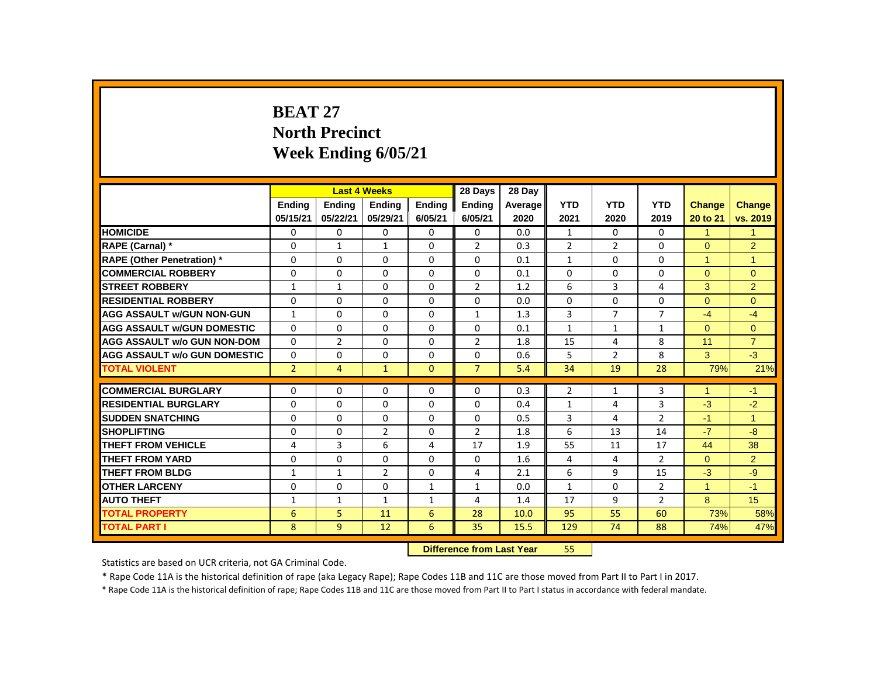# **BEAT 27 North Precinct Week Ending 6/05/21**

|                                     | <b>Last 4 Weeks</b><br><b>Endina</b><br><b>Ending</b><br><b>Ending</b> |                |                |                                  | 28 Days        | 28 Day  |                |                |                |                      |                |
|-------------------------------------|------------------------------------------------------------------------|----------------|----------------|----------------------------------|----------------|---------|----------------|----------------|----------------|----------------------|----------------|
|                                     |                                                                        |                |                | <b>Ending</b>                    | <b>Endina</b>  | Average | <b>YTD</b>     | <b>YTD</b>     | <b>YTD</b>     | Change               | Change         |
|                                     | 05/15/21                                                               | 05/22/21       | 05/29/21       | 6/05/21                          | 6/05/21        | 2020    | 2021           | 2020           | 2019           | 20 to 21             | vs. 2019       |
| <b>HOMICIDE</b>                     | 0                                                                      | 0              | 0              | 0                                | 0              | 0.0     | $\mathbf{1}$   | $\Omega$       | $\mathbf{0}$   | $\mathbf{1}$         | $\mathbf{1}$   |
| RAPE (Carnal) *                     | 0                                                                      | $\mathbf{1}$   | 1              | 0                                | $\overline{2}$ | 0.3     | $\overline{2}$ | $\overline{2}$ | 0              | $\Omega$             | $\overline{2}$ |
| <b>RAPE (Other Penetration) *</b>   | 0                                                                      | 0              | 0              | 0                                | $\mathbf 0$    | 0.1     | 1              | 0              | 0              | $\mathbf{1}$         | $\mathbf{1}$   |
| <b>COMMERCIAL ROBBERY</b>           | $\mathbf{0}$                                                           | $\mathbf{0}$   | $\Omega$       | $\Omega$                         | $\Omega$       | 0.1     | $\Omega$       | $\Omega$       | $\Omega$       | $\Omega$             | $\Omega$       |
| <b>STREET ROBBERY</b>               | 1                                                                      | $\mathbf{1}$   | $\Omega$       | $\Omega$                         | $\overline{2}$ | 1.2     | 6              | 3              | 4              | 3                    | $\overline{2}$ |
| <b>RESIDENTIAL ROBBERY</b>          | $\mathbf{0}$                                                           | $\Omega$       | $\Omega$       | $\Omega$                         | $\Omega$       | 0.0     | $\Omega$       | $\Omega$       | 0              | $\Omega$             | $\Omega$       |
| <b>AGG ASSAULT w/GUN NON-GUN</b>    | $\mathbf{1}$                                                           | 0              | $\Omega$       | 0                                | $\mathbf{1}$   | 1.3     | 3              | $\overline{7}$ | $\overline{7}$ | $-4$                 | $-4$           |
| <b>AGG ASSAULT w/GUN DOMESTIC</b>   | 0                                                                      | 0              | 0              | $\mathbf 0$                      | 0              | 0.1     | $\mathbf{1}$   | $\mathbf{1}$   | $\mathbf{1}$   | $\overline{0}$       | $\overline{0}$ |
| <b>AGG ASSAULT w/o GUN NON-DOM</b>  | $\Omega$                                                               | $\overline{2}$ | $\Omega$       | $\Omega$                         | $\overline{2}$ | 1.8     | 15             | 4              | 8              | 11                   | $\overline{7}$ |
| <b>AGG ASSAULT w/o GUN DOMESTIC</b> | 0                                                                      | 0              | 0              | 0                                | 0              | 0.6     | 5              | $\overline{2}$ | 8              | 3                    | $-3$           |
| <b>TOTAL VIOLENT</b>                | $\overline{2}$                                                         | 4              | $\mathbf{1}$   | $\mathbf{0}$                     | $\overline{7}$ | 5.4     | 34             | 19             | 28             | 79%                  | 21%            |
| <b>COMMERCIAL BURGLARY</b>          | 0                                                                      | 0              | $\Omega$       | $\Omega$                         | 0              | 0.3     | $\overline{2}$ | 1              | 3              | $\blacktriangleleft$ | $-1$           |
| <b>RESIDENTIAL BURGLARY</b>         | 0                                                                      | 0              | $\Omega$       | $\Omega$                         | 0              | 0.4     | 1              | 4              | 3              | $-3$                 | $-2$           |
| <b>SUDDEN SNATCHING</b>             | 0                                                                      | 0              | 0              | 0                                | $\Omega$       | 0.5     | 3              | 4              | $\overline{2}$ | $-1$                 | $\mathbf{1}$   |
| <b>SHOPLIFTING</b>                  | 0                                                                      | $\mathbf{0}$   | $\overline{2}$ | $\mathbf 0$                      | $\overline{2}$ | 1.8     | 6              | 13             | 14             | $-7$                 | $-8$           |
| <b>THEFT FROM VEHICLE</b>           | 4                                                                      | 3              | 6              | 4                                | 17             | 1.9     | 55             | 11             | 17             | 44                   | 38             |
| <b>THEFT FROM YARD</b>              | 0                                                                      | $\mathbf{0}$   | 0              | 0                                | 0              | 1.6     | 4              | 4              | $\overline{2}$ | $\Omega$             | $\overline{2}$ |
| <b>THEFT FROM BLDG</b>              | $\mathbf{1}$                                                           | $\mathbf{1}$   | $\overline{2}$ | 0                                | 4              | 2.1     | 6              | 9              | 15             | $-3$                 | $-9$           |
| <b>OTHER LARCENY</b>                | $\Omega$                                                               | $\mathbf{0}$   | $\Omega$       | $\mathbf{1}$                     | $\mathbf{1}$   | 0.0     | $\mathbf{1}$   | $\Omega$       | $\overline{2}$ | $\mathbf{1}$         | $-1$           |
| <b>AUTO THEFT</b>                   | 1                                                                      | $\mathbf{1}$   | $\mathbf{1}$   | $\mathbf{1}$                     | 4              | 1.4     | 17             | 9              | $\overline{2}$ | 8                    | 15             |
| <b>TOTAL PROPERTY</b>               | 6                                                                      | 5              | 11             | 6                                | 28             | 10.0    | 95             | 55             | 60             | 73%                  | 58%            |
| <b>TOTAL PART I</b>                 | 8                                                                      | 9              | 12             | 6                                | 35             | 15.5    | 129            | 74             | 88             | 74%                  | 47%            |
|                                     |                                                                        |                |                | Difference from Lost Vesr<br>EE. |                |         |                |                |                |                      |                |

 **Difference from Last Year** 55

Statistics are based on UCR criteria, not GA Criminal Code.

\* Rape Code 11A is the historical definition of rape (aka Legacy Rape); Rape Codes 11B and 11C are those moved from Part II to Part I in 2017.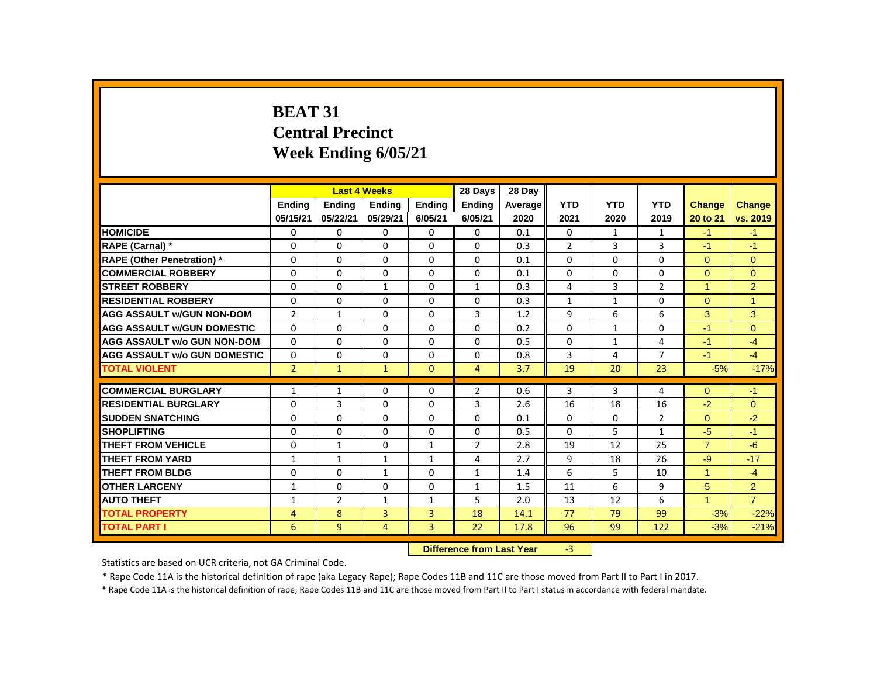# **BEAT 31 Central Precinct Week Ending 6/05/21**

|                                     |                |                | <b>Last 4 Weeks</b> |                                           | 28 Days        | 28 Day  |                |              |                |                |                |
|-------------------------------------|----------------|----------------|---------------------|-------------------------------------------|----------------|---------|----------------|--------------|----------------|----------------|----------------|
|                                     | <b>Endina</b>  | <b>Endina</b>  | <b>Ending</b>       | <b>Endina</b>                             | <b>Endina</b>  | Average | <b>YTD</b>     | <b>YTD</b>   | <b>YTD</b>     | <b>Change</b>  | <b>Change</b>  |
|                                     | 05/15/21       | 05/22/21       | 05/29/21            | 6/05/21                                   | 6/05/21        | 2020    | 2021           | 2020         | 2019           | 20 to 21       | vs. 2019       |
| <b>HOMICIDE</b>                     | 0              | $\mathbf{0}$   | 0                   | $\Omega$                                  | $\mathbf{0}$   | 0.1     | $\mathbf{0}$   | $\mathbf{1}$ | $\mathbf{1}$   | $-1$           | $-1$           |
| RAPE (Carnal) *                     | 0              | $\Omega$       | $\Omega$            | $\Omega$                                  | $\Omega$       | 0.3     | $\overline{2}$ | 3            | 3              | $-1$           | $-1$           |
| <b>RAPE (Other Penetration) *</b>   | 0              | 0              | 0                   | $\mathbf{0}$                              | $\Omega$       | 0.1     | $\Omega$       | $\mathbf{0}$ | 0              | $\Omega$       | $\mathbf{0}$   |
| <b>COMMERCIAL ROBBERY</b>           | $\Omega$       | $\mathbf{0}$   | $\Omega$            | $\mathbf{0}$                              | $\mathbf{0}$   | 0.1     | $\Omega$       | $\Omega$     | $\Omega$       | $\Omega$       | $\Omega$       |
| <b>STREET ROBBERY</b>               | $\Omega$       | $\Omega$       | $\mathbf{1}$        | $\Omega$                                  | $\mathbf{1}$   | 0.3     | 4              | 3            | $\overline{2}$ | $\mathbf{1}$   | 2              |
| <b>RESIDENTIAL ROBBERY</b>          | 0              | 0              | $\Omega$            | $\mathbf{0}$                              | 0              | 0.3     | $\mathbf{1}$   | $\mathbf{1}$ | $\Omega$       | $\overline{0}$ | 1              |
| <b>AGG ASSAULT w/GUN NON-DOM</b>    | $\overline{2}$ | $\mathbf{1}$   | 0                   | $\mathbf{0}$                              | 3              | 1.2     | 9              | 6            | 6              | 3              | 3              |
| <b>AGG ASSAULT w/GUN DOMESTIC</b>   | $\Omega$       | $\mathbf{0}$   | 0                   | $\mathbf{0}$                              | 0              | 0.2     | $\Omega$       | $\mathbf{1}$ | 0              | $-1$           | $\mathbf{0}$   |
| <b>AGG ASSAULT w/o GUN NON-DOM</b>  | $\mathbf{0}$   | $\mathbf{0}$   | $\Omega$            | $\mathbf{0}$                              | $\mathbf{0}$   | 0.5     | $\Omega$       | $\mathbf{1}$ | $\overline{4}$ | $-1$           | $-4$           |
| <b>AGG ASSAULT W/o GUN DOMESTIC</b> | $\Omega$       | 0              | $\Omega$            | $\mathbf{0}$                              | $\Omega$       | 0.8     | 3              | 4            | $\overline{7}$ | $-1$           | $-4$           |
| <b>TOTAL VIOLENT</b>                | $\overline{2}$ | $\mathbf{1}$   | $\mathbf{1}$        | $\mathbf{0}$                              | 4              | 3.7     | 19             | 20           | 23             | $-5%$          | $-17%$         |
| <b>COMMERCIAL BURGLARY</b>          | $\mathbf{1}$   | $\mathbf{1}$   | $\Omega$            | $\Omega$                                  | $\overline{2}$ | 0.6     | 3              | 3            | 4              | $\Omega$       | $-1$           |
| <b>RESIDENTIAL BURGLARY</b>         | 0              | 3              | $\Omega$            | $\Omega$                                  | 3              | 2.6     | 16             | 18           | 16             | $-2$           | $\mathbf{0}$   |
| <b>SUDDEN SNATCHING</b>             | 0              | $\Omega$       | 0                   | $\mathbf{0}$                              | $\Omega$       | 0.1     | $\Omega$       | 0            | $\overline{2}$ | $\Omega$       | $-2$           |
| <b>SHOPLIFTING</b>                  | 0              | $\mathbf{0}$   | 0                   | $\mathbf{0}$                              | 0              | 0.5     | $\mathbf{0}$   | 5            | $\mathbf{1}$   | $-5$           | $-1$           |
| <b>THEFT FROM VEHICLE</b>           | 0              | $\mathbf{1}$   | $\Omega$            | $\mathbf{1}$                              | $\overline{2}$ | 2.8     | 19             | 12           | 25             | $\overline{7}$ | $-6$           |
| <b>THEFT FROM YARD</b>              | $\mathbf{1}$   | $\mathbf{1}$   | $\mathbf{1}$        | $\mathbf{1}$                              | 4              | 2.7     | 9              | 18           | 26             | $-9$           | $-17$          |
| <b>THEFT FROM BLDG</b>              | 0              | $\mathbf{0}$   | $\mathbf{1}$        | $\Omega$                                  | $\mathbf{1}$   | 1.4     | 6              | 5            | 10             | $\overline{1}$ | $-4$           |
| <b>OTHER LARCENY</b>                | $\mathbf{1}$   | $\mathbf{0}$   | $\Omega$            | $\Omega$                                  | $\mathbf{1}$   | 1.5     | 11             | 6            | 9              | 5              | $\overline{2}$ |
| <b>AUTO THEFT</b>                   | 1              | $\overline{2}$ | $\mathbf{1}$        | $\mathbf{1}$                              | 5              | 2.0     | 13             | 12           | 6              | $\mathbf{1}$   | $\overline{7}$ |
| <b>TOTAL PROPERTY</b>               | $\overline{4}$ | 8              | 3                   | 3                                         | 18             | 14.1    | 77             | 79           | 99             | $-3%$          | $-22%$         |
| <b>TOTAL PART I</b>                 | 6              | 9              | 4                   | 3                                         | 22             | 17.8    | 96             | 99           | 122            | $-3%$          | $-21%$         |
|                                     |                |                |                     | Difference from Loot Vear<br>$\mathbf{P}$ |                |         |                |              |                |                |                |

 **Difference from Last Year** -3

Statistics are based on UCR criteria, not GA Criminal Code.

\* Rape Code 11A is the historical definition of rape (aka Legacy Rape); Rape Codes 11B and 11C are those moved from Part II to Part I in 2017.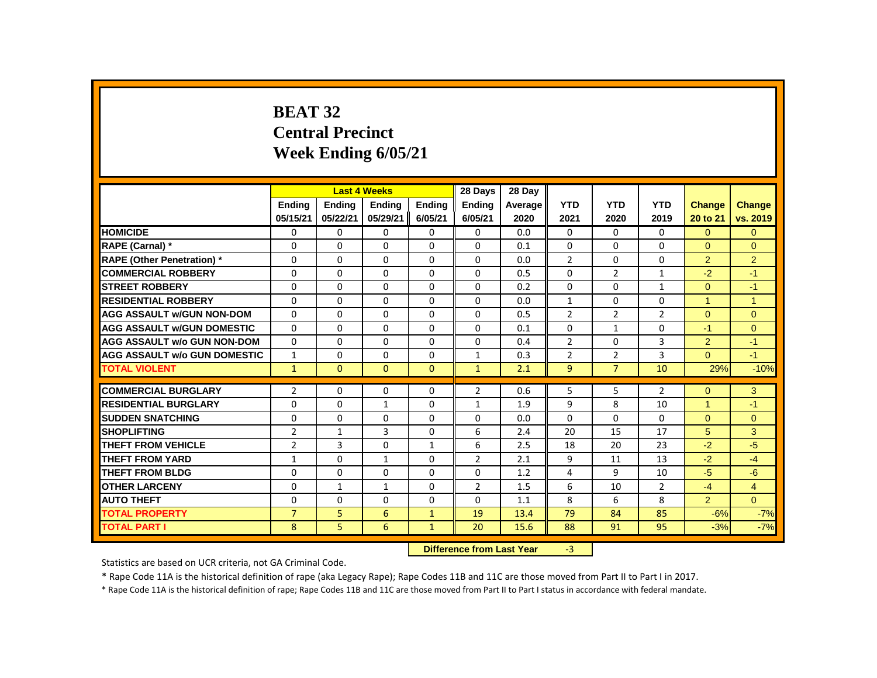# **BEAT 32 Central Precinct Week Ending 6/05/21**

|                                     |                |                | <b>Last 4 Weeks</b> |                                           | 28 Days        | 28 Day  |                |                |                |                      |                |
|-------------------------------------|----------------|----------------|---------------------|-------------------------------------------|----------------|---------|----------------|----------------|----------------|----------------------|----------------|
|                                     | <b>Endina</b>  | <b>Ending</b>  | <b>Ending</b>       | <b>Endina</b>                             | <b>Endina</b>  | Average | <b>YTD</b>     | <b>YTD</b>     | <b>YTD</b>     | <b>Change</b>        | Change         |
|                                     | 05/15/21       | 05/22/21       | 05/29/21            | 6/05/21                                   | 6/05/21        | 2020    | 2021           | 2020           | 2019           | 20 to 21             | vs. 2019       |
| <b>HOMICIDE</b>                     | 0              | 0              | 0                   | 0                                         | 0              | 0.0     | 0              | 0              | $\mathbf{0}$   | $\overline{0}$       | $\overline{0}$ |
| RAPE (Carnal) *                     | 0              | $\Omega$       | $\Omega$            | $\Omega$                                  | 0              | 0.1     | $\Omega$       | $\mathbf{0}$   | $\Omega$       | $\Omega$             | $\Omega$       |
| <b>RAPE (Other Penetration)</b> *   | 0              | $\Omega$       | $\Omega$            | $\Omega$                                  | 0              | 0.0     | $\overline{2}$ | $\mathbf{0}$   | 0              | $\overline{2}$       | $\overline{2}$ |
| <b>COMMERCIAL ROBBERY</b>           | $\Omega$       | $\Omega$       | $\Omega$            | $\Omega$                                  | $\Omega$       | 0.5     | $\Omega$       | $\overline{2}$ | $\mathbf{1}$   | $-2$                 | $-1$           |
| <b>STREET ROBBERY</b>               | 0              | $\Omega$       | $\Omega$            | $\Omega$                                  | 0              | 0.2     | $\Omega$       | 0              | $\mathbf{1}$   | $\Omega$             | $-1$           |
| <b>RESIDENTIAL ROBBERY</b>          | $\Omega$       | $\Omega$       | $\Omega$            | $\Omega$                                  | 0              | 0.0     | $\mathbf{1}$   | $\Omega$       | $\Omega$       | $\mathbf{1}$         | $\overline{1}$ |
| <b>AGG ASSAULT w/GUN NON-DOM</b>    | $\Omega$       | $\Omega$       | $\Omega$            | $\Omega$                                  | 0              | 0.5     | $\overline{2}$ | $\overline{2}$ | $\overline{2}$ | $\Omega$             | $\Omega$       |
| <b>AGG ASSAULT w/GUN DOMESTIC</b>   | $\Omega$       | $\Omega$       | $\Omega$            | $\Omega$                                  | $\Omega$       | 0.1     | $\Omega$       | $\mathbf{1}$   | $\Omega$       | $-1$                 | $\mathbf{0}$   |
| <b>AGG ASSAULT w/o GUN NON-DOM</b>  | $\Omega$       | $\Omega$       | $\Omega$            | $\Omega$                                  | 0              | 0.4     | $\overline{2}$ | $\Omega$       | 3              | $\overline{2}$       | $-1$           |
| <b>AGG ASSAULT w/o GUN DOMESTIC</b> | $\mathbf{1}$   | 0              | $\Omega$            | $\Omega$                                  | $\mathbf{1}$   | 0.3     | $\overline{2}$ | $\overline{2}$ | 3              | $\Omega$             | $-1$           |
| <b>TOTAL VIOLENT</b>                | $\mathbf{1}$   | $\mathbf{0}$   | $\mathbf{0}$        | $\mathbf{0}$                              | $\mathbf{1}$   | 2.1     | 9 <sup>°</sup> | $\overline{7}$ | 10             | 29%                  | $-10%$         |
| <b>COMMERCIAL BURGLARY</b>          | $\overline{2}$ | $\Omega$       | $\Omega$            | $\Omega$                                  | $\overline{2}$ | 0.6     | 5              | 5              | $\overline{2}$ | $\Omega$             | 3              |
| <b>RESIDENTIAL BURGLARY</b>         | 0              | 0              | $\mathbf{1}$        | 0                                         | $\mathbf{1}$   | 1.9     | 9              | 8              | 10             | $\blacktriangleleft$ | $-1$           |
| <b>SUDDEN SNATCHING</b>             | $\Omega$       | $\Omega$       | $\Omega$            | $\Omega$                                  | 0              | 0.0     | $\Omega$       | $\Omega$       | $\Omega$       | $\Omega$             | $\Omega$       |
| <b>SHOPLIFTING</b>                  | $\overline{2}$ | $\mathbf{1}$   | 3                   | $\Omega$                                  | 6              | 2.4     | 20             | 15             | 17             | 5                    | 3              |
| <b>THEFT FROM VEHICLE</b>           | $\overline{2}$ | $\overline{3}$ | $\Omega$            | $\mathbf{1}$                              | 6              | 2.5     | 18             | 20             | 23             | $-2$                 | $-5$           |
| THEFT FROM YARD                     | $\mathbf{1}$   | 0              | $\mathbf{1}$        | 0                                         | $\overline{2}$ | 2.1     | 9              | 11             | 13             | $-2$                 | $-4$           |
| <b>THEFT FROM BLDG</b>              | 0              | $\Omega$       | $\Omega$            | $\Omega$                                  | 0              | 1.2     | 4              | 9              | 10             | $-5$                 | $-6$           |
| <b>OTHER LARCENY</b>                | 0              | $\mathbf{1}$   | 1                   | $\Omega$                                  | $\overline{2}$ | 1.5     | 6              | 10             | $\overline{2}$ | $-4$                 | $\overline{4}$ |
| <b>AUTO THEFT</b>                   | $\Omega$       | $\Omega$       | $\Omega$            | $\Omega$                                  | $\Omega$       | 1.1     | 8              | 6              | 8              | 2 <sup>1</sup>       | $\overline{0}$ |
| <b>TOTAL PROPERTY</b>               | $\overline{7}$ | 5              | 6                   | $\mathbf{1}$                              | 19             | 13.4    | 79             | 84             | 85             | $-6%$                | $-7%$          |
| <b>TOTAL PART I</b>                 | 8              | 5              | 6                   | $\mathbf{1}$                              | 20             | 15.6    | 88             | 91             | 95             | $-3%$                | $-7%$          |
|                                     |                |                |                     | Difference from Loot Vear<br>$\mathbf{P}$ |                |         |                |                |                |                      |                |

 **Difference from Last Year** -3

Statistics are based on UCR criteria, not GA Criminal Code.

\* Rape Code 11A is the historical definition of rape (aka Legacy Rape); Rape Codes 11B and 11C are those moved from Part II to Part I in 2017.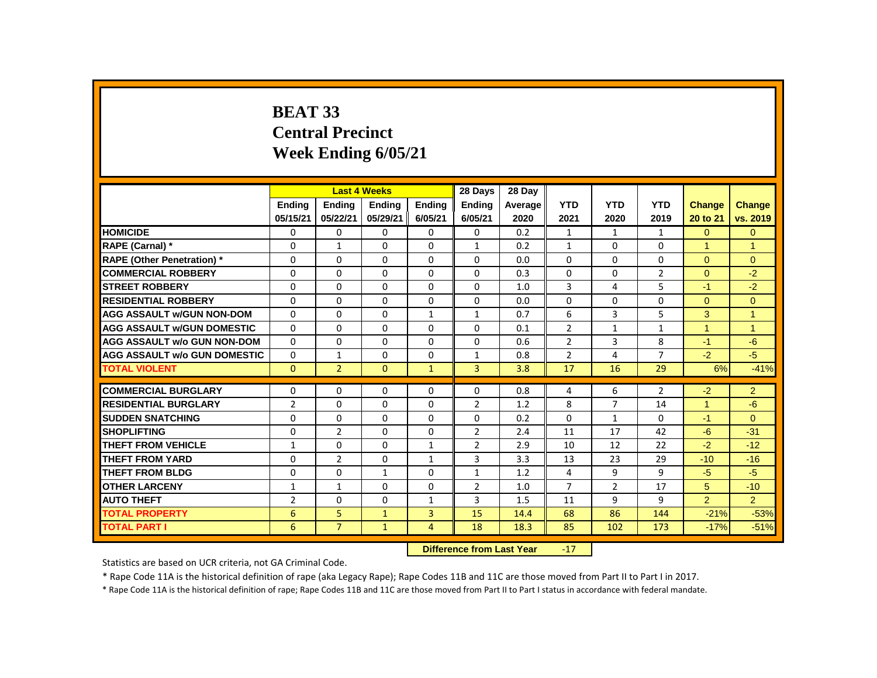# **BEAT 33 Central Precinct Week Ending 6/05/21**

|                                     |                |                | <b>Last 4 Weeks</b> |               | 28 Days                   | 28 Day  |                |                |                |                      |                |
|-------------------------------------|----------------|----------------|---------------------|---------------|---------------------------|---------|----------------|----------------|----------------|----------------------|----------------|
|                                     | <b>Endina</b>  | <b>Endina</b>  | <b>Ending</b>       | <b>Endina</b> | <b>Endina</b>             | Average | <b>YTD</b>     | <b>YTD</b>     | <b>YTD</b>     | Change               | <b>Change</b>  |
|                                     | 05/15/21       | 05/22/21       | 05/29/21            | 6/05/21       | 6/05/21                   | 2020    | 2021           | 2020           | 2019           | 20 to 21             | vs. 2019       |
| <b>HOMICIDE</b>                     | 0              | $\mathbf{0}$   | 0                   | $\Omega$      | 0                         | 0.2     | $\mathbf{1}$   | $\mathbf{1}$   | $\mathbf{1}$   | $\overline{0}$       | $\overline{0}$ |
| RAPE (Carnal) *                     | 0              | 1              | $\Omega$            | $\Omega$      | $\mathbf{1}$              | 0.2     | $\mathbf{1}$   | $\Omega$       | 0              | 1                    | $\overline{1}$ |
| <b>RAPE (Other Penetration) *</b>   | 0              | 0              | 0                   | $\mathbf{0}$  | 0                         | 0.0     | $\Omega$       | 0              | 0              | $\Omega$             | $\mathbf{0}$   |
| <b>COMMERCIAL ROBBERY</b>           | $\Omega$       | $\Omega$       | $\Omega$            | $\mathbf{0}$  | $\Omega$                  | 0.3     | $\Omega$       | $\Omega$       | $\overline{2}$ | $\Omega$             | $-2$           |
| <b>STREET ROBBERY</b>               | $\Omega$       | 0              | $\Omega$            | $\Omega$      | $\Omega$                  | 1.0     | 3              | 4              | 5              | $-1$                 | $-2$           |
| <b>RESIDENTIAL ROBBERY</b>          | 0              | 0              | $\Omega$            | $\Omega$      | 0                         | 0.0     | 0              | 0              | 0              | $\overline{0}$       | $\mathbf{0}$   |
| <b>AGG ASSAULT w/GUN NON-DOM</b>    | $\Omega$       | $\Omega$       | $\Omega$            | $\mathbf{1}$  | $\mathbf{1}$              | 0.7     | 6              | 3              | 5              | 3                    | $\overline{1}$ |
| <b>AGG ASSAULT W/GUN DOMESTIC</b>   | $\Omega$       | 0              | 0                   | $\mathbf{0}$  | $\Omega$                  | 0.1     | 2              | $\mathbf{1}$   | $\mathbf{1}$   | $\mathbf{1}$         | 1              |
| <b>AGG ASSAULT w/o GUN NON-DOM</b>  | $\Omega$       | $\mathbf{0}$   | $\Omega$            | $\mathbf{0}$  | $\Omega$                  | 0.6     | $\overline{2}$ | 3              | 8              | $-1$                 | $-6$           |
| <b>AGG ASSAULT W/o GUN DOMESTIC</b> | $\Omega$       | $\mathbf{1}$   | $\Omega$            | $\mathbf{0}$  | $\mathbf{1}$              | 0.8     | $\overline{2}$ | 4              | $\overline{7}$ | $-2$                 | $-5$           |
| <b>TOTAL VIOLENT</b>                | $\mathbf{0}$   | $\overline{2}$ | $\Omega$            | $\mathbf{1}$  | $\overline{3}$            | 3.8     | 17             | 16             | 29             | 6%                   | $-41%$         |
| <b>COMMERCIAL BURGLARY</b>          | 0              | 0              | $\Omega$            | $\Omega$      | $\Omega$                  | 0.8     | 4              | 6              | $\overline{2}$ | $-2$                 | $\overline{2}$ |
| <b>RESIDENTIAL BURGLARY</b>         | $\overline{2}$ | 0              | 0                   | $\mathbf{0}$  | $\overline{2}$            | 1.2     | 8              | $\overline{7}$ | 14             | $\blacktriangleleft$ | $-6$           |
| <b>SUDDEN SNATCHING</b>             | 0              | 0              | 0                   | $\mathbf{0}$  | 0                         | 0.2     | $\Omega$       | $\mathbf{1}$   | 0              | $-1$                 | $\Omega$       |
| <b>SHOPLIFTING</b>                  | 0              | $\overline{2}$ | $\Omega$            | $\mathbf{0}$  | $\overline{2}$            | 2.4     | 11             | 17             | 42             | $-6$                 | $-31$          |
| <b>THEFT FROM VEHICLE</b>           | $\mathbf{1}$   | $\Omega$       | $\Omega$            | $\mathbf{1}$  | $\overline{2}$            | 2.9     | 10             | 12             | 22             | $-2$                 | $-12$          |
| <b>THEFT FROM YARD</b>              | $\Omega$       | $\overline{2}$ | $\Omega$            | $\mathbf{1}$  | 3                         | 3.3     | 13             | 23             | 29             | $-10$                | $-16$          |
| <b>THEFT FROM BLDG</b>              | 0              | $\Omega$       | $\mathbf{1}$        | $\Omega$      | $\mathbf{1}$              | 1.2     | 4              | 9              | 9              | $-5$                 | $-5$           |
| <b>OTHER LARCENY</b>                | $\mathbf{1}$   | $\mathbf{1}$   | $\Omega$            | $\Omega$      | $\overline{2}$            | 1.0     | $\overline{7}$ | $\overline{2}$ | 17             | 5                    | $-10$          |
| <b>AUTO THEFT</b>                   | $\overline{2}$ | $\mathbf 0$    | $\Omega$            | $\mathbf{1}$  | 3                         | 1.5     | 11             | 9              | 9              | $\overline{2}$       | 2 <sup>1</sup> |
| <b>TOTAL PROPERTY</b>               | 6              | 5              | $\mathbf{1}$        | 3             | 15                        | 14.4    | 68             | 86             | 144            | $-21%$               | $-53%$         |
| <b>TOTAL PART I</b>                 | 6              | $\overline{7}$ | $\mathbf{1}$        | 4             | 18                        | 18.3    | 85             | 102            | 173            | $-17%$               | $-51%$         |
|                                     |                |                |                     |               | Difference from Loot Vear |         | 17             |                |                |                      |                |

**Difference from Last Year** 

Statistics are based on UCR criteria, not GA Criminal Code.

\* Rape Code 11A is the historical definition of rape (aka Legacy Rape); Rape Codes 11B and 11C are those moved from Part II to Part I in 2017.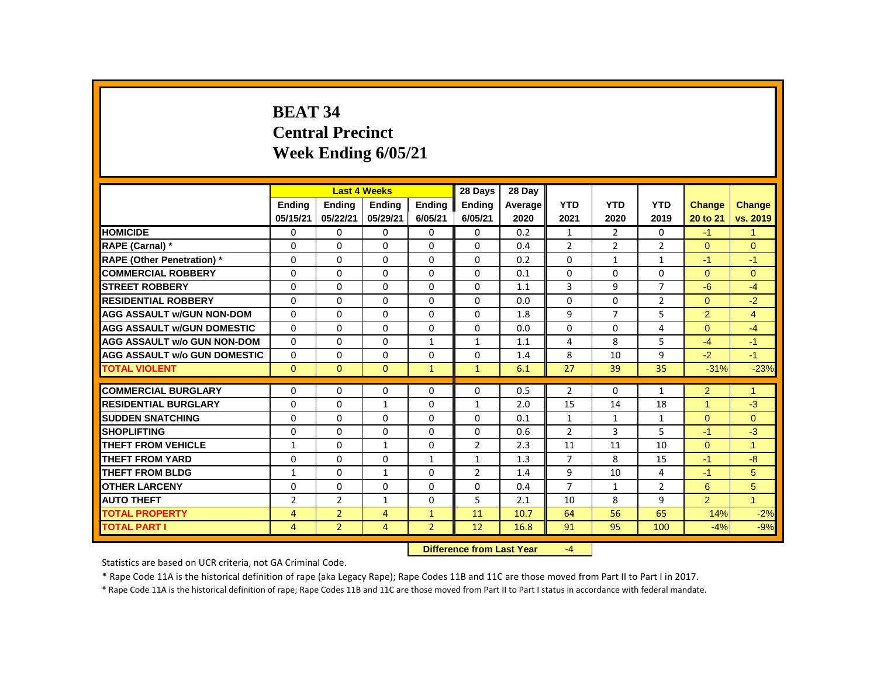# **BEAT 34 Central Precinct Week Ending 6/05/21**

|                                     |                |                | <b>Last 4 Weeks</b> |                                         | 28 Days        | 28 Day  |                |              |                |                |               |
|-------------------------------------|----------------|----------------|---------------------|-----------------------------------------|----------------|---------|----------------|--------------|----------------|----------------|---------------|
|                                     | <b>Endina</b>  | <b>Endina</b>  | <b>Ending</b>       | <b>Endina</b>                           | <b>Ending</b>  | Average | <b>YTD</b>     | <b>YTD</b>   | <b>YTD</b>     | <b>Change</b>  | <b>Change</b> |
|                                     | 05/15/21       | 05/22/21       | 05/29/21            | 6/05/21                                 | 6/05/21        | 2020    | 2021           | 2020         | 2019           | 20 to 21       | vs. 2019      |
| <b>HOMICIDE</b>                     | 0              | 0              | 0                   | $\Omega$                                | $\mathbf{0}$   | 0.2     | $\mathbf{1}$   | 2            | 0              | $-1$           | $\mathbf{1}$  |
| RAPE (Carnal) *                     | 0              | $\Omega$       | $\Omega$            | $\Omega$                                | $\Omega$       | 0.4     | $\overline{2}$ | 2            | $\overline{2}$ | $\Omega$       | $\Omega$      |
| <b>RAPE (Other Penetration) *</b>   | 0              | 0              | 0                   | $\mathbf{0}$                            | 0              | 0.2     | $\Omega$       | $\mathbf{1}$ | $\mathbf{1}$   | $-1$           | $-1$          |
| <b>COMMERCIAL ROBBERY</b>           | $\Omega$       | $\mathbf{0}$   | $\Omega$            | $\mathbf{0}$                            | $\mathbf{0}$   | 0.1     | $\Omega$       | $\Omega$     | $\Omega$       | $\Omega$       | $\Omega$      |
| <b>STREET ROBBERY</b>               | $\Omega$       | $\Omega$       | $\Omega$            | $\Omega$                                | $\Omega$       | 1.1     | 3              | 9            | $\overline{7}$ | $-6$           | $-4$          |
| <b>RESIDENTIAL ROBBERY</b>          | 0              | 0              | $\Omega$            | $\mathbf{0}$                            | $\Omega$       | 0.0     | $\Omega$       | 0            | $\overline{2}$ | $\overline{0}$ | $-2$          |
| <b>AGG ASSAULT w/GUN NON-DOM</b>    | 0              | $\Omega$       | $\Omega$            | $\mathbf{0}$                            | 0              | 1.8     | 9              | 7            | 5              | $\overline{2}$ | 4             |
| <b>AGG ASSAULT w/GUN DOMESTIC</b>   | $\Omega$       | $\mathbf{0}$   | 0                   | 0                                       | 0              | 0.0     | $\Omega$       | $\mathbf{0}$ | 4              | $\Omega$       | $-4$          |
| <b>AGG ASSAULT w/o GUN NON-DOM</b>  | $\Omega$       | $\mathbf{0}$   | $\Omega$            | $\mathbf{1}$                            | $\mathbf{1}$   | 1.1     | 4              | 8            | 5              | $-4$           | $-1$          |
| <b>AGG ASSAULT w/o GUN DOMESTIC</b> | $\Omega$       | $\mathbf{0}$   | $\Omega$            | $\Omega$                                | $\Omega$       | 1.4     | 8              | 10           | 9              | $-2$           | $-1$          |
| <b>TOTAL VIOLENT</b>                | $\mathbf{0}$   | $\mathbf{0}$   | $\mathbf{0}$        | $\mathbf{1}$                            | $\mathbf{1}$   | 6.1     | 27             | 39           | 35             | $-31%$         | $-23%$        |
| <b>COMMERCIAL BURGLARY</b>          | 0              | $\Omega$       | $\Omega$            | $\Omega$                                | $\Omega$       | 0.5     | $\overline{2}$ | 0            | $\mathbf{1}$   | $\overline{2}$ | 1             |
| <b>RESIDENTIAL BURGLARY</b>         | 0              | $\Omega$       | 1                   | $\Omega$                                | 1              | 2.0     | 15             | 14           | 18             | 1              | $-3$          |
| <b>SUDDEN SNATCHING</b>             | 0              | 0              | $\Omega$            | $\mathbf{0}$                            | $\Omega$       | 0.1     | $\mathbf{1}$   | $\mathbf{1}$ | $\mathbf{1}$   | $\Omega$       | $\Omega$      |
| <b>SHOPLIFTING</b>                  | 0              | $\mathbf{0}$   | $\Omega$            | $\mathbf{0}$                            | 0              | 0.6     | 2              | 3            | 5              | $-1$           | $-3$          |
| <b>THEFT FROM VEHICLE</b>           | $\mathbf{1}$   | $\mathbf{0}$   | $\mathbf{1}$        | $\mathbf{0}$                            | $\overline{2}$ | 2.3     | 11             | 11           | 10             | $\Omega$       | $\mathbf{1}$  |
| <b>THEFT FROM YARD</b>              | 0              | $\mathbf{0}$   | $\Omega$            | $\mathbf{1}$                            | $\mathbf{1}$   | 1.3     | $\overline{7}$ | 8            | 15             | $-1$           | $-8$          |
| <b>THEFT FROM BLDG</b>              | 1              | $\Omega$       | $\mathbf{1}$        | $\Omega$                                | $\overline{2}$ | 1.4     | 9              | 10           | 4              | $-1$           | 5             |
| <b>OTHER LARCENY</b>                | $\Omega$       | $\mathbf{0}$   | $\Omega$            | $\mathbf{0}$                            | $\Omega$       | 0.4     | $\overline{7}$ | $\mathbf{1}$ | $\overline{2}$ | 6              | 5             |
| <b>AUTO THEFT</b>                   | $\overline{2}$ | $\overline{2}$ | $\mathbf{1}$        | $\mathbf{0}$                            | 5              | 2.1     | 10             | 8            | 9              | $\overline{2}$ | $\mathbf{1}$  |
| <b>TOTAL PROPERTY</b>               | $\overline{4}$ | $\overline{2}$ | $\overline{4}$      | $\mathbf{1}$                            | 11             | 10.7    | 64             | 56           | 65             | 14%            | $-2%$         |
| <b>TOTAL PART I</b>                 | 4              | $\overline{2}$ | 4                   | $\overline{2}$                          | 12             | 16.8    | 91             | 95           | 100            | $-4%$          | $-9%$         |
|                                     |                |                |                     | Difference from Loot Vear<br>$\sqrt{ }$ |                |         |                |              |                |                |               |

 **Difference from Last Year** -4

Statistics are based on UCR criteria, not GA Criminal Code.

\* Rape Code 11A is the historical definition of rape (aka Legacy Rape); Rape Codes 11B and 11C are those moved from Part II to Part I in 2017.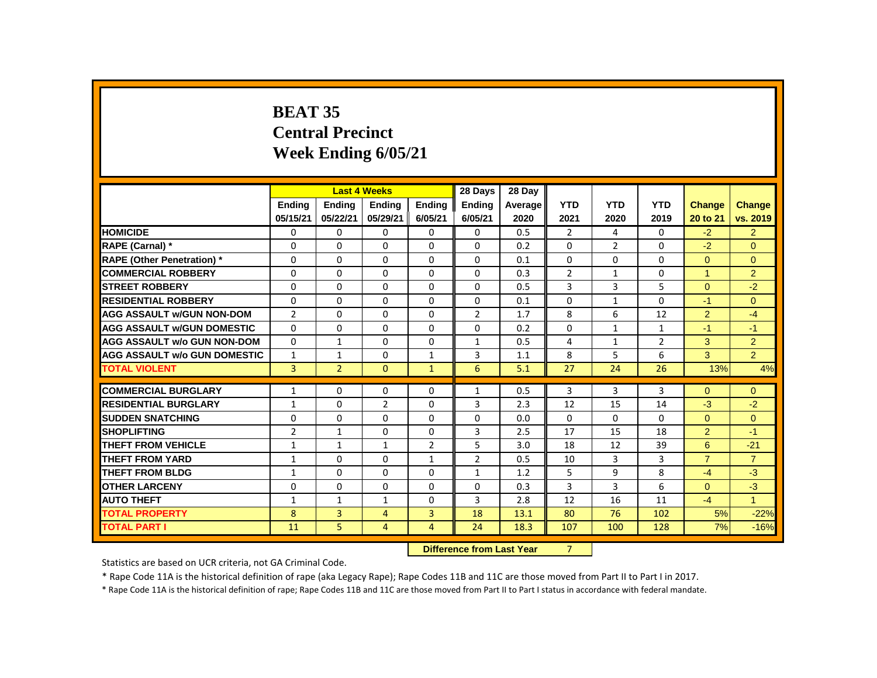# **BEAT 35 Central Precinct Week Ending 6/05/21**

|                                     |                |                | <b>Last 4 Weeks</b> |                | 28 Days                   | 28 Day  |                |              |                |                |                |
|-------------------------------------|----------------|----------------|---------------------|----------------|---------------------------|---------|----------------|--------------|----------------|----------------|----------------|
|                                     | <b>Endina</b>  | <b>Ending</b>  | <b>Ending</b>       | <b>Ending</b>  | <b>Ending</b>             | Average | <b>YTD</b>     | <b>YTD</b>   | <b>YTD</b>     | <b>Change</b>  | <b>Change</b>  |
|                                     | 05/15/21       | 05/22/21       | 05/29/21            | 6/05/21        | 6/05/21                   | 2020    | 2021           | 2020         | 2019           | 20 to 21       | vs. 2019       |
| <b>HOMICIDE</b>                     | 0              | 0              | 0                   | $\mathbf{0}$   | $\mathbf{0}$              | 0.5     | $\overline{2}$ | 4            | 0              | $-2$           | 2 <sup>2</sup> |
| RAPE (Carnal) *                     | 0              | $\mathbf{0}$   | $\Omega$            | $\mathbf{0}$   | 0                         | 0.2     | $\Omega$       | 2            | $\Omega$       | $-2$           | $\Omega$       |
| <b>RAPE (Other Penetration) *</b>   | 0              | $\mathbf{0}$   | $\Omega$            | $\Omega$       | $\Omega$                  | 0.1     | $\Omega$       | $\Omega$     | $\Omega$       | $\Omega$       | $\Omega$       |
| <b>COMMERCIAL ROBBERY</b>           | $\Omega$       | $\Omega$       | $\Omega$            | $\Omega$       | $\mathbf{0}$              | 0.3     | $\overline{2}$ | $\mathbf{1}$ | $\Omega$       | $\mathbf{1}$   | 2              |
| <b>STREET ROBBERY</b>               | $\Omega$       | $\Omega$       | $\Omega$            | $\Omega$       | $\Omega$                  | 0.5     | 3              | 3            | 5              | $\Omega$       | $-2$           |
| <b>RESIDENTIAL ROBBERY</b>          | 0              | $\mathbf{0}$   | 0                   | $\mathbf{0}$   | 0                         | 0.1     | 0              | $\mathbf{1}$ | 0              | $-1$           | $\mathbf{0}$   |
| <b>AGG ASSAULT w/GUN NON-DOM</b>    | $\overline{2}$ | $\Omega$       | $\Omega$            | $\mathbf{0}$   | $\overline{2}$            | 1.7     | 8              | 6            | 12             | 2              | $-4$           |
| <b>AGG ASSAULT w/GUN DOMESTIC</b>   | $\Omega$       | $\mathbf{0}$   | $\Omega$            | $\Omega$       | $\Omega$                  | 0.2     | $\Omega$       | $\mathbf{1}$ | 1              | $-1$           | $-1$           |
| <b>AGG ASSAULT w/o GUN NON-DOM</b>  | $\Omega$       | $\mathbf{1}$   | $\Omega$            | $\mathbf{0}$   | $\mathbf{1}$              | 0.5     | 4              | $\mathbf{1}$ | $\overline{2}$ | 3              | 2              |
| <b>AGG ASSAULT W/o GUN DOMESTIC</b> | $\mathbf{1}$   | $\mathbf{1}$   | $\Omega$            | $\mathbf{1}$   | 3                         | 1.1     | 8              | 5            | 6              | 3              | $\overline{2}$ |
| <b>TOTAL VIOLENT</b>                | 3              | $\overline{2}$ | $\mathbf{0}$        | $\mathbf{1}$   | 6                         | 5.1     | 27             | 24           | 26             | 13%            | 4%             |
| <b>COMMERCIAL BURGLARY</b>          | $\mathbf{1}$   | $\Omega$       | $\Omega$            | $\Omega$       | $\mathbf{1}$              | 0.5     | 3              | 3            | 3              | $\Omega$       | $\mathbf{0}$   |
| <b>RESIDENTIAL BURGLARY</b>         | 1              | 0              | $\overline{2}$      | $\mathbf{0}$   | 3                         | 2.3     | 12             | 15           | 14             | $-3$           | $-2$           |
| <b>SUDDEN SNATCHING</b>             | 0              | 0              | 0                   | $\mathbf{0}$   | $\Omega$                  | 0.0     | 0              | 0            | 0              | $\Omega$       | $\overline{0}$ |
| <b>SHOPLIFTING</b>                  | $\overline{2}$ | $\mathbf{1}$   | $\Omega$            | $\mathbf{0}$   | 3                         | 2.5     | 17             | 15           | 18             | 2              | $-1$           |
| <b>THEFT FROM VEHICLE</b>           | 1              | $\mathbf{1}$   | $\mathbf{1}$        | $\overline{2}$ | 5                         | 3.0     | 18             | 12           | 39             | 6              | $-21$          |
| <b>THEFT FROM YARD</b>              | $\mathbf{1}$   | $\Omega$       | $\Omega$            | $\mathbf{1}$   | $\overline{2}$            | 0.5     | 10             | 3            | 3              | $\overline{7}$ | $\overline{7}$ |
| <b>THEFT FROM BLDG</b>              | 1              | $\mathbf{0}$   | $\Omega$            | $\Omega$       | $\mathbf{1}$              | 1.2     | 5              | 9            | 8              | $-4$           | $-3$           |
| <b>OTHER LARCENY</b>                | 0              | $\Omega$       | $\Omega$            | $\Omega$       | $\Omega$                  | 0.3     | 3              | 3            | 6              | $\Omega$       | $-3$           |
| <b>AUTO THEFT</b>                   | $\mathbf{1}$   | $\mathbf{1}$   | 1                   | $\mathbf{0}$   | $\overline{3}$            | 2.8     | 12             | 16           | 11             | $-4$           | $\overline{1}$ |
| <b>TOTAL PROPERTY</b>               | 8              | $\overline{3}$ | $\overline{4}$      | 3              | 18                        | 13.1    | 80             | 76           | 102            | 5%             | $-22%$         |
| <b>TOTAL PART I</b>                 | 11             | 5              | 4                   | 4              | 24                        | 18.3    | 107            | 100          | 128            | 7%             | $-16%$         |
|                                     |                |                |                     |                | Difference from Loot Vear |         | $\overline{ }$ |              |                |                |                |

**Difference from Last Year** 

Statistics are based on UCR criteria, not GA Criminal Code.

\* Rape Code 11A is the historical definition of rape (aka Legacy Rape); Rape Codes 11B and 11C are those moved from Part II to Part I in 2017.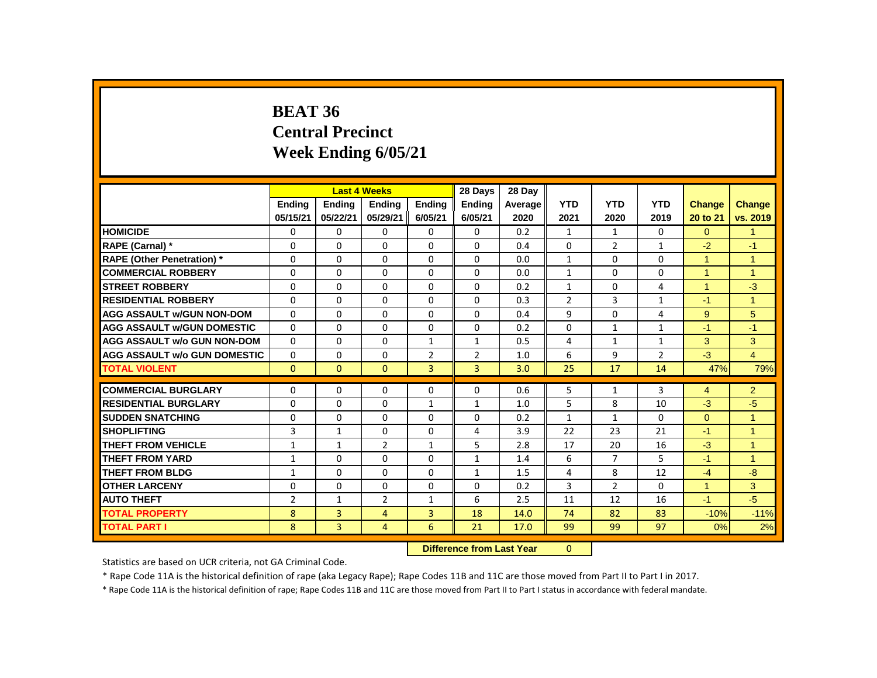# **BEAT 36 Central Precinct Week Ending 6/05/21**

|                                     |                | <b>Last 4 Weeks</b> |                |                   | 28 Days        | 28 Day  |                |                |                |                      |                |
|-------------------------------------|----------------|---------------------|----------------|-------------------|----------------|---------|----------------|----------------|----------------|----------------------|----------------|
|                                     | <b>Endina</b>  | <b>Endina</b>       | <b>Endina</b>  | <b>Endina</b>     | <b>Endina</b>  | Average | <b>YTD</b>     | <b>YTD</b>     | <b>YTD</b>     | <b>Change</b>        | <b>Change</b>  |
|                                     | 05/15/21       | 05/22/21            | 05/29/21       | 6/05/21           | 6/05/21        | 2020    | 2021           | 2020           | 2019           | 20 to 21             | vs. 2019       |
| <b>HOMICIDE</b>                     | 0              | $\mathbf{0}$        | 0              | $\mathbf{0}$      | 0              | 0.2     | $\mathbf{1}$   | $\mathbf{1}$   | 0              | $\Omega$             | $\mathbf{1}$   |
| RAPE (Carnal) *                     | $\Omega$       | $\Omega$            | $\Omega$       | $\Omega$          | $\Omega$       | 0.4     | $\Omega$       | $\overline{2}$ | $\mathbf{1}$   | $-2$                 | $-1$           |
| <b>RAPE (Other Penetration)</b> *   | $\Omega$       | 0                   | $\Omega$       | 0                 | $\Omega$       | 0.0     | 1              | 0              | $\Omega$       | $\mathbf{1}$         | $\overline{1}$ |
| <b>COMMERCIAL ROBBERY</b>           | 0              | 0                   | 0              | 0                 | 0              | 0.0     | 1              | 0              | 0              | $\blacktriangleleft$ | $\overline{1}$ |
| <b>STREET ROBBERY</b>               | $\Omega$       | $\Omega$            | $\Omega$       | $\Omega$          | $\Omega$       | 0.2     | $\mathbf{1}$   | $\Omega$       | 4              | $\mathbf{1}$         | $-3$           |
| <b>RESIDENTIAL ROBBERY</b>          | $\Omega$       | $\Omega$            | $\Omega$       | $\Omega$          | $\Omega$       | 0.3     | $\overline{2}$ | 3              | $\mathbf{1}$   | $-1$                 | $\overline{1}$ |
| <b>AGG ASSAULT W/GUN NON-DOM</b>    | $\Omega$       | 0                   | 0              | 0                 | $\Omega$       | 0.4     | 9              | 0              | 4              | $9^{\circ}$          | 5              |
| <b>AGG ASSAULT W/GUN DOMESTIC</b>   | $\Omega$       | 0                   | $\Omega$       | $\Omega$          | $\Omega$       | 0.2     | $\Omega$       | $\mathbf{1}$   | $\mathbf{1}$   | $-1$                 | $-1$           |
| <b>AGG ASSAULT w/o GUN NON-DOM</b>  | $\Omega$       | 0                   | 0              | $\mathbf{1}$      | $\mathbf{1}$   | 0.5     | 4              | $\mathbf{1}$   | $\mathbf{1}$   | 3                    | 3              |
| <b>AGG ASSAULT W/o GUN DOMESTIC</b> | $\Omega$       | $\Omega$            | $\Omega$       | $\overline{2}$    | $\overline{2}$ | 1.0     | 6              | 9              | $\overline{2}$ | $-3$                 | $\overline{4}$ |
| <b>TOTAL VIOLENT</b>                | $\Omega$       | $\mathbf{0}$        | $\mathbf{0}$   | 3                 | 3              | 3.0     | 25             | 17             | 14             | 47%                  | 79%            |
| <b>COMMERCIAL BURGLARY</b>          | 0              | $\Omega$            | $\Omega$       | $\Omega$          | $\Omega$       | 0.6     | 5              | $\mathbf{1}$   | 3              | $\overline{4}$       | $\overline{2}$ |
| <b>RESIDENTIAL BURGLARY</b>         | $\Omega$       | $\Omega$            | $\Omega$       | $\mathbf{1}$      | $\mathbf{1}$   | 1.0     | 5              | 8              | 10             | $-3$                 | $-5$           |
| <b>SUDDEN SNATCHING</b>             | 0              | 0                   | 0              | 0                 | 0              | 0.2     | $\mathbf{1}$   | $\mathbf{1}$   | 0              | $\Omega$             | 1              |
| <b>SHOPLIFTING</b>                  | 3              | $\mathbf{1}$        | 0              | 0                 | 4              | 3.9     | 22             | 23             | 21             | $-1$                 | $\overline{1}$ |
| <b>THEFT FROM VEHICLE</b>           | $\mathbf{1}$   | $\mathbf{1}$        | $\overline{2}$ | $\mathbf{1}$      | 5              | 2.8     | 17             | 20             | 16             | $-3$                 | $\overline{1}$ |
| <b>THEFT FROM YARD</b>              | $\mathbf{1}$   | $\Omega$            | $\Omega$       | $\Omega$          | $\mathbf{1}$   | 1.4     | 6              | $\overline{7}$ | 5              | $-1$                 | $\overline{1}$ |
| <b>THEFT FROM BLDG</b>              | $\mathbf{1}$   | $\Omega$            | $\Omega$       | $\Omega$          | $\mathbf{1}$   | 1.5     | 4              | 8              | 12             | $-4$                 | $-8$           |
| <b>OTHER LARCENY</b>                | 0              | 0                   | 0              | 0                 | 0              | 0.2     | 3              | $\overline{2}$ | 0              | $\mathbf{1}$         | 3              |
| <b>AUTO THEFT</b>                   | $\overline{2}$ | $\mathbf{1}$        | $\overline{2}$ | $\mathbf{1}$      | 6              | 2.5     | 11             | 12             | 16             | $-1$                 | $-5$           |
| <b>TOTAL PROPERTY</b>               | 8              | 3                   | $\overline{4}$ | 3                 | 18             | 14.0    | 74             | 82             | 83             | $-10%$               | $-11%$         |
| <b>TOTAL PART I</b>                 | 8              | 3                   | 4              | 6                 | 21             | 17.0    | 99             | 99             | 97             | 0%                   | 2%             |
|                                     |                |                     |                | <b>CONTRACTOR</b> |                |         |                |                |                |                      |                |

**Difference from Last Year** 0

Statistics are based on UCR criteria, not GA Criminal Code.

\* Rape Code 11A is the historical definition of rape (aka Legacy Rape); Rape Codes 11B and 11C are those moved from Part II to Part I in 2017.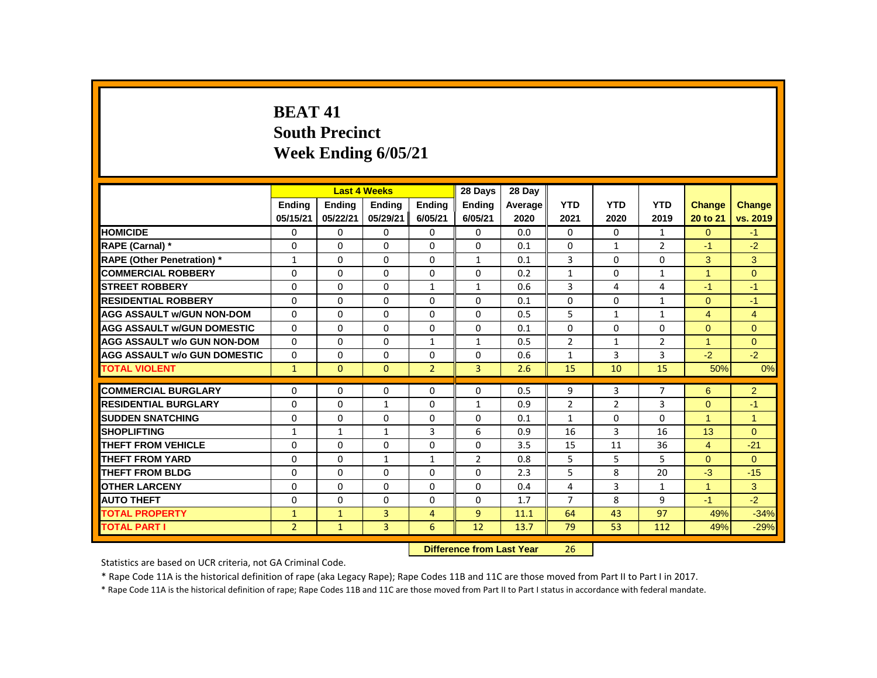# **BEAT 41 South Precinct Week Ending 6/05/21**

|                                   |                |              | <b>Last 4 Weeks</b>              |                | 28 Days        | 28 Dav  |                |                |                |                      |                |
|-----------------------------------|----------------|--------------|----------------------------------|----------------|----------------|---------|----------------|----------------|----------------|----------------------|----------------|
|                                   | <b>Ending</b>  | Ending       | <b>Ending</b>                    | <b>Ending</b>  | <b>Ending</b>  | Average | <b>YTD</b>     | <b>YTD</b>     | <b>YTD</b>     | <b>Change</b>        | <b>Change</b>  |
|                                   | 05/15/21       | 05/22/21     | 05/29/21                         | 6/05/21        | 6/05/21        | 2020    | 2021           | 2020           | 2019           | 20 to 21             | vs. 2019       |
| <b>HOMICIDE</b>                   | 0              | $\Omega$     | 0                                | $\Omega$       | 0              | 0.0     | 0              | 0              | 1              | $\Omega$             | $-1$           |
| RAPE (Carnal) *                   | $\Omega$       | $\Omega$     | $\Omega$                         | $\Omega$       | $\Omega$       | 0.1     | $\Omega$       | $\mathbf{1}$   | $\overline{2}$ | $-1$                 | $-2$           |
| <b>RAPE (Other Penetration) *</b> | $\mathbf{1}$   | $\Omega$     | $\Omega$                         | $\Omega$       | $\mathbf{1}$   | 0.1     | 3              | $\Omega$       | $\Omega$       | 3                    | 3              |
| <b>COMMERCIAL ROBBERY</b>         | $\Omega$       | $\Omega$     | $\Omega$                         | $\Omega$       | $\Omega$       | 0.2     | $\mathbf{1}$   | $\Omega$       | $\mathbf{1}$   | $\mathbf{1}$         | $\Omega$       |
| <b>STREET ROBBERY</b>             | 0              | 0            | $\Omega$                         | $\mathbf{1}$   | $\mathbf{1}$   | 0.6     | 3              | 4              | 4              | $-1$                 | $-1$           |
| <b>RESIDENTIAL ROBBERY</b>        | $\Omega$       | $\Omega$     | $\Omega$                         | $\mathbf{0}$   | $\Omega$       | 0.1     | $\Omega$       | $\Omega$       | $\mathbf{1}$   | $\Omega$             | $-1$           |
| <b>AGG ASSAULT w/GUN NON-DOM</b>  | $\mathbf{0}$   | $\Omega$     | $\Omega$                         | $\Omega$       | $\Omega$       | 0.5     | 5              | $\mathbf{1}$   | $\mathbf{1}$   | $\overline{4}$       | $\overline{4}$ |
| <b>AGG ASSAULT W/GUN DOMESTIC</b> | 0              | 0            | 0                                | $\Omega$       | $\Omega$       | 0.1     | $\Omega$       | $\Omega$       | $\Omega$       | $\overline{0}$       | $\overline{0}$ |
| AGG ASSAULT w/o GUN NON-DOM       | $\Omega$       | $\Omega$     | $\Omega$                         | $\mathbf{1}$   | $\mathbf{1}$   | 0.5     | $\overline{2}$ | $\mathbf{1}$   | $\overline{2}$ | $\mathbf{1}$         | $\Omega$       |
| AGG ASSAULT w/o GUN DOMESTIC      | 0              | 0            | 0                                | 0              | 0              | 0.6     | $\mathbf{1}$   | $\overline{3}$ | 3              | $-2$                 | $-2$           |
| <b>TOTAL VIOLENT</b>              | $\mathbf{1}$   | $\mathbf{0}$ | $\mathbf{0}$                     | $\overline{2}$ | $\overline{3}$ | 2.6     | 15             | 10             | 15             | 50%                  | 0%             |
|                                   |                |              |                                  |                |                |         |                |                |                |                      |                |
| <b>COMMERCIAL BURGLARY</b>        | 0              | 0            | 0                                | $\mathbf 0$    | $\mathbf{0}$   | 0.5     | 9              | 3              | $\overline{7}$ | 6                    | $\overline{2}$ |
| <b>RESIDENTIAL BURGLARY</b>       | $\Omega$       | $\Omega$     | $\mathbf{1}$                     | $\Omega$       | $\mathbf{1}$   | 0.9     | $\overline{2}$ | $\overline{2}$ | 3              | $\Omega$             | $-1$           |
| <b>ISUDDEN SNATCHING</b>          | 0              | 0            | 0                                | 0              | $\mathbf{0}$   | 0.1     | $\mathbf{1}$   | 0              | 0              | $\blacktriangleleft$ | $\overline{1}$ |
| <b>SHOPLIFTING</b>                | $\mathbf{1}$   | $\mathbf{1}$ | $\mathbf{1}$                     | 3              | 6              | 0.9     | 16             | 3              | 16             | 13                   | $\Omega$       |
| <b>THEFT FROM VEHICLE</b>         | 0              | $\Omega$     | $\Omega$                         | $\Omega$       | $\Omega$       | 3.5     | 15             | 11             | 36             | $\overline{4}$       | $-21$          |
| <b>THEFT FROM YARD</b>            | $\Omega$       | $\Omega$     | $\mathbf{1}$                     | $\mathbf{1}$   | $\overline{2}$ | 0.8     | 5              | 5              | 5              | $\Omega$             | $\Omega$       |
| <b>THEFT FROM BLDG</b>            | 0              | 0            | 0                                | $\Omega$       | 0              | 2.3     | 5              | 8              | 20             | $-3$                 | $-15$          |
| <b>OTHER LARCENY</b>              | $\Omega$       | $\Omega$     | $\Omega$                         | $\Omega$       | $\Omega$       | 0.4     | 4              | 3              | $\mathbf{1}$   | $\mathbf{1}$         | 3              |
| <b>AUTO THEFT</b>                 | $\Omega$       | $\Omega$     | $\Omega$                         | $\Omega$       | $\Omega$       | 1.7     | $\overline{7}$ | 8              | 9              | $-1$                 | $-2$           |
| <b>TOTAL PROPERTY</b>             | $\mathbf{1}$   | $\mathbf{1}$ | $\overline{3}$                   | 4              | $\overline{9}$ | 11.1    | 64             | 43             | 97             | 49%                  | $-34%$         |
| <b>TOTAL PART I</b>               | 2 <sup>1</sup> | $\mathbf{1}$ | $\overline{3}$                   | 6              | 12             | 13.7    | 79             | 53             | 112            | 49%                  | $-29%$         |
|                                   |                |              | <b>Difference from Last Year</b> |                | 26             |         |                |                |                |                      |                |

Statistics are based on UCR criteria, not GA Criminal Code.

\* Rape Code 11A is the historical definition of rape (aka Legacy Rape); Rape Codes 11B and 11C are those moved from Part II to Part I in 2017.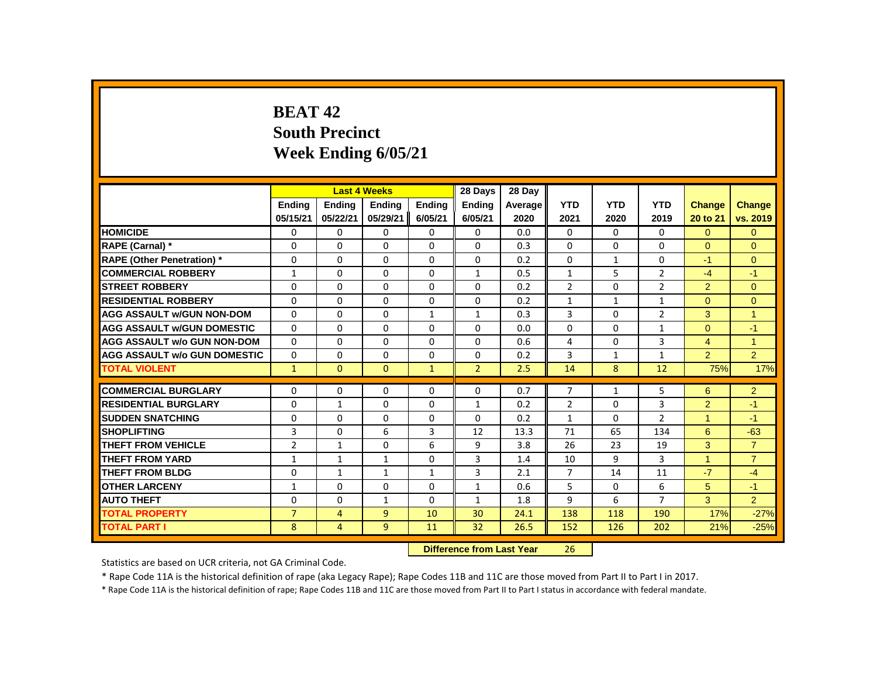# **BEAT 42 South Precinct Week Ending 6/05/21**

|                                     |                |                | <b>Last 4 Weeks</b> |              | 28 Days                   | 28 Day  |                |              |                |                |                |
|-------------------------------------|----------------|----------------|---------------------|--------------|---------------------------|---------|----------------|--------------|----------------|----------------|----------------|
|                                     | Ending         | <b>Ending</b>  | <b>Ending</b>       | Ending       | Ending                    | Average | <b>YTD</b>     | <b>YTD</b>   | <b>YTD</b>     | <b>Change</b>  | Change         |
|                                     | 05/15/21       | 05/22/21       | 05/29/21            | 6/05/21      | 6/05/21                   | 2020    | 2021           | 2020         | 2019           | 20 to 21       | vs. 2019       |
| <b>HOMICIDE</b>                     | 0              | $\Omega$       | 0                   | 0            | $\mathbf{0}$              | 0.0     | 0              | $\mathbf{0}$ | $\mathbf{0}$   | $\Omega$       | $\mathbf{0}$   |
| RAPE (Carnal) *                     | 0              | $\Omega$       | $\Omega$            | 0            | 0                         | 0.3     | $\Omega$       | 0            | $\Omega$       | $\Omega$       | $\Omega$       |
| <b>RAPE (Other Penetration)</b> *   | 0              | $\Omega$       | $\Omega$            | 0            | 0                         | 0.2     | 0              | $\mathbf{1}$ | 0              | $-1$           | $\mathbf{0}$   |
| <b>COMMERCIAL ROBBERY</b>           | $\mathbf{1}$   | $\Omega$       | $\Omega$            | $\Omega$     | $\mathbf{1}$              | 0.5     | $\mathbf{1}$   | 5            | $\overline{2}$ | $-4$           | $-1$           |
| <b>STREET ROBBERY</b>               | 0              | $\Omega$       | $\Omega$            | 0            | 0                         | 0.2     | $\overline{2}$ | 0            | $\overline{2}$ | $\overline{2}$ | $\mathbf{0}$   |
| <b>RESIDENTIAL ROBBERY</b>          | $\Omega$       | $\Omega$       | $\Omega$            | $\Omega$     | 0                         | 0.2     | $\mathbf{1}$   | $\mathbf{1}$ | $\mathbf{1}$   | $\Omega$       | $\Omega$       |
| <b>AGG ASSAULT w/GUN NON-DOM</b>    | $\Omega$       | $\Omega$       | $\Omega$            | $\mathbf{1}$ | $\mathbf{1}$              | 0.3     | 3              | $\Omega$     | $\overline{2}$ | 3              | $\overline{1}$ |
| <b>AGG ASSAULT w/GUN DOMESTIC</b>   | $\Omega$       | $\Omega$       | $\Omega$            | $\Omega$     | $\Omega$                  | 0.0     | $\Omega$       | $\Omega$     | $\mathbf{1}$   | $\Omega$       | $-1$           |
| <b>AGG ASSAULT w/o GUN NON-DOM</b>  | $\Omega$       | $\Omega$       | $\Omega$            | $\Omega$     | $\Omega$                  | 0.6     | 4              | $\Omega$     | 3              | $\overline{4}$ | $\mathbf{1}$   |
| <b>AGG ASSAULT w/o GUN DOMESTIC</b> | $\Omega$       | 0              | $\Omega$            | $\Omega$     | 0                         | 0.2     | 3              | $\mathbf{1}$ | $\mathbf{1}$   | $\overline{2}$ | $\overline{2}$ |
| <b>TOTAL VIOLENT</b>                | $\mathbf{1}$   | $\Omega$       | $\Omega$            | $\mathbf{1}$ | $\overline{2}$            | 2.5     | 14             | 8            | 12             | 75%            | 17%            |
| <b>COMMERCIAL BURGLARY</b>          | 0              | 0              | 0                   | 0            | 0                         | 0.7     | $\overline{7}$ | $\mathbf{1}$ | 5              | 6              | $\overline{2}$ |
| <b>RESIDENTIAL BURGLARY</b>         | $\Omega$       | $\mathbf{1}$   | $\Omega$            | $\Omega$     | $\mathbf{1}$              | 0.2     | $\overline{2}$ | $\Omega$     | 3              | $\overline{2}$ | $-1$           |
| <b>SUDDEN SNATCHING</b>             | $\Omega$       | $\Omega$       | $\Omega$            | $\Omega$     | $\Omega$                  | 0.2     | $\mathbf{1}$   | $\Omega$     | $\overline{2}$ | $\mathbf{1}$   | $-1$           |
| <b>SHOPLIFTING</b>                  | 3              | $\Omega$       | 6                   | 3            | 12                        | 13.3    | 71             | 65           | 134            | 6              | $-63$          |
| THEFT FROM VEHICLE                  | $\overline{2}$ | 1              | $\Omega$            | 6            | 9                         | 3.8     | 26             | 23           | 19             | 3              | $\overline{7}$ |
| THEFT FROM YARD                     | $\mathbf{1}$   | $\mathbf{1}$   | $\mathbf{1}$        | $\Omega$     | 3                         | 1.4     | 10             | 9            | 3              | $\mathbf{1}$   | $\overline{7}$ |
| <b>THEFT FROM BLDG</b>              | 0              | $\mathbf{1}$   | $\mathbf{1}$        | $\mathbf{1}$ | 3                         | 2.1     | $\overline{7}$ | 14           | 11             | $-7$           | $-4$           |
| <b>OTHER LARCENY</b>                | $\mathbf{1}$   | $\Omega$       | $\Omega$            | $\Omega$     | $\mathbf{1}$              | 0.6     | 5              | $\Omega$     | 6              | 5              | $-1$           |
| <b>AUTO THEFT</b>                   | $\Omega$       | 0              | $\mathbf{1}$        | $\Omega$     | $\mathbf{1}$              | 1.8     | 9              | 6            | $\overline{7}$ | 3              | $\overline{2}$ |
| <b>TOTAL PROPERTY</b>               | $\overline{7}$ | $\overline{4}$ | $\overline{9}$      | 10           | 30                        | 24.1    | 138            | 118          | 190            | 17%            | $-27%$         |
| <b>TOTAL PART I</b>                 | 8              | $\overline{4}$ | 9                   | 11           | 32                        | 26.5    | 152            | 126          | 202            | 21%            | $-25%$         |
|                                     |                |                |                     |              | Difference from Last Year |         | 26.            |              |                |                |                |

**Difference from Last Year** 26

Statistics are based on UCR criteria, not GA Criminal Code.

\* Rape Code 11A is the historical definition of rape (aka Legacy Rape); Rape Codes 11B and 11C are those moved from Part II to Part I in 2017.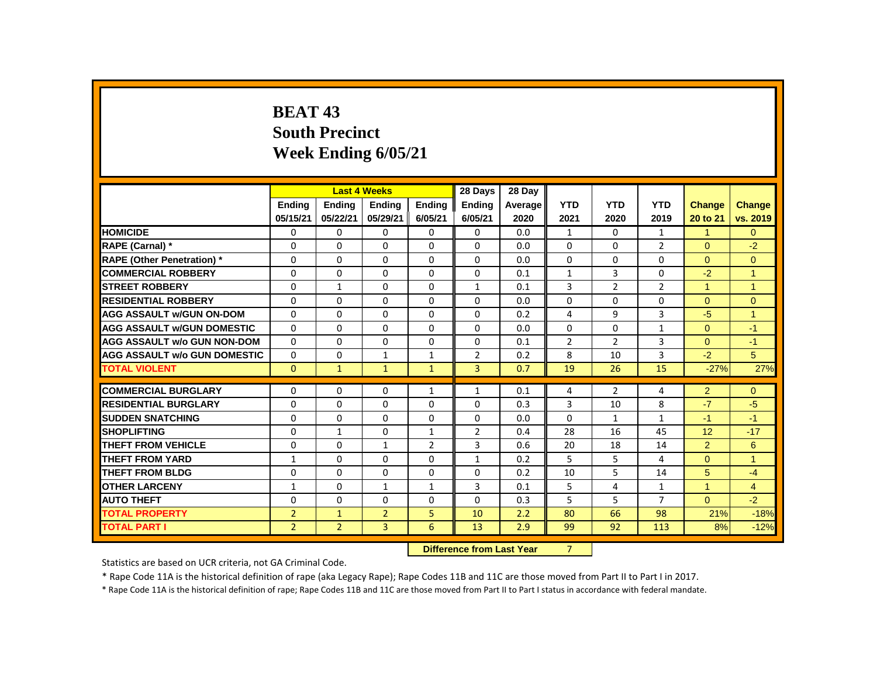# **BEAT 43 South Precinct Week Ending 6/05/21**

|                                     |                |                | <b>Last 4 Weeks</b> |                | 28 Days        | 28 Day                    |                |                |                |                |                |
|-------------------------------------|----------------|----------------|---------------------|----------------|----------------|---------------------------|----------------|----------------|----------------|----------------|----------------|
|                                     | <b>Endina</b>  | <b>Ending</b>  | <b>Ending</b>       | <b>Ending</b>  | <b>Ending</b>  | Average                   | <b>YTD</b>     | <b>YTD</b>     | <b>YTD</b>     | <b>Change</b>  | Change         |
|                                     | 05/15/21       | 05/22/21       | 05/29/21            | 6/05/21        | 6/05/21        | 2020                      | 2021           | 2020           | 2019           | 20 to 21       | vs. 2019       |
| <b>HOMICIDE</b>                     | 0              | 0              | 0                   | $\mathbf 0$    | 0              | 0.0                       | $\mathbf{1}$   | $\Omega$       | $\mathbf{1}$   | $\mathbf{1}$   | $\overline{0}$ |
| RAPE (Carnal) *                     | 0              | $\mathbf{0}$   | $\Omega$            | $\Omega$       | $\Omega$       | 0.0                       | $\Omega$       | 0              | $\overline{2}$ | $\Omega$       | $-2$           |
| <b>RAPE (Other Penetration)</b> *   | 0              | 0              | 0                   | 0              | $\Omega$       | 0.0                       | 0              | $\mathbf{0}$   | 0              | $\Omega$       | $\mathbf{0}$   |
| <b>COMMERCIAL ROBBERY</b>           | $\Omega$       | $\mathbf{0}$   | $\Omega$            | $\mathbf{0}$   | $\Omega$       | 0.1                       | $\mathbf{1}$   | 3              | $\Omega$       | $-2$           | $\overline{1}$ |
| <b>STREET ROBBERY</b>               | $\Omega$       | $\mathbf{1}$   | $\Omega$            | $\Omega$       | $\mathbf{1}$   | 0.1                       | 3              | $\overline{2}$ | $\overline{2}$ | $\mathbf{1}$   | $\mathbf{1}$   |
| <b>RESIDENTIAL ROBBERY</b>          | 0              | $\Omega$       | 0                   | $\Omega$       | 0              | 0.0                       | $\Omega$       | 0              | 0              | $\Omega$       | $\Omega$       |
| <b>AGG ASSAULT w/GUN ON-DOM</b>     | 0              | $\Omega$       | 0                   | $\mathbf{0}$   | 0              | 0.2                       | 4              | 9              | 3              | $-5$           | 1              |
| <b>AGG ASSAULT w/GUN DOMESTIC</b>   | 0              | $\mathbf 0$    | $\Omega$            | $\Omega$       | $\Omega$       | 0.0                       | 0              | $\Omega$       | $\mathbf{1}$   | $\mathbf{0}$   | $-1$           |
| <b>AGG ASSAULT w/o GUN NON-DOM</b>  | $\Omega$       | $\Omega$       | $\Omega$            | $\Omega$       | $\Omega$       | 0.1                       | 2              | $\mathcal{P}$  | 3              | $\Omega$       | $-1$           |
| <b>AGG ASSAULT w/o GUN DOMESTIC</b> | 0              | 0              | 1                   | $\mathbf{1}$   | $\overline{2}$ | 0.2                       | 8              | 10             | 3              | $-2$           | 5              |
| <b>TOTAL VIOLENT</b>                | $\mathbf{0}$   | $\mathbf{1}$   | $\mathbf{1}$        | $\mathbf{1}$   | $\overline{3}$ | 0.7                       | 19             | 26             | 15             | $-27%$         | 27%            |
| <b>COMMERCIAL BURGLARY</b>          | 0              | $\Omega$       | $\Omega$            | $\mathbf{1}$   | $\mathbf{1}$   | 0.1                       | 4              | $\overline{2}$ | $\overline{4}$ | $\overline{2}$ | $\mathbf{0}$   |
| <b>RESIDENTIAL BURGLARY</b>         | 0              | $\Omega$       | $\Omega$            | $\Omega$       | $\Omega$       | 0.3                       | 3              | 10             | 8              | $-7$           | $-5$           |
| <b>SUDDEN SNATCHING</b>             | 0              | 0              | $\Omega$            | $\mathbf{0}$   | $\Omega$       | 0.0                       | $\Omega$       | $\mathbf{1}$   | $\mathbf{1}$   | $-1$           | $-1$           |
| <b>SHOPLIFTING</b>                  | $\Omega$       | $\mathbf{1}$   | $\Omega$            | $\mathbf{1}$   | $\overline{2}$ | 0.4                       | 28             | 16             | 45             | 12             | $-17$          |
| <b>THEFT FROM VEHICLE</b>           | 0              | $\Omega$       | $\mathbf{1}$        | $\overline{2}$ | 3              | 0.6                       | 20             | 18             | 14             | $\overline{2}$ | 6              |
| <b>THEFT FROM YARD</b>              | $\mathbf{1}$   | $\mathbf{0}$   | 0                   | $\mathbf{0}$   | $\mathbf{1}$   | 0.2                       | 5              | 5              | 4              | $\Omega$       | $\mathbf{1}$   |
| <b>THEFT FROM BLDG</b>              | 0              | $\mathbf{0}$   | 0                   | $\mathbf{0}$   | 0              | 0.2                       | 10             | 5              | 14             | 5              | $-4$           |
| <b>OTHER LARCENY</b>                | $\mathbf{1}$   | $\Omega$       | $\mathbf{1}$        | $\mathbf{1}$   | 3              | 0.1                       | 5              | 4              | $\mathbf{1}$   | $\mathbf{1}$   | $\overline{4}$ |
| <b>AUTO THEFT</b>                   | 0              | $\Omega$       | $\Omega$            | $\mathbf{0}$   | $\Omega$       | 0.3                       | 5              | 5              | $\overline{7}$ | $\Omega$       | $-2$           |
| <b>TOTAL PROPERTY</b>               | $\overline{2}$ | $\mathbf{1}$   | $\overline{2}$      | 5              | 10             | 2.2                       | 80             | 66             | 98             | 21%            | $-18%$         |
| <b>TOTAL PART I</b>                 | $\overline{2}$ | $\overline{2}$ | 3                   | 6              | 13             | 2.9                       | 99             | 92             | 113            | 8%             | $-12%$         |
|                                     |                |                |                     |                |                | Difference from Loot Vear | $\overline{ }$ |                |                |                |                |

**Difference from Last Year** 

Statistics are based on UCR criteria, not GA Criminal Code.

\* Rape Code 11A is the historical definition of rape (aka Legacy Rape); Rape Codes 11B and 11C are those moved from Part II to Part I in 2017.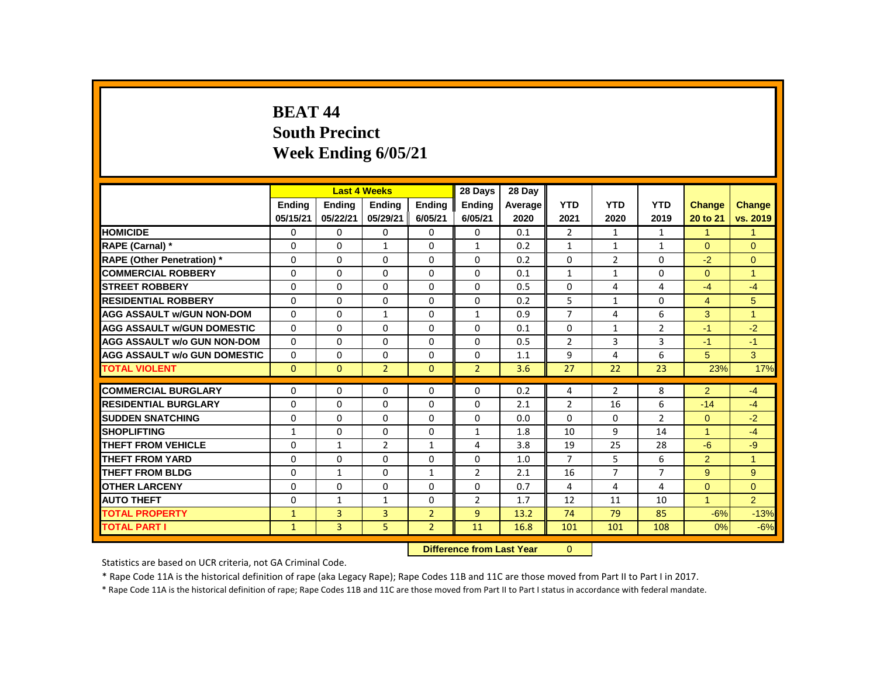# **BEAT 44 South Precinct Week Ending 6/05/21**

|                                     |               |               | <b>Last 4 Weeks</b> |                | 28 Days                   | 28 Day  |                |                |                |                      |                |
|-------------------------------------|---------------|---------------|---------------------|----------------|---------------------------|---------|----------------|----------------|----------------|----------------------|----------------|
|                                     | <b>Endina</b> | <b>Endina</b> | <b>Ending</b>       | <b>Ending</b>  | <b>Ending</b>             | Average | <b>YTD</b>     | <b>YTD</b>     | <b>YTD</b>     | <b>Change</b>        | <b>Change</b>  |
|                                     | 05/15/21      | 05/22/21      | 05/29/21            | 6/05/21        | 6/05/21                   | 2020    | 2021           | 2020           | 2019           | 20 to 21             | vs. 2019       |
| <b>HOMICIDE</b>                     | 0             | 0             | $\Omega$            | 0              | 0                         | 0.1     | $\overline{2}$ | $\mathbf{1}$   | $\mathbf{1}$   | $\mathbf{1}$         | $\mathbf{1}$   |
| RAPE (Carnal) *                     | 0             | $\Omega$      | 1                   | 0              | $\mathbf{1}$              | 0.2     | 1              | 1              | 1              | $\Omega$             | $\Omega$       |
| <b>RAPE (Other Penetration) *</b>   | 0             | $\Omega$      | $\Omega$            | 0              | 0                         | 0.2     | $\Omega$       | $\overline{2}$ | 0              | $-2$                 | $\mathbf{0}$   |
| <b>COMMERCIAL ROBBERY</b>           | $\Omega$      | $\Omega$      | $\Omega$            | $\Omega$       | $\Omega$                  | 0.1     | $\mathbf{1}$   | $\mathbf{1}$   | $\Omega$       | $\Omega$             | $\mathbf{1}$   |
| <b>STREET ROBBERY</b>               | $\Omega$      | $\Omega$      | $\Omega$            | $\Omega$       | $\Omega$                  | 0.5     | $\Omega$       | 4              | 4              | $-4$                 | $-4$           |
| <b>RESIDENTIAL ROBBERY</b>          | $\Omega$      | 0             | $\Omega$            | $\Omega$       | 0                         | 0.2     | 5              | $\mathbf{1}$   | $\Omega$       | $\overline{4}$       | 5              |
| <b>AGG ASSAULT w/GUN NON-DOM</b>    | $\Omega$      | $\Omega$      | $\mathbf{1}$        | 0              | $\mathbf{1}$              | 0.9     | $\overline{7}$ | 4              | 6              | 3                    | $\overline{1}$ |
| <b>AGG ASSAULT W/GUN DOMESTIC</b>   | $\Omega$      | $\Omega$      | 0                   | 0              | 0                         | 0.1     | 0              | $\mathbf{1}$   | $\overline{2}$ | $-1$                 | $-2$           |
| <b>AGG ASSAULT w/o GUN NON-DOM</b>  | $\Omega$      | $\Omega$      | $\Omega$            | $\Omega$       | $\Omega$                  | 0.5     | 2              | 3              | 3              | $-1$                 | $-1$           |
| <b>AGG ASSAULT w/o GUN DOMESTIC</b> | $\Omega$      | $\Omega$      | $\Omega$            | $\Omega$       | $\Omega$                  | 1.1     | 9              | 4              | 6              | 5                    | 3              |
| <b>TOTAL VIOLENT</b>                | $\Omega$      | $\mathbf{0}$  | $\overline{2}$      | $\Omega$       | $\overline{2}$            | 3.6     | 27             | 22             | 23             | 23%                  | 17%            |
| <b>COMMERCIAL BURGLARY</b>          | $\Omega$      | $\Omega$      | $\Omega$            | 0              | $\Omega$                  | 0.2     | 4              | $\overline{2}$ | 8              | 2                    | $-4$           |
| <b>RESIDENTIAL BURGLARY</b>         | $\Omega$      | $\Omega$      | $\Omega$            | $\Omega$       | $\Omega$                  | 2.1     | $\overline{2}$ | 16             | 6              | $-14$                | $-4$           |
| <b>SUDDEN SNATCHING</b>             | $\Omega$      | $\Omega$      | $\Omega$            | $\Omega$       | $\Omega$                  | 0.0     | $\Omega$       | $\Omega$       | $\overline{2}$ | $\Omega$             | $-2$           |
| <b>SHOPLIFTING</b>                  | $\mathbf{1}$  | $\Omega$      | $\Omega$            | $\Omega$       | $\mathbf{1}$              | 1.8     | 10             | 9              | 14             | $\blacktriangleleft$ | $-4$           |
| <b>THEFT FROM VEHICLE</b>           | $\Omega$      | $\mathbf{1}$  | $\overline{2}$      | $\mathbf{1}$   | $\overline{4}$            | 3.8     | 19             | 25             | 28             | $-6$                 | $-9$           |
| <b>THEFT FROM YARD</b>              | 0             | 0             | 0                   | 0              | 0                         | 1.0     | $\overline{7}$ | 5              | 6              | 2                    | $\mathbf{1}$   |
| <b>THEFT FROM BLDG</b>              | 0             | $\mathbf{1}$  | $\Omega$            | $\mathbf{1}$   | $\overline{2}$            | 2.1     | 16             | $\overline{7}$ | $\overline{7}$ | 9                    | 9              |
| <b>OTHER LARCENY</b>                | $\Omega$      | $\Omega$      | $\Omega$            | $\Omega$       | $\Omega$                  | 0.7     | 4              | 4              | $\overline{4}$ | $\Omega$             | $\Omega$       |
| <b>AUTO THEFT</b>                   | 0             | $\mathbf{1}$  | $\mathbf{1}$        | $\Omega$       | $\overline{2}$            | 1.7     | 12             | 11             | 10             | $\mathbf{1}$         | $\overline{2}$ |
| <b>TOTAL PROPERTY</b>               | $\mathbf{1}$  | 3             | 3                   | $\overline{2}$ | $\overline{9}$            | 13.2    | 74             | 79             | 85             | $-6%$                | $-13%$         |
| <b>TOTAL PART I</b>                 | $\mathbf{1}$  | 3             | 5                   | $\overline{2}$ | 11                        | 16.8    | 101            | 101            | 108            | 0%                   | $-6%$          |
|                                     |               |               |                     |                | Difference from Loot Vear |         | $\cap$         |                |                |                      |                |

 **Difference from Last Year** 0

Statistics are based on UCR criteria, not GA Criminal Code.

\* Rape Code 11A is the historical definition of rape (aka Legacy Rape); Rape Codes 11B and 11C are those moved from Part II to Part I in 2017.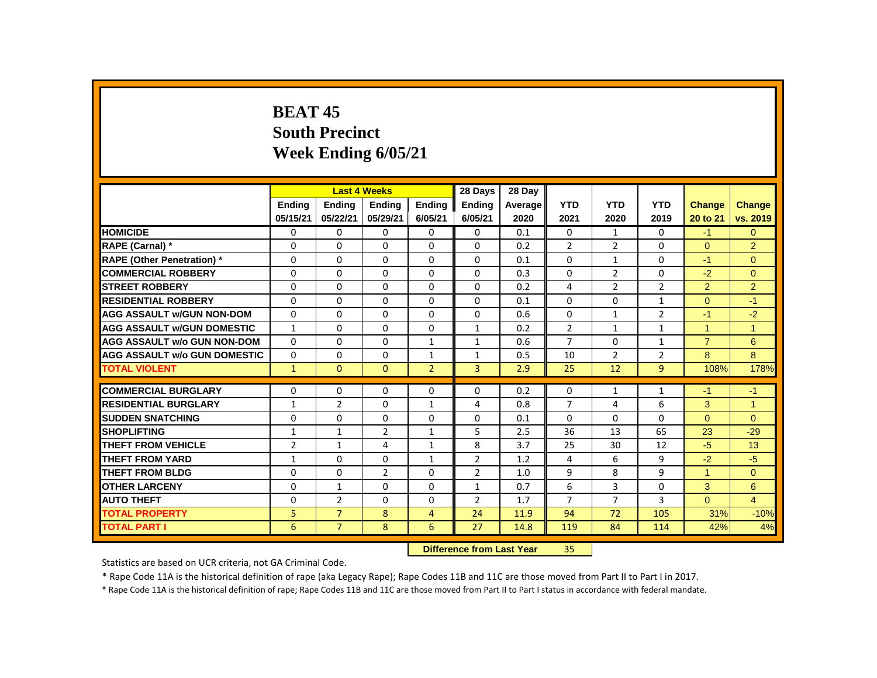# **BEAT 45 South Precinct Week Ending 6/05/21**

|                                     |                |                | <b>Last 4 Weeks</b> |                | 28 Days                   | 28 Day  |                |                |                |                |                |
|-------------------------------------|----------------|----------------|---------------------|----------------|---------------------------|---------|----------------|----------------|----------------|----------------|----------------|
|                                     | <b>Endina</b>  | <b>Ending</b>  | <b>Endina</b>       | <b>Endina</b>  | <b>Endina</b>             | Average | <b>YTD</b>     | <b>YTD</b>     | <b>YTD</b>     | <b>Change</b>  | Change         |
|                                     | 05/15/21       | 05/22/21       | 05/29/21            | 6/05/21        | 6/05/21                   | 2020    | 2021           | 2020           | 2019           | 20 to 21       | vs. 2019       |
| <b>HOMICIDE</b>                     | 0              | 0              | 0                   | 0              | 0                         | 0.1     | 0              | $\mathbf{1}$   | 0              | $-1$           | $\overline{0}$ |
| RAPE (Carnal) *                     | 0              | $\mathbf{0}$   | $\Omega$            | $\Omega$       | $\Omega$                  | 0.2     | $\overline{2}$ | $\overline{2}$ | $\Omega$       | $\Omega$       | $\overline{2}$ |
| <b>RAPE (Other Penetration)</b> *   | 0              | 0              | 0                   | 0              | $\Omega$                  | 0.1     | $\Omega$       | $\mathbf{1}$   | 0              | $-1$           | $\mathbf{0}$   |
| <b>COMMERCIAL ROBBERY</b>           | $\Omega$       | $\mathbf{0}$   | $\Omega$            | $\mathbf{0}$   | $\Omega$                  | 0.3     | $\Omega$       | $\overline{2}$ | $\Omega$       | $-2$           | $\Omega$       |
| <b>STREET ROBBERY</b>               | 0              | $\Omega$       | $\Omega$            | $\Omega$       | $\Omega$                  | 0.2     | 4              | $\overline{2}$ | $\overline{2}$ | $\overline{2}$ | 2              |
| <b>RESIDENTIAL ROBBERY</b>          | 0              | $\Omega$       | 0                   | $\Omega$       | 0                         | 0.1     | $\Omega$       | 0              | $\mathbf{1}$   | $\Omega$       | $-1$           |
| <b>AGG ASSAULT w/GUN NON-DOM</b>    | 0              | $\Omega$       | 0                   | $\mathbf{0}$   | 0                         | 0.6     | $\Omega$       | $\mathbf{1}$   | $\overline{2}$ | $-1$           | $-2$           |
| <b>AGG ASSAULT w/GUN DOMESTIC</b>   | $\mathbf{1}$   | $\mathbf 0$    | $\Omega$            | $\mathbf 0$    | $\mathbf{1}$              | 0.2     | $\overline{2}$ | $\mathbf{1}$   | $\mathbf{1}$   | $\mathbf{1}$   | $\mathbf{1}$   |
| <b>AGG ASSAULT w/o GUN NON-DOM</b>  | $\Omega$       | $\Omega$       | $\Omega$            | $\mathbf{1}$   | $\mathbf{1}$              | 0.6     | $\overline{7}$ | $\Omega$       | $\mathbf{1}$   | $\overline{7}$ | 6              |
| <b>AGG ASSAULT w/o GUN DOMESTIC</b> | 0              | $\mathbf{0}$   | 0                   | $\mathbf{1}$   | 1                         | 0.5     | 10             | $\overline{2}$ | $\overline{2}$ | 8              | 8              |
| <b>TOTAL VIOLENT</b>                | $\mathbf{1}$   | $\mathbf{0}$   | $\mathbf{0}$        | $\overline{2}$ | $\overline{3}$            | 2.9     | 25             | 12             | 9              | 108%           | 178%           |
| <b>COMMERCIAL BURGLARY</b>          | 0              | $\Omega$       | $\Omega$            | 0              | $\Omega$                  | 0.2     | 0              | $\mathbf{1}$   | $\mathbf{1}$   | $-1$           | $-1$           |
| <b>RESIDENTIAL BURGLARY</b>         | 1              | $\overline{2}$ | $\Omega$            | 1              | 4                         | 0.8     | $\overline{7}$ | 4              | 6              | 3              | 1              |
| <b>SUDDEN SNATCHING</b>             | 0              | 0              | $\Omega$            | $\mathbf{0}$   | $\Omega$                  | 0.1     | $\Omega$       | $\Omega$       | $\Omega$       | $\Omega$       | $\Omega$       |
| <b>SHOPLIFTING</b>                  | $\mathbf{1}$   | $\mathbf{1}$   | $\overline{2}$      | $\mathbf{1}$   | 5                         | 2.5     | 36             | 13             | 65             | 23             | $-29$          |
| <b>THEFT FROM VEHICLE</b>           | $\overline{2}$ | $\mathbf{1}$   | 4                   | $\mathbf{1}$   | 8                         | 3.7     | 25             | 30             | 12             | $-5$           | 13             |
| <b>THEFT FROM YARD</b>              | $\mathbf{1}$   | $\mathbf{0}$   | 0                   | $\mathbf{1}$   | $\overline{2}$            | 1.2     | 4              | 6              | 9              | $-2$           | $-5$           |
| <b>THEFT FROM BLDG</b>              | 0              | $\mathbf{0}$   | $\overline{2}$      | $\mathbf{0}$   | $\overline{2}$            | 1.0     | 9              | 8              | 9              | 1              | $\Omega$       |
| <b>OTHER LARCENY</b>                | $\Omega$       | $\mathbf{1}$   | $\Omega$            | $\Omega$       | $\mathbf{1}$              | 0.7     | 6              | 3              | $\Omega$       | 3              | 6              |
| <b>AUTO THEFT</b>                   | 0              | $\overline{2}$ | $\Omega$            | $\mathbf{0}$   | $\overline{2}$            | 1.7     | $\overline{7}$ | $\overline{7}$ | 3              | $\Omega$       | $\overline{4}$ |
| <b>TOTAL PROPERTY</b>               | 5              | $\overline{7}$ | 8                   | $\overline{4}$ | 24                        | 11.9    | 94             | 72             | 105            | 31%            | $-10%$         |
| <b>TOTAL PART I</b>                 | 6              | $\overline{7}$ | 8                   | 6              | 27                        | 14.8    | 119            | 84             | 114            | 42%            | 4%             |
|                                     |                |                |                     |                | Difference from Loot Vear |         | D.C.           |                |                |                |                |

 **Difference from Last Year** 35

Statistics are based on UCR criteria, not GA Criminal Code.

\* Rape Code 11A is the historical definition of rape (aka Legacy Rape); Rape Codes 11B and 11C are those moved from Part II to Part I in 2017.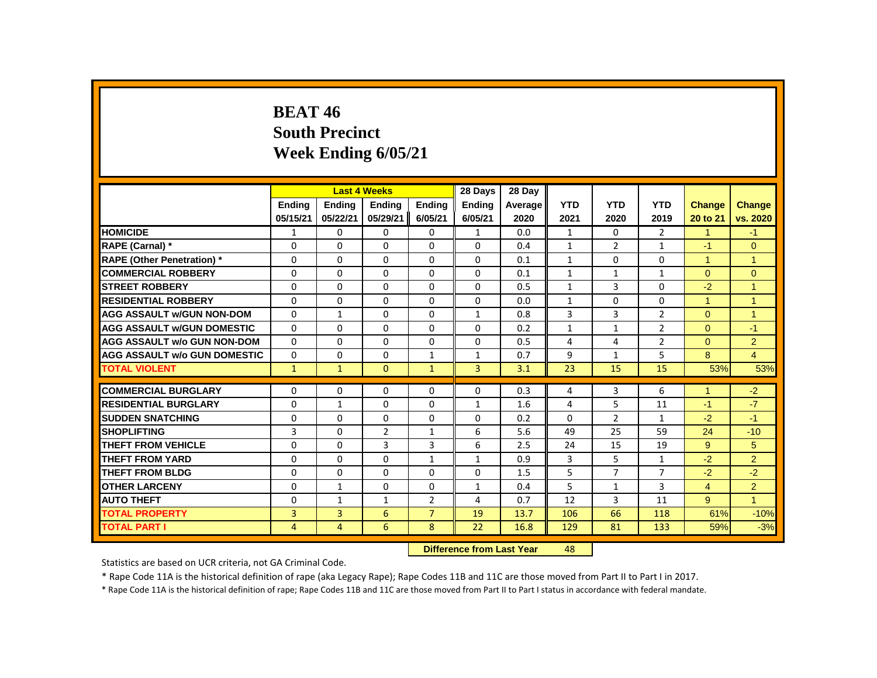# **BEAT 46 South Precinct Week Ending 6/05/21**

|                                     |               |                | <b>Last 4 Weeks</b> |                | 28 Days                   | 28 Day  |              |                |                |                      |                |
|-------------------------------------|---------------|----------------|---------------------|----------------|---------------------------|---------|--------------|----------------|----------------|----------------------|----------------|
|                                     | <b>Endina</b> | <b>Ending</b>  | <b>Ending</b>       | <b>Ending</b>  | <b>Ending</b>             | Average | <b>YTD</b>   | <b>YTD</b>     | <b>YTD</b>     | <b>Change</b>        | Change         |
|                                     | 05/15/21      | 05/22/21       | 05/29/21            | 6/05/21        | 6/05/21                   | 2020    | 2021         | 2020           | 2019           | 20 to 21             | vs. 2020       |
| <b>HOMICIDE</b>                     | 1             | 0              | 0                   | 0              | $\mathbf{1}$              | 0.0     | $\mathbf{1}$ | 0              | $\overline{2}$ | $\mathbf{1}$         | $-1$           |
| RAPE (Carnal) *                     | 0             | $\Omega$       | $\Omega$            | $\Omega$       | 0                         | 0.4     | $\mathbf{1}$ | $\overline{2}$ | $\mathbf{1}$   | $-1$                 | $\Omega$       |
| <b>RAPE (Other Penetration)</b> *   | 0             | 0              | 0                   | 0              | 0                         | 0.1     | $\mathbf{1}$ | $\mathbf{0}$   | 0              | $\mathbf{1}$         | $\mathbf{1}$   |
| <b>COMMERCIAL ROBBERY</b>           | $\Omega$      | $\Omega$       | $\Omega$            | $\Omega$       | $\Omega$                  | 0.1     | $\mathbf{1}$ | $\mathbf{1}$   | $\mathbf{1}$   | $\Omega$             | $\Omega$       |
| <b>STREET ROBBERY</b>               | $\Omega$      | $\Omega$       | $\Omega$            | $\Omega$       | $\Omega$                  | 0.5     | $\mathbf{1}$ | 3              | $\Omega$       | $-2$                 | $\overline{1}$ |
| <b>RESIDENTIAL ROBBERY</b>          | $\Omega$      | $\Omega$       | $\Omega$            | $\Omega$       | 0                         | 0.0     | $\mathbf{1}$ | $\Omega$       | $\Omega$       | $\mathbf{1}$         | $\overline{1}$ |
| <b>AGG ASSAULT w/GUN NON-DOM</b>    | $\Omega$      | $\mathbf{1}$   | $\Omega$            | $\Omega$       | $\mathbf{1}$              | 0.8     | 3            | 3              | $\overline{2}$ | $\Omega$             | $\overline{1}$ |
| <b>AGG ASSAULT w/GUN DOMESTIC</b>   | $\Omega$      | 0              | 0                   | 0              | 0                         | 0.2     | $\mathbf{1}$ | $\mathbf{1}$   | $\overline{2}$ | $\overline{0}$       | $-1$           |
| <b>AGG ASSAULT w/o GUN NON-DOM</b>  | $\Omega$      | $\Omega$       | $\Omega$            | $\Omega$       | 0                         | 0.5     | 4            | 4              | $\overline{2}$ | $\Omega$             | $\overline{2}$ |
| <b>AGG ASSAULT w/o GUN DOMESTIC</b> | 0             | 0              | 0                   | $\mathbf{1}$   | 1                         | 0.7     | 9            | $\mathbf{1}$   | 5              | 8                    | $\overline{4}$ |
| <b>TOTAL VIOLENT</b>                | $\mathbf{1}$  | $\mathbf{1}$   | $\mathbf{0}$        | $\mathbf{1}$   | 3                         | 3.1     | 23           | 15             | 15             | 53%                  | 53%            |
| <b>COMMERCIAL BURGLARY</b>          | $\Omega$      | $\Omega$       | $\Omega$            | $\Omega$       | 0                         | 0.3     | 4            | 3              | 6              | $\blacktriangleleft$ | $-2$           |
| <b>RESIDENTIAL BURGLARY</b>         | $\Omega$      | $\mathbf{1}$   | $\Omega$            | $\Omega$       | 1                         | 1.6     | 4            | 5              | 11             | $-1$                 | $-7$           |
| <b>SUDDEN SNATCHING</b>             | 0             | 0              | $\Omega$            | 0              | 0                         | 0.2     | $\Omega$     | $\overline{2}$ | $\mathbf{1}$   | $-2$                 | $-1$           |
| <b>SHOPLIFTING</b>                  | 3             | $\Omega$       | $\overline{2}$      | $\mathbf{1}$   | 6                         | 5.6     | 49           | 25             | 59             | 24                   | $-10$          |
| THEFT FROM VEHICLE                  | $\Omega$      | $\Omega$       | 3                   | 3              | 6                         | 2.5     | 24           | 15             | 19             | 9                    | 5              |
| THEFT FROM YARD                     | 0             | 0              | $\Omega$            | $\mathbf{1}$   | $\mathbf{1}$              | 0.9     | 3            | 5              | $\mathbf{1}$   | $-2$                 | $\overline{2}$ |
| <b>THEFT FROM BLDG</b>              | 0             | 0              | $\Omega$            | $\Omega$       | 0                         | 1.5     | 5            | $\overline{7}$ | $\overline{7}$ | $-2$                 | $-2$           |
| <b>OTHER LARCENY</b>                | $\Omega$      | $\mathbf{1}$   | $\Omega$            | $\Omega$       | $\mathbf{1}$              | 0.4     | 5            | $\mathbf{1}$   | 3              | $\overline{4}$       | $\overline{2}$ |
| <b>AUTO THEFT</b>                   | $\Omega$      | $\mathbf{1}$   | $\mathbf{1}$        | $\overline{2}$ | 4                         | 0.7     | 12           | 3              | 11             | 9 <sup>°</sup>       | $\mathbf{1}$   |
| <b>TOTAL PROPERTY</b>               | 3             | 3              | 6                   | $\overline{7}$ | 19                        | 13.7    | 106          | 66             | 118            | 61%                  | $-10%$         |
| <b>TOTAL PART I</b>                 | 4             | $\overline{4}$ | 6                   | 8              | 22                        | 16.8    | 129          | 81             | 133            | 59%                  | $-3%$          |
|                                     |               |                |                     |                | Difference from Loot Vear |         | $\Lambda$ O  |                |                |                      |                |

 **Difference from Last Year** 48

Statistics are based on UCR criteria, not GA Criminal Code.

\* Rape Code 11A is the historical definition of rape (aka Legacy Rape); Rape Codes 11B and 11C are those moved from Part II to Part I in 2017.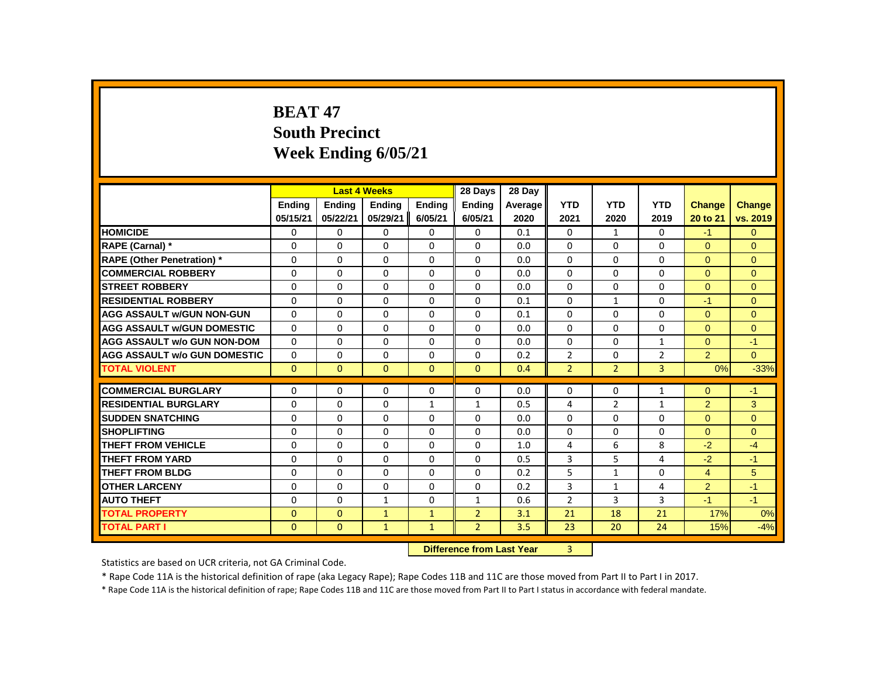# **BEAT 47 South Precinct Week Ending 6/05/21**

|                                     |               |               | <b>Last 4 Weeks</b> |               | 28 Days                   | 28 Day  |                |                |                |                |              |
|-------------------------------------|---------------|---------------|---------------------|---------------|---------------------------|---------|----------------|----------------|----------------|----------------|--------------|
|                                     | <b>Ending</b> | <b>Ending</b> | <b>Ending</b>       | <b>Ending</b> | <b>Ending</b>             | Average | <b>YTD</b>     | <b>YTD</b>     | <b>YTD</b>     | <b>Change</b>  | Change       |
|                                     | 05/15/21      | 05/22/21      | 05/29/21            | 6/05/21       | 6/05/21                   | 2020    | 2021           | 2020           | 2019           | 20 to 21       | vs. 2019     |
| <b>HOMICIDE</b>                     | 0             | 0             | 0                   | 0             | $\mathbf{0}$              | 0.1     | 0              | $\mathbf{1}$   | 0              | $-1$           | $\Omega$     |
| RAPE (Carnal) *                     | 0             | $\Omega$      | $\Omega$            | $\Omega$      | 0                         | 0.0     | $\Omega$       | $\Omega$       | $\Omega$       | $\Omega$       | $\Omega$     |
| <b>RAPE (Other Penetration)</b> *   | $\Omega$      | $\Omega$      | $\Omega$            | $\Omega$      | 0                         | 0.0     | $\Omega$       | $\Omega$       | $\Omega$       | $\Omega$       | $\mathbf{0}$ |
| <b>COMMERCIAL ROBBERY</b>           | $\Omega$      | $\Omega$      | $\Omega$            | $\Omega$      | 0                         | 0.0     | $\Omega$       | $\Omega$       | $\Omega$       | $\Omega$       | $\Omega$     |
| <b>STREET ROBBERY</b>               | 0             | 0             | 0                   | 0             | 0                         | 0.0     | 0              | 0              | 0              | $\Omega$       | $\mathbf{0}$ |
| <b>RESIDENTIAL ROBBERY</b>          | $\Omega$      | $\Omega$      | $\Omega$            | $\Omega$      | 0                         | 0.1     | $\Omega$       | $\mathbf{1}$   | $\Omega$       | $-1$           | $\Omega$     |
| <b>AGG ASSAULT w/GUN NON-GUN</b>    | $\Omega$      | $\Omega$      | $\Omega$            | $\Omega$      | $\Omega$                  | 0.1     | $\Omega$       | $\Omega$       | $\Omega$       | $\Omega$       | $\Omega$     |
| <b>AGG ASSAULT w/GUN DOMESTIC</b>   | $\Omega$      | $\Omega$      | $\Omega$            | $\Omega$      | $\Omega$                  | 0.0     | $\Omega$       | $\Omega$       | $\Omega$       | $\Omega$       | $\Omega$     |
| <b>AGG ASSAULT w/o GUN NON-DOM</b>  | $\Omega$      | $\Omega$      | $\Omega$            | $\Omega$      | $\Omega$                  | 0.0     | $\Omega$       | $\Omega$       | $\mathbf{1}$   | $\Omega$       | $-1$         |
| <b>AGG ASSAULT w/o GUN DOMESTIC</b> | 0             | 0             | 0                   | 0             | 0                         | 0.2     | $\overline{2}$ | 0              | $\overline{2}$ | 2 <sup>1</sup> | $\Omega$     |
| <b>TOTAL VIOLENT</b>                | $\mathbf{0}$  | $\mathbf{0}$  | $\mathbf{0}$        | $\mathbf{0}$  | $\mathbf{0}$              | 0.4     | $\overline{2}$ | $\overline{2}$ | $\overline{3}$ | 0%             | $-33%$       |
| <b>COMMERCIAL BURGLARY</b>          | 0             | 0             | 0                   | 0             | 0                         | 0.0     | 0              | 0              | $\mathbf{1}$   | $\overline{0}$ | -1           |
| <b>RESIDENTIAL BURGLARY</b>         | $\Omega$      | $\Omega$      | $\Omega$            | $\mathbf{1}$  | $\mathbf{1}$              | 0.5     | 4              | $\overline{2}$ | $\mathbf{1}$   | $\overline{2}$ | 3            |
| <b>SUDDEN SNATCHING</b>             | $\Omega$      | $\Omega$      | $\Omega$            | $\Omega$      | 0                         | 0.0     | $\Omega$       | $\mathbf{0}$   | 0              | $\Omega$       | $\mathbf{0}$ |
| <b>SHOPLIFTING</b>                  | $\Omega$      | $\Omega$      | $\Omega$            | $\Omega$      | $\Omega$                  | 0.0     | $\Omega$       | $\Omega$       | $\Omega$       | $\Omega$       | $\Omega$     |
| <b>THEFT FROM VEHICLE</b>           | $\Omega$      | $\Omega$      | $\Omega$            | $\Omega$      | 0                         | 1.0     | 4              | 6              | 8              | $-2$           | $-4$         |
| <b>THEFT FROM YARD</b>              | 0             | 0             | 0                   | 0             | 0                         | 0.5     | 3              | 5              | 4              | $-2$           | $-1$         |
| <b>THEFT FROM BLDG</b>              | $\Omega$      | $\Omega$      | $\Omega$            | $\Omega$      | 0                         | 0.2     | 5              | $\mathbf{1}$   | $\Omega$       | $\overline{4}$ | 5            |
| <b>OTHER LARCENY</b>                | $\Omega$      | $\Omega$      | $\Omega$            | $\Omega$      | $\Omega$                  | 0.2     | 3              | $\mathbf{1}$   | 4              | $\overline{2}$ | $-1$         |
| <b>AUTO THEFT</b>                   | $\Omega$      | $\Omega$      | $\mathbf{1}$        | $\Omega$      | $\mathbf{1}$              | 0.6     | 2              | 3              | 3              | $-1$           | $-1$         |
| <b>TOTAL PROPERTY</b>               | $\Omega$      | $\mathbf{0}$  | $\mathbf{1}$        | $\mathbf{1}$  | $\overline{2}$            | 3.1     | 21             | 18             | 21             | 17%            | 0%           |
| <b>TOTAL PART I</b>                 | $\mathbf{0}$  | $\mathbf{0}$  | $\mathbf{1}$        | $\mathbf{1}$  | $\overline{2}$            | 3.5     | 23             | 20             | 24             | 15%            | $-4%$        |
|                                     |               |               |                     |               | Difference from Last Year |         | $\overline{a}$ |                |                |                |              |

**Difference from Last Year** 3

Statistics are based on UCR criteria, not GA Criminal Code.

\* Rape Code 11A is the historical definition of rape (aka Legacy Rape); Rape Codes 11B and 11C are those moved from Part II to Part I in 2017.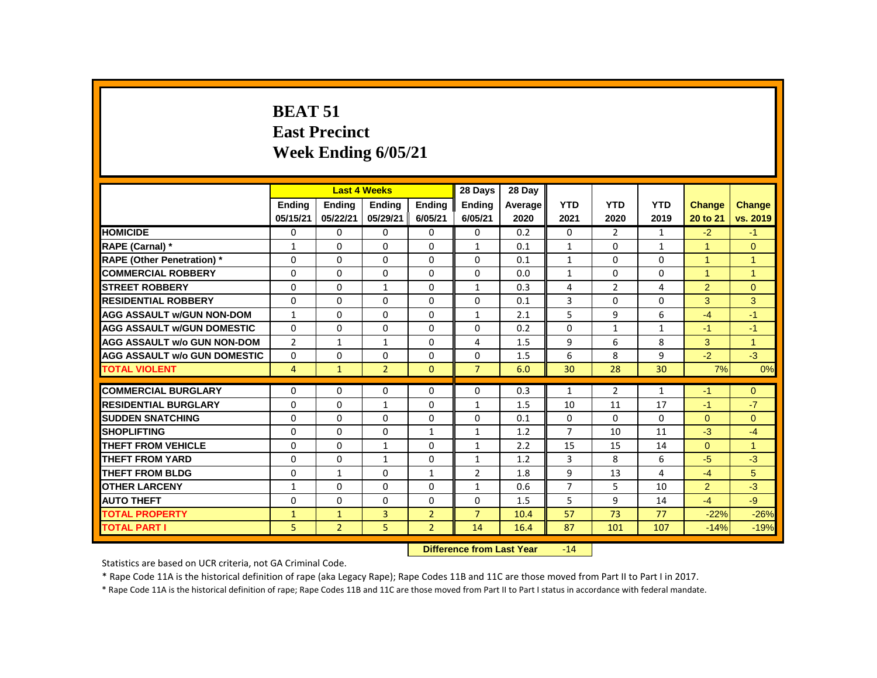# **BEAT 51 East Precinct Week Ending 6/05/21**

|                                     |                | <b>Last 4 Weeks</b> |                |                | 28 Days                    | 28 Day  |                |                |              |                |                |
|-------------------------------------|----------------|---------------------|----------------|----------------|----------------------------|---------|----------------|----------------|--------------|----------------|----------------|
|                                     | <b>Endina</b>  | <b>Ending</b>       | <b>Ending</b>  | <b>Endina</b>  | <b>Endina</b>              | Average | <b>YTD</b>     | <b>YTD</b>     | <b>YTD</b>   | <b>Change</b>  | <b>Change</b>  |
|                                     | 05/15/21       | 05/22/21            | 05/29/21       | 6/05/21        | 6/05/21                    | 2020    | 2021           | 2020           | 2019         | 20 to 21       | vs. 2019       |
| <b>HOMICIDE</b>                     | 0              | 0                   | 0              | 0              | $\mathbf{0}$               | 0.2     | 0              | $\overline{2}$ | $\mathbf{1}$ | $-2$           | $-1$           |
| RAPE (Carnal) *                     | 1              | $\mathbf{0}$        | $\Omega$       | $\mathbf{0}$   | $\mathbf{1}$               | 0.1     | $\mathbf{1}$   | $\mathbf{0}$   | $\mathbf{1}$ | 1              | $\mathbf{0}$   |
| <b>RAPE (Other Penetration) *</b>   | 0              | 0                   | $\Omega$       | $\mathbf{0}$   | $\Omega$                   | 0.1     | $\mathbf{1}$   | $\mathbf{0}$   | $\Omega$     | $\mathbf{1}$   | $\mathbf{1}$   |
| <b>COMMERCIAL ROBBERY</b>           | 0              | $\mathbf{0}$        | $\Omega$       | $\Omega$       | $\Omega$                   | 0.0     | $\mathbf{1}$   | $\Omega$       | $\Omega$     | $\mathbf{1}$   | $\overline{1}$ |
| <b>STREET ROBBERY</b>               | $\Omega$       | $\Omega$            | $\mathbf{1}$   | $\Omega$       | $\mathbf{1}$               | 0.3     | 4              | $\mathcal{P}$  | 4            | $\overline{2}$ | $\Omega$       |
| <b>RESIDENTIAL ROBBERY</b>          | 0              | 0                   | $\Omega$       | $\Omega$       | $\Omega$                   | 0.1     | 3              | $\Omega$       | $\Omega$     | 3              | 3              |
| <b>AGG ASSAULT w/GUN NON-DOM</b>    | $\mathbf{1}$   | $\Omega$            | $\Omega$       | $\Omega$       | $\mathbf{1}$               | 2.1     | 5              | 9              | 6            | $-4$           | $-1$           |
| <b>AGG ASSAULT w/GUN DOMESTIC</b>   | $\Omega$       | $\mathbf{0}$        | $\Omega$       | $\Omega$       | $\Omega$                   | 0.2     | $\Omega$       | $\mathbf{1}$   | $\mathbf{1}$ | $-1$           | $-1$           |
| <b>AGG ASSAULT w/o GUN NON-DOM</b>  | $\overline{2}$ | $\mathbf{1}$        | $\mathbf{1}$   | $\mathbf{0}$   | $\overline{4}$             | 1.5     | 9              | 6              | 8            | 3              | $\overline{1}$ |
| <b>AGG ASSAULT W/o GUN DOMESTIC</b> | 0              | $\Omega$            | $\Omega$       | $\Omega$       | $\Omega$                   | 1.5     | 6              | 8              | 9            | $-2$           | $-3$           |
| <b>TOTAL VIOLENT</b>                | 4              | $\mathbf{1}$        | $\overline{2}$ | $\mathbf{0}$   | $\overline{7}$             | 6.0     | 30             | 28             | 30           | 7%             | 0%             |
| <b>COMMERCIAL BURGLARY</b>          | 0              | 0                   | 0              | $\mathbf{0}$   | 0                          | 0.3     | $\mathbf{1}$   | $\overline{2}$ | $\mathbf{1}$ | $-1$           | $\mathbf{0}$   |
| <b>RESIDENTIAL BURGLARY</b>         | $\Omega$       | $\Omega$            | $\mathbf{1}$   | $\Omega$       | $\mathbf{1}$               | 1.5     | 10             | 11             | 17           | $-1$           | $-7$           |
| <b>SUDDEN SNATCHING</b>             | 0              | $\Omega$            | $\Omega$       | $\Omega$       | $\Omega$                   | 0.1     | 0              | $\Omega$       | $\Omega$     | $\Omega$       | $\mathbf{0}$   |
| <b>SHOPLIFTING</b>                  | 0              | $\Omega$            | $\Omega$       | $\mathbf{1}$   | $\mathbf{1}$               | 1.2     | $\overline{7}$ | 10             | 11           | $-3$           | $-4$           |
| <b>THEFT FROM VEHICLE</b>           | $\Omega$       | $\Omega$            | $\mathbf{1}$   | $\Omega$       | $\mathbf{1}$               | 2.2     | 15             | 15             | 14           | $\Omega$       | $\mathbf{1}$   |
| <b>THEFT FROM YARD</b>              | $\Omega$       | 0                   | $\mathbf{1}$   | $\Omega$       | $\mathbf{1}$               | 1.2     | 3              | 8              | 6            | $-5$           | $-3$           |
| <b>THEFT FROM BLDG</b>              | 0              | $\mathbf{1}$        | $\Omega$       | $\mathbf{1}$   | $\overline{2}$             | 1.8     | 9              | 13             | 4            | $-4$           | 5              |
| <b>OTHER LARCENY</b>                | $\mathbf{1}$   | 0                   | 0              | $\mathbf{0}$   | $\mathbf{1}$               | 0.6     | $\overline{7}$ | 5              | 10           | $\overline{2}$ | $-3$           |
| <b>AUTO THEFT</b>                   | 0              | $\Omega$            | $\Omega$       | $\Omega$       | $\Omega$                   | 1.5     | 5              | 9              | 14           | $-4$           | $-9$           |
| <b>TOTAL PROPERTY</b>               | $\mathbf{1}$   | $\mathbf{1}$        | 3              | $\overline{2}$ | $\overline{7}$             | 10.4    | 57             | 73             | 77           | $-22%$         | $-26%$         |
| <b>TOTAL PART I</b>                 | 5              | $\overline{2}$      | 5              | $\overline{2}$ | 14                         | 16.4    | 87             | 101            | 107          | $-14%$         | $-19%$         |
|                                     |                |                     |                |                | Difference from Look Vanc. |         | 4A             |                |              |                |                |

#### **Difference from Last Year** -14

Statistics are based on UCR criteria, not GA Criminal Code.

\* Rape Code 11A is the historical definition of rape (aka Legacy Rape); Rape Codes 11B and 11C are those moved from Part II to Part I in 2017.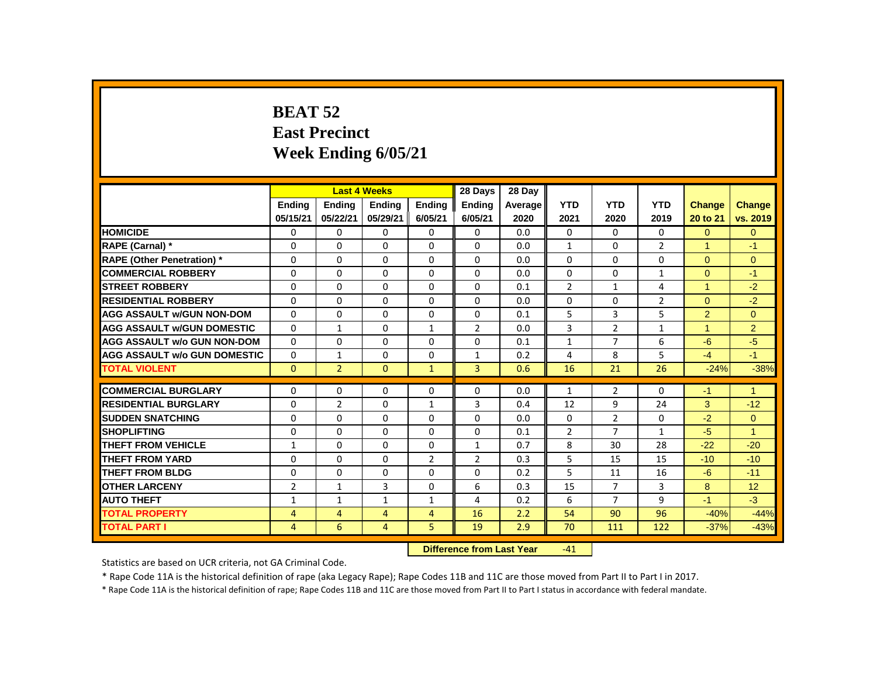# **BEAT 52 East Precinct Week Ending 6/05/21**

|                                     |                |                | <b>Last 4 Weeks</b> |                | 28 Days                   | 28 Day  |                 |                |                |                |                |
|-------------------------------------|----------------|----------------|---------------------|----------------|---------------------------|---------|-----------------|----------------|----------------|----------------|----------------|
|                                     | <b>Endina</b>  | <b>Endina</b>  | <b>Endina</b>       | <b>Endina</b>  | <b>Endina</b>             | Average | <b>YTD</b>      | <b>YTD</b>     | <b>YTD</b>     | <b>Change</b>  | <b>Change</b>  |
|                                     | 05/15/21       | 05/22/21       | 05/29/21            | 6/05/21        | 6/05/21                   | 2020    | 2021            | 2020           | 2019           | 20 to 21       | vs. 2019       |
| <b>HOMICIDE</b>                     | 0              | 0              | 0                   | $\mathbf 0$    | 0                         | 0.0     | $\mathbf{0}$    | $\mathbf{0}$   | $\mathbf{0}$   | $\overline{0}$ | $\mathbf{0}$   |
| RAPE (Carnal) *                     | 0              | $\Omega$       | $\Omega$            | $\mathbf{0}$   | $\Omega$                  | 0.0     | $\mathbf{1}$    | $\Omega$       | $\overline{2}$ | 1              | $-1$           |
| RAPE (Other Penetration) *          | 0              | $\mathbf 0$    | $\Omega$            | 0              | $\Omega$                  | 0.0     | $\Omega$        | $\Omega$       | $\Omega$       | $\Omega$       | $\mathbf{0}$   |
| <b>COMMERCIAL ROBBERY</b>           | $\Omega$       | $\Omega$       | $\Omega$            | $\mathbf{0}$   | $\mathbf{0}$              | 0.0     | $\Omega$        | $\Omega$       | $\mathbf{1}$   | $\Omega$       | $-1$           |
| <b>STREET ROBBERY</b>               | 0              | $\Omega$       | $\Omega$            | 0              | $\Omega$                  | 0.1     | 2               | $\mathbf{1}$   | $\overline{4}$ | $\mathbf{1}$   | $-2$           |
| <b>RESIDENTIAL ROBBERY</b>          | $\Omega$       | $\mathbf{0}$   | 0                   | $\mathbf{0}$   | 0                         | 0.0     | 0               | $\mathbf{0}$   | $\overline{2}$ | $\Omega$       | $-2$           |
| <b>AGG ASSAULT w/GUN NON-DOM</b>    | 0              | $\Omega$       | $\Omega$            | $\Omega$       | $\Omega$                  | 0.1     | 5               | 3              | 5              | 2              | $\Omega$       |
| <b>AGG ASSAULT w/GUN DOMESTIC</b>   | $\Omega$       | $\mathbf{1}$   | $\Omega$            | $\mathbf{1}$   | $\overline{2}$            | 0.0     | 3               | $\overline{2}$ | $\mathbf{1}$   | $\overline{1}$ | $\overline{2}$ |
| <b>AGG ASSAULT w/o GUN NON-DOM</b>  | $\Omega$       | $\Omega$       | $\Omega$            | $\Omega$       | $\Omega$                  | 0.1     | $\mathbf{1}$    | $\overline{7}$ | 6              | $-6$           | $-5$           |
| <b>AGG ASSAULT w/o GUN DOMESTIC</b> | 0              | $\mathbf{1}$   | 0                   | $\mathbf{0}$   | 1                         | 0.2     | 4               | 8              | 5              | $-4$           | $-1$           |
| <b>TOTAL VIOLENT</b>                | $\mathbf{0}$   | $\overline{2}$ | $\overline{0}$      | $\mathbf{1}$   | $\overline{3}$            | 0.6     | 16              | 21             | 26             | $-24%$         | $-38%$         |
| <b>COMMERCIAL BURGLARY</b>          | 0              | $\Omega$       | $\Omega$            | 0              | 0                         | 0.0     | $\mathbf{1}$    | $\overline{2}$ | $\Omega$       | $-1$           | $\mathbf{1}$   |
| <b>RESIDENTIAL BURGLARY</b>         | 0              | $\overline{2}$ | 0                   | 1              | 3                         | 0.4     | 12              | 9              | 24             | 3              | $-12$          |
| <b>SUDDEN SNATCHING</b>             | 0              | 0              | 0                   | $\mathbf{0}$   | 0                         | 0.0     | 0               | $\overline{2}$ | 0              | $-2$           | $\overline{0}$ |
| <b>SHOPLIFTING</b>                  | 0              | $\mathbf{0}$   | 0                   | $\mathbf{0}$   | 0                         | 0.1     | $\overline{2}$  | $\overline{7}$ | $\mathbf{1}$   | $-5$           | 1              |
| <b>THEFT FROM VEHICLE</b>           | $\mathbf{1}$   | $\Omega$       | $\Omega$            | $\mathbf{0}$   | $\mathbf{1}$              | 0.7     | 8               | 30             | 28             | $-22$          | $-20$          |
| <b>THEFT FROM YARD</b>              | 0              | $\mathbf{0}$   | 0                   | $\overline{2}$ | $\overline{2}$            | 0.3     | 5               | 15             | 15             | $-10$          | $-10$          |
| <b>THEFT FROM BLDG</b>              | 0              | $\Omega$       | $\Omega$            | $\mathbf{0}$   | $\Omega$                  | 0.2     | 5               | 11             | 16             | $-6$           | $-11$          |
| <b>OTHER LARCENY</b>                | $\overline{2}$ | $\mathbf{1}$   | 3                   | 0              | 6                         | 0.3     | 15              | $\overline{7}$ | 3              | 8              | 12             |
| <b>AUTO THEFT</b>                   | $\mathbf{1}$   | $\mathbf{1}$   | $\mathbf{1}$        | $\mathbf{1}$   | $\overline{4}$            | 0.2     | 6               | $\overline{7}$ | 9              | $-1$           | $-3$           |
| <b>TOTAL PROPERTY</b>               | $\overline{4}$ | $\overline{4}$ | $\overline{4}$      | $\overline{4}$ | 16                        | 2.2     | 54              | 90             | 96             | $-40%$         | $-44%$         |
| <b>TOTAL PART I</b>                 | 4              | 6              | 4                   | 5              | 19                        | 2.9     | 70              | 111            | 122            | $-37%$         | $-43%$         |
|                                     |                |                |                     |                | Difference from Loot Voor |         | $\overline{11}$ |                |                |                |                |

**Difference from Last Year** -41

Statistics are based on UCR criteria, not GA Criminal Code.

\* Rape Code 11A is the historical definition of rape (aka Legacy Rape); Rape Codes 11B and 11C are those moved from Part II to Part I in 2017.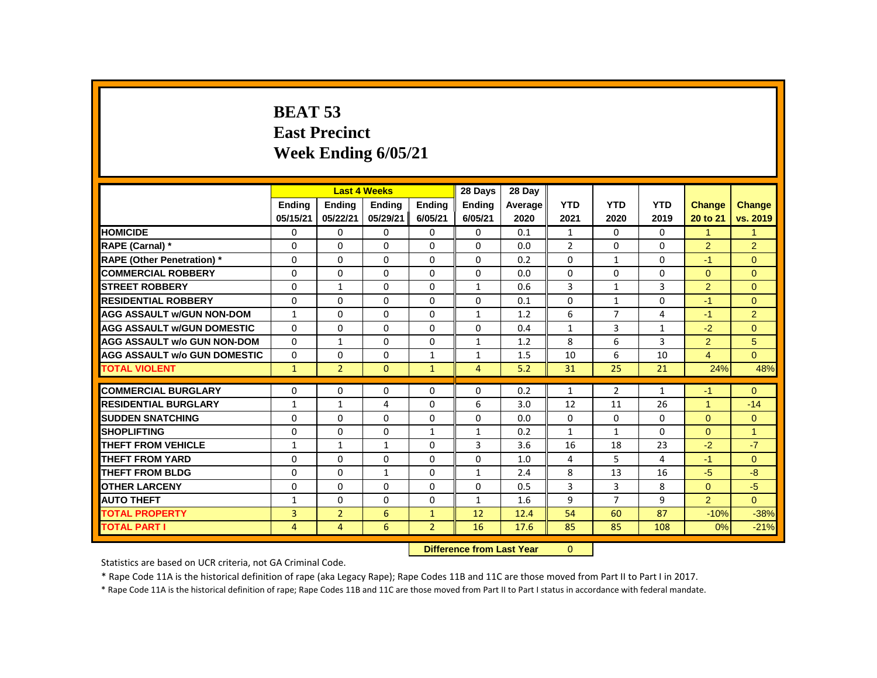# **BEAT 53 East Precinct Week Ending 6/05/21**

|                                     |                |                | <b>Last 4 Weeks</b> |                | 28 Days                   | 28 Day  |                |                |              |                      |                |
|-------------------------------------|----------------|----------------|---------------------|----------------|---------------------------|---------|----------------|----------------|--------------|----------------------|----------------|
|                                     | <b>Endina</b>  | <b>Endina</b>  | Ending              | <b>Ending</b>  | <b>Endina</b>             | Average | <b>YTD</b>     | <b>YTD</b>     | <b>YTD</b>   | <b>Change</b>        | Change         |
|                                     | 05/15/21       | 05/22/21       | 05/29/21            | 6/05/21        | 6/05/21                   | 2020    | 2021           | 2020           | 2019         | 20 to 21             | vs. 2019       |
| <b>HOMICIDE</b>                     | 0              | $\mathbf 0$    | 0                   | $\mathbf 0$    | $\mathbf 0$               | 0.1     | $\mathbf{1}$   | $\Omega$       | 0            | $\mathbf{1}$         | $\mathbf{1}$   |
| RAPE (Carnal) *                     | 0              | $\Omega$       | $\Omega$            | $\Omega$       | $\Omega$                  | 0.0     | $\overline{2}$ | $\Omega$       | $\Omega$     | $\overline{2}$       | $\overline{2}$ |
| <b>RAPE (Other Penetration)</b> *   | 0              | $\Omega$       | $\Omega$            | $\Omega$       | 0                         | 0.2     | $\Omega$       | $\mathbf{1}$   | $\Omega$     | $-1$                 | $\overline{0}$ |
| <b>COMMERCIAL ROBBERY</b>           | 0              | $\Omega$       | $\Omega$            | $\Omega$       | $\Omega$                  | 0.0     | $\Omega$       | $\Omega$       | $\Omega$     | $\Omega$             | $\Omega$       |
| <b>STREET ROBBERY</b>               | 0              | $\mathbf{1}$   | $\Omega$            | $\Omega$       | $\mathbf{1}$              | 0.6     | 3              | $\mathbf{1}$   | 3            | $\overline{2}$       | $\Omega$       |
| <b>RESIDENTIAL ROBBERY</b>          | 0              | $\Omega$       | $\Omega$            | $\Omega$       | 0                         | 0.1     | $\Omega$       | $\mathbf{1}$   | 0            | $-1$                 | $\Omega$       |
| <b>AGG ASSAULT W/GUN NON-DOM</b>    | $\mathbf{1}$   | $\Omega$       | $\Omega$            | $\Omega$       | $\mathbf{1}$              | 1.2     | 6              | $\overline{7}$ | 4            | $-1$                 | $\overline{2}$ |
| <b>AGG ASSAULT W/GUN DOMESTIC</b>   | $\Omega$       | $\Omega$       | $\Omega$            | $\Omega$       | $\Omega$                  | 0.4     | $\mathbf{1}$   | $\overline{3}$ | $\mathbf{1}$ | $-2$                 | $\Omega$       |
| <b>AGG ASSAULT w/o GUN NON-DOM</b>  | $\Omega$       | $\mathbf{1}$   | $\Omega$            | $\Omega$       | $\mathbf{1}$              | 1.2     | 8              | 6              | 3            | $\overline{2}$       | 5              |
| <b>AGG ASSAULT w/o GUN DOMESTIC</b> | 0              | 0              | 0                   | $\mathbf{1}$   | 1                         | 1.5     | 10             | 6              | 10           | $\overline{4}$       | $\Omega$       |
| <b>TOTAL VIOLENT</b>                | $\mathbf{1}$   | $\overline{2}$ | $\Omega$            | $\mathbf{1}$   | $\overline{4}$            | 5.2     | 31             | 25             | 21           | 24%                  | 48%            |
| <b>COMMERCIAL BURGLARY</b>          | 0              | $\Omega$       | $\Omega$            | $\Omega$       | $\Omega$                  | 0.2     | $\mathbf{1}$   | $\overline{2}$ | $\mathbf{1}$ | $-1$                 | $\Omega$       |
| <b>RESIDENTIAL BURGLARY</b>         | $\mathbf{1}$   | $\mathbf{1}$   | 4                   | $\mathbf{0}$   | 6                         | 3.0     | 12             | 11             | 26           | $\blacktriangleleft$ | $-14$          |
| <b>SUDDEN SNATCHING</b>             | 0              | $\Omega$       | $\Omega$            | $\Omega$       | $\Omega$                  | 0.0     | $\Omega$       | $\Omega$       | $\Omega$     | $\Omega$             | $\Omega$       |
| <b>SHOPLIFTING</b>                  | 0              | $\Omega$       | $\Omega$            | $\mathbf{1}$   | $\mathbf{1}$              | 0.2     | $\mathbf{1}$   | $\mathbf{1}$   | $\Omega$     | $\Omega$             | $\overline{1}$ |
| <b>THEFT FROM VEHICLE</b>           | $\mathbf{1}$   | $\mathbf{1}$   | $\mathbf{1}$        | $\Omega$       | 3                         | 3.6     | 16             | 18             | 23           | $-2$                 | $-7$           |
| THEFT FROM YARD                     | 0              | 0              | 0                   | 0              | 0                         | 1.0     | 4              | 5              | 4            | $-1$                 | $\Omega$       |
| <b>THEFT FROM BLDG</b>              | 0              | $\Omega$       | $\mathbf{1}$        | $\Omega$       | $\mathbf{1}$              | 2.4     | 8              | 13             | 16           | $-5$                 | $-8-$          |
| <b>OTHER LARCENY</b>                | 0              | $\mathbf{0}$   | 0                   | $\Omega$       | $\mathbf{0}$              | 0.5     | 3              | 3              | 8            | $\Omega$             | $-5$           |
| <b>AUTO THEFT</b>                   | $\mathbf{1}$   | $\Omega$       | $\Omega$            | $\mathbf{0}$   | $\mathbf{1}$              | 1.6     | 9              | $\overline{7}$ | 9            | 2                    | $\mathbf{0}$   |
| <b>TOTAL PROPERTY</b>               | 3              | $\overline{2}$ | 6                   | $\mathbf{1}$   | 12                        | 12.4    | 54             | 60             | 87           | $-10%$               | $-38%$         |
| <b>TOTAL PART I</b>                 | $\overline{4}$ | 4              | 6                   | $\overline{2}$ | 16                        | 17.6    | 85             | 85             | 108          | 0%                   | $-21%$         |
|                                     |                |                |                     |                | Difference from Lost Vest |         | $\Omega$       |                |              |                      |                |

 **Difference from Last Year** 0

Statistics are based on UCR criteria, not GA Criminal Code.

\* Rape Code 11A is the historical definition of rape (aka Legacy Rape); Rape Codes 11B and 11C are those moved from Part II to Part I in 2017.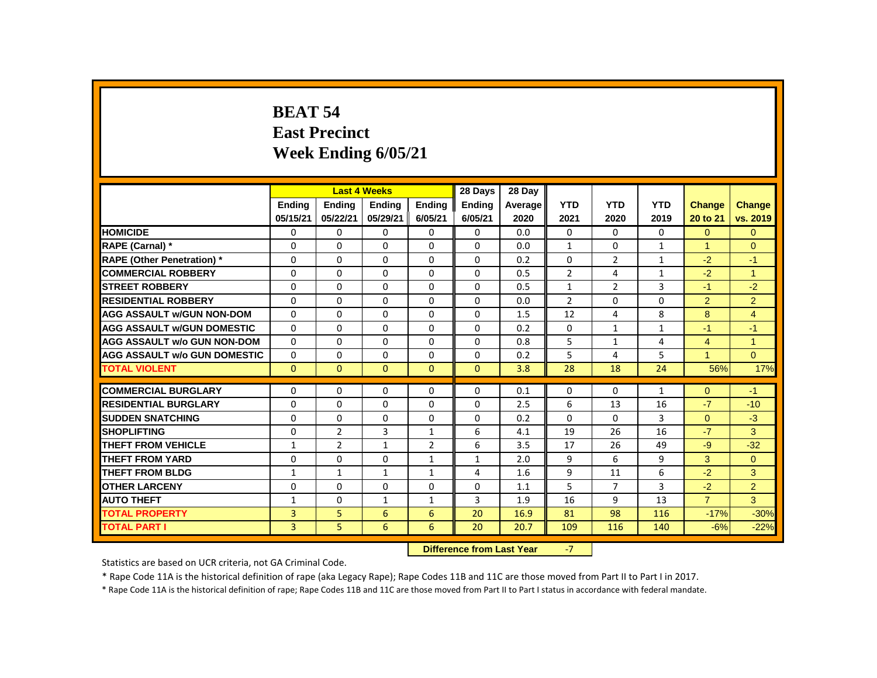# **BEAT 54 East Precinct Week Ending 6/05/21**

|                                     |               |                | <b>Last 4 Weeks</b> |                | 28 Days                   | 28 Day  |                |                |                |                |                |
|-------------------------------------|---------------|----------------|---------------------|----------------|---------------------------|---------|----------------|----------------|----------------|----------------|----------------|
|                                     | <b>Endina</b> | <b>Endina</b>  | <b>Endina</b>       | <b>Endina</b>  | <b>Endina</b>             | Average | <b>YTD</b>     | <b>YTD</b>     | <b>YTD</b>     | <b>Change</b>  | <b>Change</b>  |
|                                     | 05/15/21      | 05/22/21       | 05/29/21            | 6/05/21        | 6/05/21                   | 2020    | 2021           | 2020           | 2019           | 20 to 21       | vs. 2019       |
| <b>HOMICIDE</b>                     | 0             | 0              | 0                   | $\mathbf 0$    | 0                         | 0.0     | $\mathbf{0}$   | $\mathbf{0}$   | $\mathbf{0}$   | $\overline{0}$ | $\mathbf{0}$   |
| RAPE (Carnal) *                     | 0             | $\Omega$       | $\Omega$            | $\mathbf{0}$   | $\Omega$                  | 0.0     | $\mathbf{1}$   | $\Omega$       | $\mathbf{1}$   | 1              | $\Omega$       |
| RAPE (Other Penetration) *          | 0             | $\mathbf 0$    | $\Omega$            | 0              | $\Omega$                  | 0.2     | $\Omega$       | $\overline{2}$ | $\mathbf{1}$   | $-2$           | $-1$           |
| <b>COMMERCIAL ROBBERY</b>           | $\Omega$      | $\mathbf{0}$   | $\Omega$            | $\mathbf{0}$   | $\mathbf{0}$              | 0.5     | $\overline{2}$ | $\overline{4}$ | $\mathbf{1}$   | $-2$           | $\overline{1}$ |
| <b>STREET ROBBERY</b>               | 0             | $\Omega$       | $\Omega$            | 0              | $\Omega$                  | 0.5     | $\mathbf{1}$   | $\overline{2}$ | 3              | $-1$           | $-2$           |
| <b>RESIDENTIAL ROBBERY</b>          | $\Omega$      | $\mathbf{0}$   | 0                   | $\mathbf{0}$   | 0                         | 0.0     | $\overline{2}$ | $\mathbf{0}$   | 0              | $\overline{2}$ | $\overline{2}$ |
| <b>AGG ASSAULT w/GUN NON-DOM</b>    | 0             | $\Omega$       | $\Omega$            | $\Omega$       | $\Omega$                  | 1.5     | 12             | $\overline{4}$ | 8              | 8              | $\overline{4}$ |
| <b>AGG ASSAULT w/GUN DOMESTIC</b>   | $\Omega$      | $\Omega$       | $\Omega$            | $\mathbf{0}$   | $\Omega$                  | 0.2     | $\mathbf 0$    | $\mathbf{1}$   | $\mathbf{1}$   | $-1$           | $-1$           |
| <b>AGG ASSAULT w/o GUN NON-DOM</b>  | $\Omega$      | $\Omega$       | $\Omega$            | $\Omega$       | $\Omega$                  | 0.8     | 5              | $\mathbf{1}$   | $\overline{4}$ | $\overline{4}$ | $\overline{1}$ |
| <b>AGG ASSAULT w/o GUN DOMESTIC</b> | 0             | 0              | $\Omega$            | $\mathbf{0}$   | 0                         | 0.2     | 5              | 4              | 5              | $\overline{1}$ | $\Omega$       |
| <b>TOTAL VIOLENT</b>                | $\mathbf{0}$  | $\mathbf{0}$   | $\overline{0}$      | $\mathbf{0}$   | $\mathbf{0}$              | 3.8     | 28             | 18             | 24             | 56%            | 17%            |
| <b>COMMERCIAL BURGLARY</b>          | 0             | $\Omega$       | $\Omega$            | 0              | 0                         | 0.1     | $\Omega$       | 0              | $\mathbf{1}$   | $\Omega$       | $-1$           |
| <b>RESIDENTIAL BURGLARY</b>         | 0             | 0              | 0                   | $\mathbf{0}$   | 0                         | 2.5     | 6              | 13             | 16             | $-7$           | $-10$          |
| <b>SUDDEN SNATCHING</b>             | 0             | 0              | 0                   | $\mathbf{0}$   | $\Omega$                  | 0.2     | $\Omega$       | 0              | 3              | $\Omega$       | $-3$           |
| <b>SHOPLIFTING</b>                  | 0             | $\overline{2}$ | 3                   | $\mathbf{1}$   | 6                         | 4.1     | 19             | 26             | 16             | $-7$           | 3              |
| <b>THEFT FROM VEHICLE</b>           | $\mathbf{1}$  | $\overline{2}$ | $\mathbf{1}$        | $\overline{2}$ | 6                         | 3.5     | 17             | 26             | 49             | $-9$           | $-32$          |
| <b>THEFT FROM YARD</b>              | 0             | $\mathbf{0}$   | 0                   | $\mathbf{1}$   | $\mathbf{1}$              | 2.0     | 9              | 6              | 9              | 3              | $\mathbf{0}$   |
| <b>THEFT FROM BLDG</b>              | 1             | $\mathbf{1}$   | 1                   | $\mathbf{1}$   | 4                         | 1.6     | 9              | 11             | 6              | $-2$           | 3              |
| <b>OTHER LARCENY</b>                | 0             | $\Omega$       | $\Omega$            | $\Omega$       | $\Omega$                  | 1.1     | 5              | $\overline{7}$ | 3              | $-2$           | $\overline{2}$ |
| <b>AUTO THEFT</b>                   | $\mathbf{1}$  | $\mathbf{0}$   | $\mathbf{1}$        | $\mathbf{1}$   | $\overline{3}$            | 1.9     | 16             | 9              | 13             | $\overline{7}$ | 3              |
| <b>TOTAL PROPERTY</b>               | 3             | 5              | 6                   | 6              | 20                        | 16.9    | 81             | 98             | 116            | $-17%$         | $-30%$         |
| <b>TOTAL PART I</b>                 | 3             | 5              | 6                   | 6              | 20                        | 20.7    | 109            | 116            | 140            | $-6%$          | $-22%$         |
|                                     |               |                |                     |                | Difference from Loot Vear |         | $\overline{ }$ |                |                |                |                |

**Difference from Last Year** 

Statistics are based on UCR criteria, not GA Criminal Code.

\* Rape Code 11A is the historical definition of rape (aka Legacy Rape); Rape Codes 11B and 11C are those moved from Part II to Part I in 2017.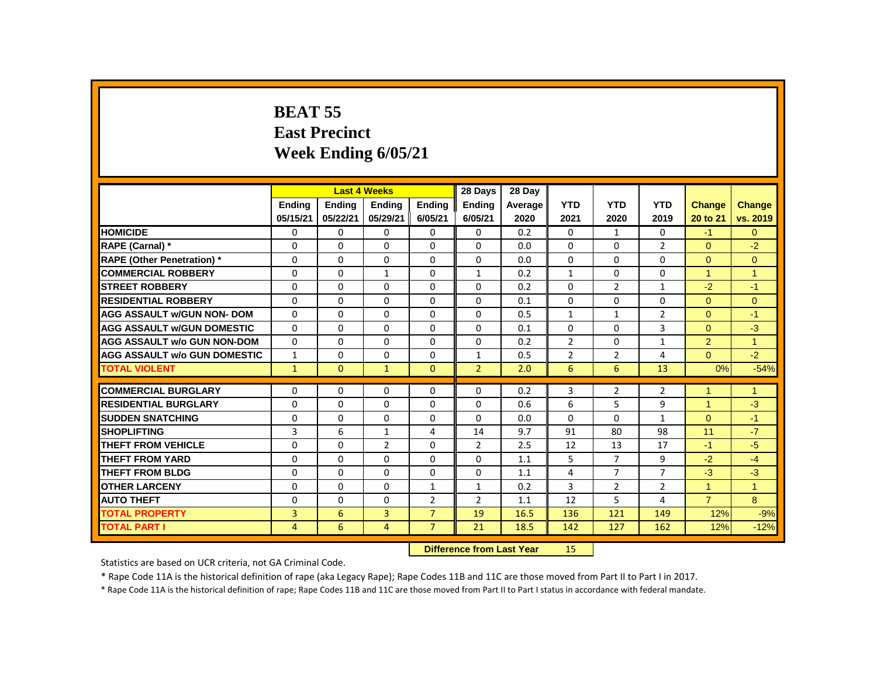# **BEAT 55 East Precinct Week Ending 6/05/21**

|                                     |                |               | <b>Last 4 Weeks</b> |                | 28 Days                   | 28 Dav  |                |                |                |                      |                      |
|-------------------------------------|----------------|---------------|---------------------|----------------|---------------------------|---------|----------------|----------------|----------------|----------------------|----------------------|
|                                     | <b>Endina</b>  | <b>Endina</b> | <b>Ending</b>       | <b>Ending</b>  | <b>Ending</b>             | Average | <b>YTD</b>     | <b>YTD</b>     | <b>YTD</b>     | <b>Change</b>        | Change               |
|                                     | 05/15/21       | 05/22/21      | 05/29/21            | 6/05/21        | 6/05/21                   | 2020    | 2021           | 2020           | 2019           | 20 to 21             | vs. 2019             |
| <b>HOMICIDE</b>                     | 0              | $\Omega$      | $\Omega$            | $\Omega$       | $\Omega$                  | 0.2     | $\Omega$       | 1              | $\Omega$       | $-1$                 | $\overline{0}$       |
| <b>RAPE (Carnal) *</b>              | $\Omega$       | $\Omega$      | $\Omega$            | $\Omega$       | $\Omega$                  | 0.0     | $\Omega$       | $\Omega$       | $\overline{2}$ | $\Omega$             | $-2$                 |
| <b>RAPE (Other Penetration) *</b>   | $\mathbf{0}$   | $\Omega$      | $\Omega$            | $\Omega$       | 0                         | 0.0     | $\Omega$       | $\Omega$       | $\Omega$       | $\Omega$             | $\overline{0}$       |
| <b>COMMERCIAL ROBBERY</b>           | $\Omega$       | $\Omega$      | $\mathbf{1}$        | $\Omega$       | $\mathbf{1}$              | 0.2     | $\mathbf{1}$   | $\mathbf{0}$   | $\Omega$       | $\blacktriangleleft$ | $\overline{1}$       |
| <b>STREET ROBBERY</b>               | $\Omega$       | $\Omega$      | $\Omega$            | $\Omega$       | $\Omega$                  | 0.2     | $\Omega$       | $\overline{2}$ | $\mathbf{1}$   | $-2$                 | $-1$                 |
| <b>RESIDENTIAL ROBBERY</b>          | $\Omega$       | 0             | 0                   | $\mathbf 0$    | 0                         | 0.1     | $\mathbf 0$    | $\mathbf{0}$   | $\Omega$       | $\overline{0}$       | $\overline{0}$       |
| <b>AGG ASSAULT w/GUN NON- DOM</b>   | $\Omega$       | $\Omega$      | $\Omega$            | $\Omega$       | $\Omega$                  | 0.5     | $\mathbf{1}$   | $\mathbf{1}$   | $\overline{2}$ | $\Omega$             | $-1$                 |
| <b>AGG ASSAULT W/GUN DOMESTIC</b>   | $\Omega$       | $\Omega$      | $\Omega$            | $\Omega$       | 0                         | 0.1     | $\Omega$       | $\Omega$       | 3              | $\overline{0}$       | $-3$                 |
| <b>AGG ASSAULT w/o GUN NON-DOM</b>  | $\Omega$       | $\Omega$      | $\Omega$            | $\Omega$       | $\Omega$                  | 0.2     | $\overline{2}$ | $\Omega$       | $\mathbf{1}$   | $\overline{2}$       | $\overline{1}$       |
| <b>AGG ASSAULT w/o GUN DOMESTIC</b> | $\mathbf{1}$   | $\Omega$      | $\Omega$            | $\Omega$       | $\mathbf{1}$              | 0.5     | $\overline{2}$ | $\overline{2}$ | 4              | $\overline{0}$       | $-2$                 |
| <b>TOTAL VIOLENT</b>                | $\mathbf{1}$   | $\mathbf{0}$  | $\mathbf{1}$        | $\Omega$       | 2 <sup>1</sup>            | 2.0     | 6              | 6              | 13             | 0%                   | $-54%$               |
| <b>COMMERCIAL BURGLARY</b>          | $\Omega$       | $\Omega$      | $\Omega$            | $\Omega$       | $\Omega$                  | 0.2     | 3              | $\overline{2}$ | $\overline{2}$ | 1                    | $\blacktriangleleft$ |
| <b>RESIDENTIAL BURGLARY</b>         | $\Omega$       | $\Omega$      | $\Omega$            | $\Omega$       | $\Omega$                  | 0.6     | 6              | 5              | 9              | 1                    | $-3$                 |
| <b>SUDDEN SNATCHING</b>             | $\Omega$       | $\Omega$      | $\Omega$            | $\Omega$       | $\Omega$                  | 0.0     | $\Omega$       | $\Omega$       | $\mathbf{1}$   | $\Omega$             | $-1$                 |
| <b>SHOPLIFTING</b>                  | 3              | 6             | $\mathbf{1}$        | 4              | 14                        | 9.7     | 91             | 80             | 98             | 11                   | $-7$                 |
| <b>THEFT FROM VEHICLE</b>           | $\Omega$       | $\Omega$      | $\overline{2}$      | $\Omega$       | $\overline{2}$            | 2.5     | 12             | 13             | 17             | $-1$                 | $-5$                 |
| <b>THEFT FROM YARD</b>              | $\mathbf{0}$   | $\Omega$      | $\Omega$            | $\Omega$       | $\Omega$                  | 1.1     | 5              | $\overline{7}$ | 9              | $-2$                 | $-4$                 |
| <b>THEFT FROM BLDG</b>              | $\Omega$       | $\Omega$      | $\Omega$            | $\mathbf 0$    | $\Omega$                  | 1.1     | 4              | $\overline{7}$ | $\overline{7}$ | $-3$                 | $-3$                 |
| <b>OTHER LARCENY</b>                | $\Omega$       | $\Omega$      | $\Omega$            | $\mathbf{1}$   | 1                         | 0.2     | 3              | $\overline{2}$ | $\overline{2}$ | $\mathbf{1}$         | $\overline{1}$       |
| <b>AUTO THEFT</b>                   | $\Omega$       | $\Omega$      | $\Omega$            | $\overline{2}$ | $\overline{2}$            | 1.1     | 12             | 5              | 4              | $\overline{7}$       | 8                    |
| <b>TOTAL PROPERTY</b>               | 3              | 6             | $\overline{3}$      | $\overline{7}$ | 19                        | 16.5    | 136            | 121            | 149            | 12%                  | $-9%$                |
| <b>TOTAL PART I</b>                 | $\overline{4}$ | 6             | $\overline{4}$      | $\overline{7}$ | 21                        | 18.5    | 142            | 127            | 162            | 12%                  | $-12%$               |
|                                     |                |               |                     |                | Difference from Lost Vear |         | 4E             |                |                |                      |                      |

 **Difference from Last Year** 15

Statistics are based on UCR criteria, not GA Criminal Code.

\* Rape Code 11A is the historical definition of rape (aka Legacy Rape); Rape Codes 11B and 11C are those moved from Part II to Part I in 2017.